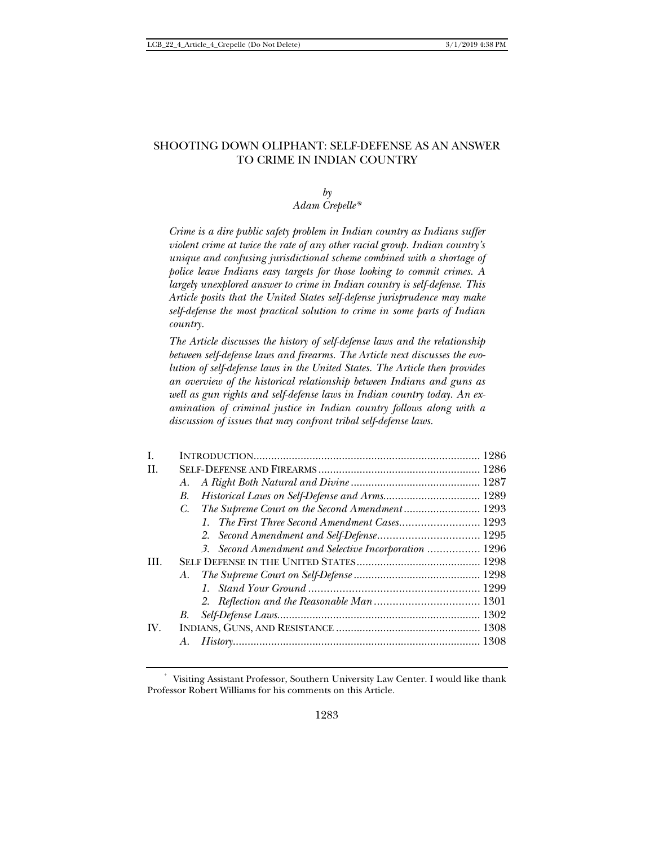## SHOOTING DOWN OLIPHANT: SELF-DEFENSE AS AN ANSWER TO CRIME IN INDIAN COUNTRY

### *by Adam Crepelle\**

*Crime is a dire public safety problem in Indian country as Indians suffer violent crime at twice the rate of any other racial group. Indian country's unique and confusing jurisdictional scheme combined with a shortage of police leave Indians easy targets for those looking to commit crimes. A largely unexplored answer to crime in Indian country is self-defense. This Article posits that the United States self-defense jurisprudence may make self-defense the most practical solution to crime in some parts of Indian country.* 

*The Article discusses the history of self-defense laws and the relationship between self-defense laws and firearms. The Article next discusses the evolution of self-defense laws in the United States. The Article then provides an overview of the historical relationship between Indians and guns as well as gun rights and self-defense laws in Indian country today. An examination of criminal justice in Indian country follows along with a discussion of issues that may confront tribal self-defense laws.* 

| L.   |                                                               |  |
|------|---------------------------------------------------------------|--|
| H.   |                                                               |  |
|      | А.                                                            |  |
|      | В.                                                            |  |
|      | The Supreme Court on the Second Amendment 1293<br>$C_{\cdot}$ |  |
|      | 1. The First Three Second Amendment Cases 1293                |  |
|      |                                                               |  |
|      | 3. Second Amendment and Selective Incorporation  1296         |  |
| III. |                                                               |  |
|      | A.                                                            |  |
|      |                                                               |  |
|      |                                                               |  |
|      | B.                                                            |  |
| IV.  |                                                               |  |
|      |                                                               |  |
|      |                                                               |  |

<sup>\*</sup> Visiting Assistant Professor, Southern University Law Center. I would like thank Professor Robert Williams for his comments on this Article.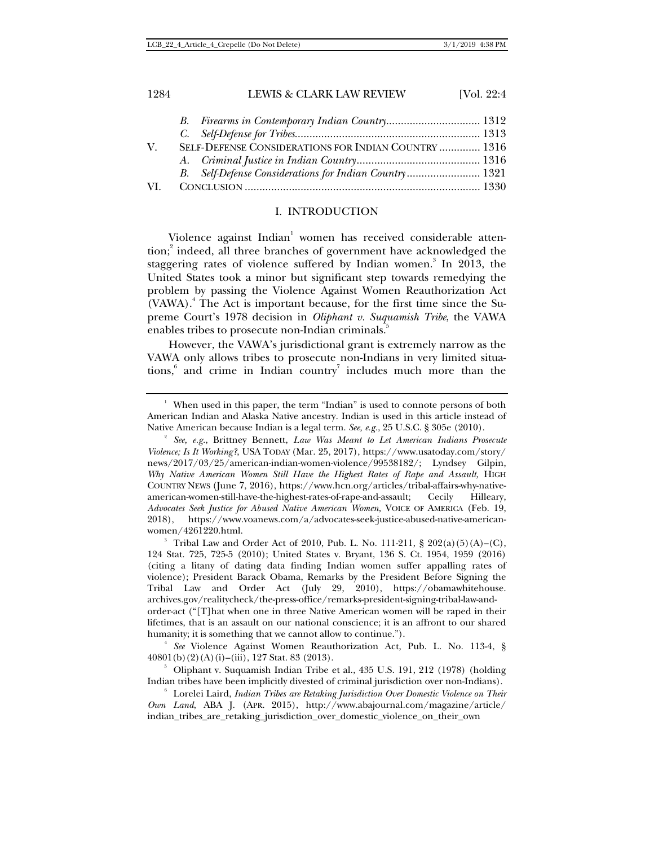# 1284 LEWIS & CLARK LAW REVIEW [Vol. 22:4] *B. Firearms in Contemporary Indian Country* ................................ 1312

| $V_{-}$ | SELF-DEFENSE CONSIDERATIONS FOR INDIAN COUNTRY  1316   |  |
|---------|--------------------------------------------------------|--|
|         |                                                        |  |
|         | B. Self-Defense Considerations for Indian Country 1321 |  |
| VL.     |                                                        |  |
|         |                                                        |  |

## I. INTRODUCTION

Violence against  $\operatorname{Indian}^1$  women has received considerable attention;<sup>2</sup> indeed, all three branches of government have acknowledged the staggering rates of violence suffered by Indian women.<sup>3</sup> In 2013, the United States took a minor but significant step towards remedying the problem by passing the Violence Against Women Reauthorization Act (VAWA).<sup>4</sup> The Act is important because, for the first time since the Supreme Court's 1978 decision in *Oliphant v. Suquamish Tribe*, the VAWA enables tribes to prosecute non-Indian criminals.

However, the VAWA's jurisdictional grant is extremely narrow as the VAWA only allows tribes to prosecute non-Indians in very limited situations, $6$  and crime in Indian country<sup>7</sup> includes much more than the

*See* Violence Against Women Reauthorization Act, Pub. L. No. 113-4, § 40801(b)(2)(A)(i)–(iii), 127 Stat. 83 (2013). 5

<sup>&</sup>lt;sup>1</sup> When used in this paper, the term "Indian" is used to connote persons of both American Indian and Alaska Native ancestry. Indian is used in this article instead of Native American because Indian is a legal term. *See, e.g.*, 25 U.S.C. § 305e (2010). 2

*See, e.g.*, Brittney Bennett, *Law Was Meant to Let American Indians Prosecute Violence; Is It Working?*, USA TODAY (Mar. 25, 2017), https://www.usatoday.com/story/ news/2017/03/25/american-indian-women-violence/99538182/; Lyndsey Gilpin, Why Native American Women Still Have the Highest Rates of Rape and Assault, HIGH COUNTRY NEWS (June 7, 2016), https://www.hcn.org/articles/tribal-affairs-why-nativeamerican-women-still-have-the-highest-rates-of-rape-and-assault; Cecily Hilleary, *Advocates Seek Justice for Abused Native American Women,* VOICE OF AMERICA (Feb. 19, 2018), https://www.voanews.com/a/advocates-seek-justice-abused-native-americanwomen/4261220.html. 3

<sup>&</sup>lt;sup>3</sup> Tribal Law and Order Act of 2010, Pub. L. No. 111-211, § 202(a)(5)(A)–(C), 124 Stat. 725, 725-5 (2010); United States v. Bryant, 136 S. Ct. 1954, 1959 (2016) (citing a litany of dating data finding Indian women suffer appalling rates of violence); President Barack Obama, Remarks by the President Before Signing the Tribal Law and Order Act (July 29, 2010), https://obamawhitehouse. archives.gov/realitycheck/the-press-office/remarks-president-signing-tribal-law-andorder-act ("[T]hat when one in three Native American women will be raped in their lifetimes, that is an assault on our national conscience; it is an affront to our shared humanity; it is something that we cannot allow to continue.").

 $5$  Oliphant v. Suquamish Indian Tribe et al., 435 U.S. 191, 212 (1978) (holding Indian tribes have been implicitly divested of criminal jurisdiction over non-Indians). 6

Lorelei Laird, *Indian Tribes are Retaking Jurisdiction Over Domestic Violence on Their Own Land*, ABA J. (APR. 2015), http://www.abajournal.com/magazine/article/ indian\_tribes\_are\_retaking\_jurisdiction\_over\_domestic\_violence\_on\_their\_own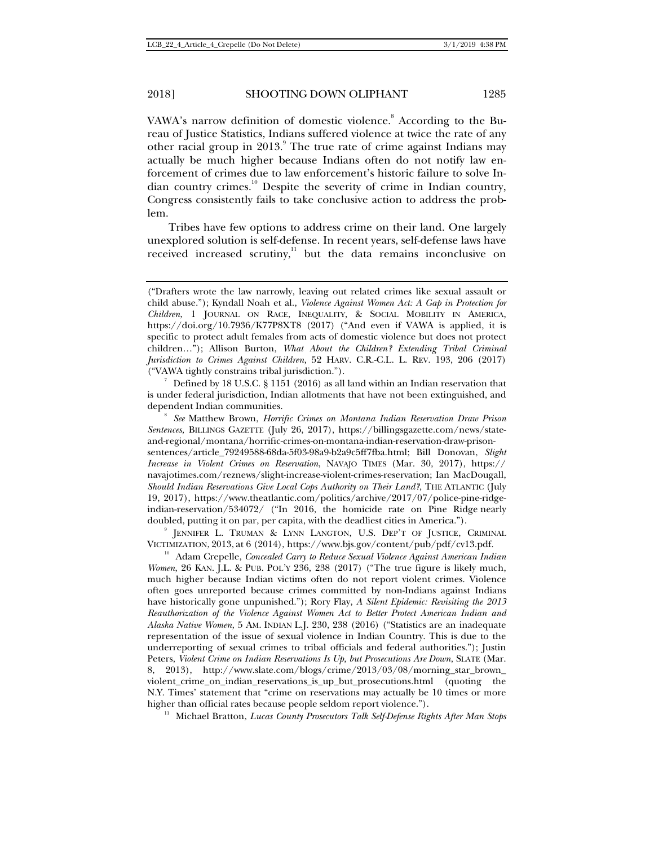VAWA's narrow definition of domestic violence.<sup>8</sup> According to the Bureau of Justice Statistics, Indians suffered violence at twice the rate of any other racial group in 2013.<sup>9</sup> The true rate of crime against Indians may actually be much higher because Indians often do not notify law enforcement of crimes due to law enforcement's historic failure to solve Indian country crimes.<sup>10</sup> Despite the severity of crime in Indian country, Congress consistently fails to take conclusive action to address the problem.

Tribes have few options to address crime on their land. One largely unexplored solution is self-defense. In recent years, self-defense laws have received increased scrutiny, $11$  but the data remains inconclusive on

 $\frac{7}{1}$  Defined by 18 U.S.C. § 1151 (2016) as all land within an Indian reservation that is under federal jurisdiction, Indian allotments that have not been extinguished, and dependent Indian communities. 8 *See* Matthew Brown, *Horrific Crimes on Montana Indian Reservation Draw Prison* 

*Sentences,* BILLINGS GAZETTE (July 26, 2017), https://billingsgazette.com/news/stateand-regional/montana/horrific-crimes-on-montana-indian-reservation-draw-prisonsentences/article\_79249588-68da-5f03-98a9-b2a9c5ff7fba.html; Bill Donovan, *Slight Increase in Violent Crimes on Reservation*, NAVAJO TIMES (Mar. 30, 2017), https:// navajotimes.com/reznews/slight-increase-violent-crimes-reservation; Ian MacDougall, *Should Indian Reservations Give Local Cops Authority on Their Land?*, THE ATLANTIC (July 19, 2017), https://www.theatlantic.com/politics/archive/2017/07/police-pine-ridgeindian-reservation/534072/ ("In 2016, the homicide rate on Pine Ridge nearly doubled, putting it on par, per capita, with the deadliest cities in America.").

JENNIFER L. TRUMAN & LYNN LANGTON, U.S. DEP'T OF JUSTICE, CRIMINAL

VICTIMIZATION, 2013, at 6 (2014), https://www.bjs.gov/content/pub/pdf/cv13.pdf. 10 Adam Crepelle, *Concealed Carry to Reduce Sexual Violence Against American Indian Women*, 26 KAN. J.L. & PUB. POL'Y 236, 238 (2017) ("The true figure is likely much, much higher because Indian victims often do not report violent crimes. Violence often goes unreported because crimes committed by non-Indians against Indians have historically gone unpunished."); Rory Flay, *A Silent Epidemic: Revisiting the 2013 Reauthorization of the Violence Against Women Act to Better Protect American Indian and Alaska Native Women,* 5 AM. INDIAN L.J. 230, 238 (2016) ("Statistics are an inadequate representation of the issue of sexual violence in Indian Country. This is due to the underreporting of sexual crimes to tribal officials and federal authorities."); Justin Peters, *Violent Crime on Indian Reservations Is Up, but Prosecutions Are Down*, SLATE (Mar. 8, 2013), http://www.slate.com/blogs/crime/2013/03/08/morning\_star\_brown\_ violent\_crime\_on\_indian\_reservations\_is\_up\_but\_prosecutions.html (quoting the N.Y. Times' statement that "crime on reservations may actually be 10 times or more higher than official rates because people seldom report violence."). 11 Michael Bratton, *Lucas County Prosecutors Talk Self-Defense Rights After Man Stops* 

<sup>(&</sup>quot;Drafters wrote the law narrowly, leaving out related crimes like sexual assault or child abuse."); Kyndall Noah et al., *Violence Against Women Act: A Gap in Protection for Children*, 1 JOURNAL ON RACE, INEQUALITY, & SOCIAL MOBILITY IN AMERICA, https://doi.org/10.7936/K77P8XT8 (2017) ("And even if VAWA is applied, it is specific to protect adult females from acts of domestic violence but does not protect children…"); Allison Burton, *What About the Children? Extending Tribal Criminal Jurisdiction to Crimes Against Children,* 52 HARV. C.R.-C.L. L. REV. 193, 206 (2017) ("VAWA tightly constrains tribal jurisdiction."). 7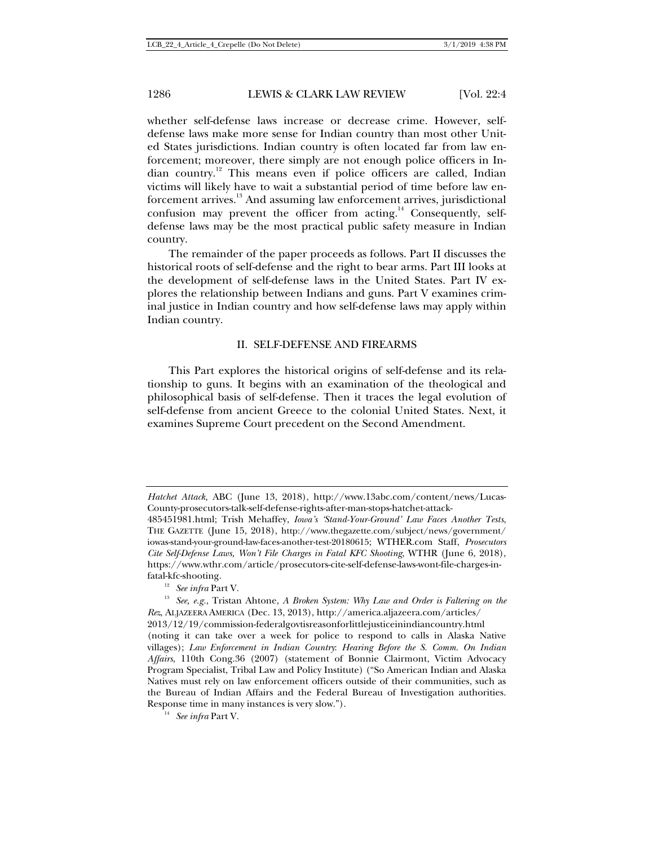whether self-defense laws increase or decrease crime. However, selfdefense laws make more sense for Indian country than most other United States jurisdictions. Indian country is often located far from law enforcement; moreover, there simply are not enough police officers in Indian country.12 This means even if police officers are called, Indian victims will likely have to wait a substantial period of time before law enforcement arrives.<sup>13</sup> And assuming law enforcement arrives, jurisdictional confusion may prevent the officer from acting.<sup>14</sup> Consequently, selfdefense laws may be the most practical public safety measure in Indian country.

The remainder of the paper proceeds as follows. Part II discusses the historical roots of self-defense and the right to bear arms. Part III looks at the development of self-defense laws in the United States. Part IV explores the relationship between Indians and guns. Part V examines criminal justice in Indian country and how self-defense laws may apply within Indian country.

#### II. SELF-DEFENSE AND FIREARMS

This Part explores the historical origins of self-defense and its relationship to guns. It begins with an examination of the theological and philosophical basis of self-defense. Then it traces the legal evolution of self-defense from ancient Greece to the colonial United States. Next, it examines Supreme Court precedent on the Second Amendment.

*Hatchet Attack,* ABC (June 13, 2018), http://www.13abc.com/content/news/Lucas-County-prosecutors-talk-self-defense-rights-after-man-stops-hatchet-attack-

<sup>485451981.</sup>html; Trish Mehaffey, *Iowa's 'Stand-Your-Ground' Law Faces Another Tests*, THE GAZETTE (June 15, 2018), http://www.thegazette.com/subject/news/government/ iowas-stand-your-ground-law-faces-another-test-20180615; WTHER.com Staff, *Prosecutors Cite Self-Defense Laws, Won't File Charges in Fatal KFC Shooting*, WTHR (June 6, 2018), https://www.wthr.com/article/prosecutors-cite-self-defense-laws-wont-file-charges-in-

fatal-kfc-shooting. 12 *See infra* Part V. 13 *See, e.g.*, Tristan Ahtone, *A Broken System: Why Law and Order is Faltering on the Rez*, ALJAZEERA AMERICA (Dec. 13, 2013), http://america.aljazeera.com/articles/ 2013/12/19/commission-federalgovtisreasonforlittlejusticeinindiancountry.html (noting it can take over a week for police to respond to calls in Alaska Native villages); *Law Enforcement in Indian Country*: *Hearing Before the S. Comm. On Indian Affairs*, 110th Cong.36 (2007) (statement of Bonnie Clairmont, Victim Advocacy Program Specialist, Tribal Law and Policy Institute) ("So American Indian and Alaska Natives must rely on law enforcement officers outside of their communities, such as the Bureau of Indian Affairs and the Federal Bureau of Investigation authorities. Response time in many instances is very slow."). 14 *See infra* Part V.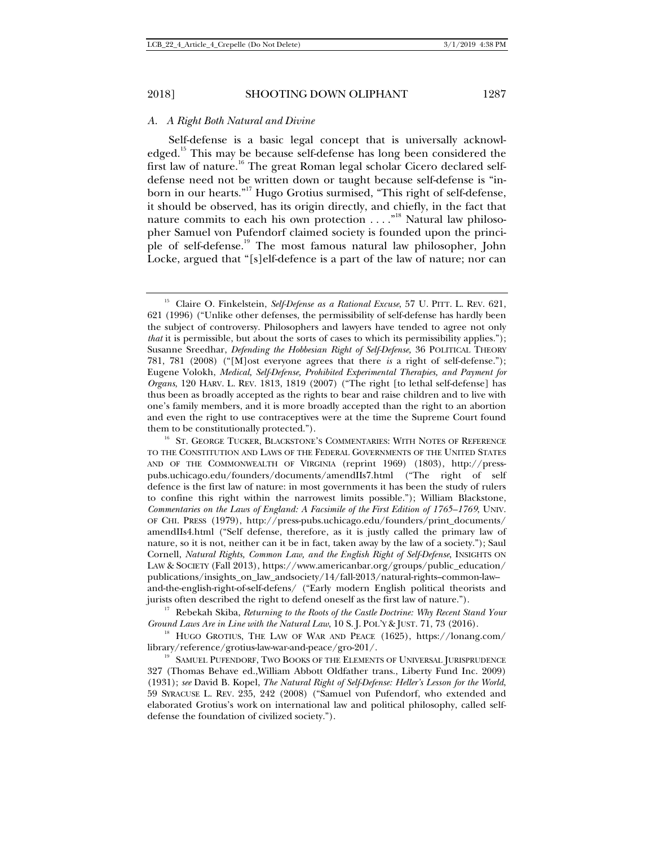#### *A. A Right Both Natural and Divine*

Self-defense is a basic legal concept that is universally acknowledged.<sup>15</sup> This may be because self-defense has long been considered the first law of nature.<sup>16</sup> The great Roman legal scholar Cicero declared selfdefense need not be written down or taught because self-defense is "inborn in our hearts."<sup>17</sup> Hugo Grotius surmised, "This right of self-defense, it should be observed, has its origin directly, and chiefly, in the fact that nature commits to each his own protection ...."<sup>18</sup> Natural law philosopher Samuel von Pufendorf claimed society is founded upon the principle of self-defense.19 The most famous natural law philosopher, John Locke, argued that "[s]elf-defence is a part of the law of nature; nor can

<sup>&</sup>lt;sup>15</sup> Claire O. Finkelstein, *Self-Defense as a Rational Excuse*, 57 U. PITT. L. REV. 621, 621 (1996) ("Unlike other defenses, the permissibility of self-defense has hardly been the subject of controversy. Philosophers and lawyers have tended to agree not only *that* it is permissible, but about the sorts of cases to which its permissibility applies."); Susanne Sreedhar, *Defending the Hobbesian Right of Self-Defense,* 36 POLITICAL THEORY 781, 781 (2008) ("[M]ost everyone agrees that there *is* a right of self-defense."); Eugene Volokh, *Medical, Self-Defense, Prohibited Experimental Therapies, and Payment for Organs*, 120 HARV. L. REV. 1813, 1819 (2007) ("The right [to lethal self-defense] has thus been as broadly accepted as the rights to bear and raise children and to live with one's family members, and it is more broadly accepted than the right to an abortion and even the right to use contraceptives were at the time the Supreme Court found them to be constitutionally protected.").

 $16$  St. George Tucker, Blackstone's Commentaries: With Notes of Reference TO THE CONSTITUTION AND LAWS OF THE FEDERAL GOVERNMENTS OF THE UNITED STATES AND OF THE COMMONWEALTH OF VIRGINIA (reprint 1969) (1803), http://presspubs.uchicago.edu/founders/documents/amendIIs7.html ("The right of self defence is the first law of nature: in most governments it has been the study of rulers to confine this right within the narrowest limits possible."); William Blackstone, *Commentaries on the Laws of England: A Facsimile of the First Edition of 1765–1769*, UNIV. OF CHI. PRESS (1979), http://press-pubs.uchicago.edu/founders/print\_documents/ amendIIs4.html ("Self defense, therefore, as it is justly called the primary law of nature, so it is not, neither can it be in fact, taken away by the law of a society."); Saul Cornell, *Natural Rights, Common Law, and the English Right of Self-Defense*, INSIGHTS ON LAW & SOCIETY (Fall 2013), https://www.americanbar.org/groups/public\_education/ publications/insights\_on\_law\_andsociety/14/fall-2013/natural-rights--common-law- and-the-english-right-of-self-defens/ ("Early modern English political theorists and jurists often described the right to defend oneself as the first law of nature."). 17 Rebekah Skiba, *Returning to the Roots of the Castle Doctrine: Why Recent Stand Your* 

*Ground Laws Are in Line with the Natural Law*, 10 S. J. POL'Y & JUST. 71, 73 (2016).<br><sup>18</sup> HUGO GROTIUS, THE LAW OF WAR AND PEACE (1625), https://lonang.com/

library/reference/grotius-law-war-and-peace/gro-201/.<br><sup>19</sup> SAMUEL PUFENDORF, TWO BOOKS OF THE ELEMENTS OF UNIVERSAL JURISPRUDENCE 327 (Thomas Behave ed.,William Abbott Oldfather trans., Liberty Fund Inc. 2009) (1931); *see* David B. Kopel, *The Natural Right of Self-Defense: Heller's Lesson for the World*, 59 SYRACUSE L. REV. 235, 242 (2008) ("Samuel von Pufendorf, who extended and elaborated Grotius's work on international law and political philosophy, called selfdefense the foundation of civilized society.").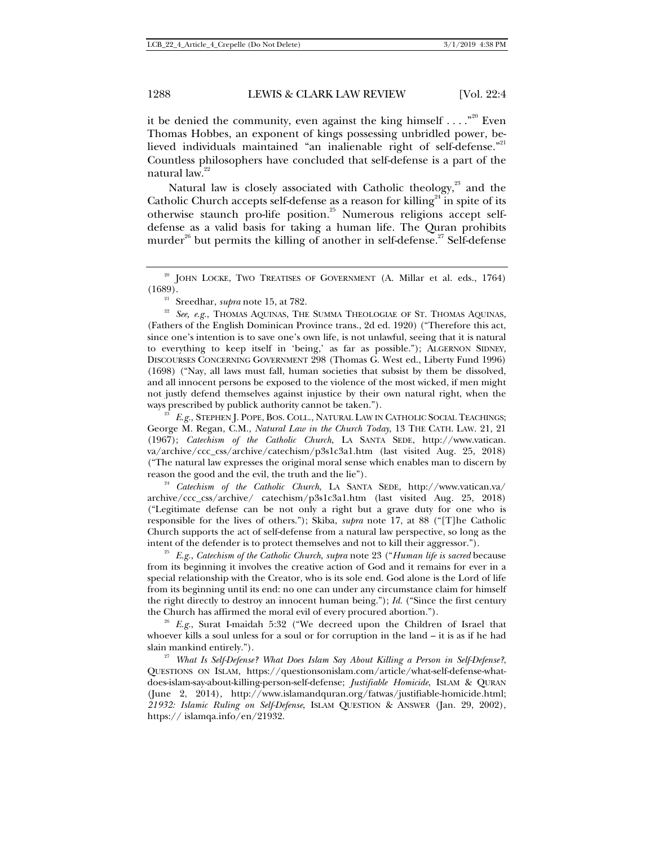it be denied the community, even against the king himself  $\ldots$ ."<sup>20</sup> Even Thomas Hobbes, an exponent of kings possessing unbridled power, believed individuals maintained "an inalienable right of self-defense."<sup>21</sup> Countless philosophers have concluded that self-defense is a part of the natural law.<sup>22</sup>

Natural law is closely associated with Catholic theology, $2<sup>3</sup>$  and the Catholic Church accepts self-defense as a reason for killing<sup>24</sup> in spite of its otherwise staunch pro-life position.<sup>25</sup> Numerous religions accept selfdefense as a valid basis for taking a human life. The Quran prohibits murder<sup>26</sup> but permits the killing of another in self-defense.<sup>27</sup> Self-defense

ways prescribed by publick authority cannot be taken.").<br><sup>23</sup> *E.g.*, STEPHEN J. POPE, BOS. COLL., NATURAL LAW IN CATHOLIC SOCIAL TEACHINGS; George M. Regan, C.M., *Natural Law in the Church Today*, 13 THE CATH. LAW. 21, 21 (1967); *Catechism of the Catholic Church*, LA SANTA SEDE, http://www.vatican. va/archive/ccc\_css/archive/catechism/p3s1c3a1.htm (last visited Aug. 25, 2018) ("The natural law expresses the original moral sense which enables man to discern by reason the good and the evil, the truth and the lie")*.*

<sup>24</sup> *Catechism of the Catholic Church*, LA SANTA SEDE, http://www.vatican.va/ archive/ccc\_css/archive/ catechism/p3s1c3a1.htm (last visited Aug. 25, 2018) ("Legitimate defense can be not only a right but a grave duty for one who is responsible for the lives of others."); Skiba, *supra* note 17, at 88 ("[T]he Catholic Church supports the act of self-defense from a natural law perspective, so long as the intent of the defender is to protect themselves and not to kill their aggressor."). 25 *E.g.*, *Catechism of the Catholic Church*, *supra* note 23 ("*Human life is sacred* because

from its beginning it involves the creative action of God and it remains for ever in a special relationship with the Creator, who is its sole end. God alone is the Lord of life from its beginning until its end: no one can under any circumstance claim for himself the right directly to destroy an innocent human being."); *Id.* ("Since the first century the Church has affirmed the moral evil of every procured abortion.").<br><sup>26</sup> *E.g.*, Surat I-maidah 5:32 ("We decreed upon the Children of Israel that

whoever kills a soul unless for a soul or for corruption in the land – it is as if he had slain mankind entirely."). 27 *What Is Self-Defense? What Does Islam Say About Killing a Person in Self-Defense?*,

QUESTIONS ON ISLAM, https://questionsonislam.com/article/what-self-defense-whatdoes-islam-say-about-killing-person-self-defense; *Justifiable Homicide*, ISLAM & QURAN (June 2, 2014)*,* http://www.islamandquran.org/fatwas/justifiable-homicide.html; *21932: Islamic Ruling on Self-Defense*, ISLAM QUESTION & ANSWER (Jan. 29, 2002), https:// islamqa.info/en/21932.

 $20$  JOHN LOCKE, TWO TREATISES OF GOVERNMENT (A. Millar et al. eds., 1764) (1689).

<sup>&</sup>lt;sup>21</sup> Sreedhar, *supra* note 15, at 782. 22 *See, e.g.*, Thomas Aquinas, The Summa Theologiae of St. Thomas Aquinas, (Fathers of the English Dominican Province trans., 2d ed. 1920) ("Therefore this act, since one's intention is to save one's own life, is not unlawful, seeing that it is natural to everything to keep itself in 'being,' as far as possible."); ALGERNON SIDNEY, DISCOURSES CONCERNING GOVERNMENT 298 (Thomas G. West ed., Liberty Fund 1996) (1698) ("Nay, all laws must fall, human societies that subsist by them be dissolved, and all innocent persons be exposed to the violence of the most wicked, if men might not justly defend themselves against injustice by their own natural right, when the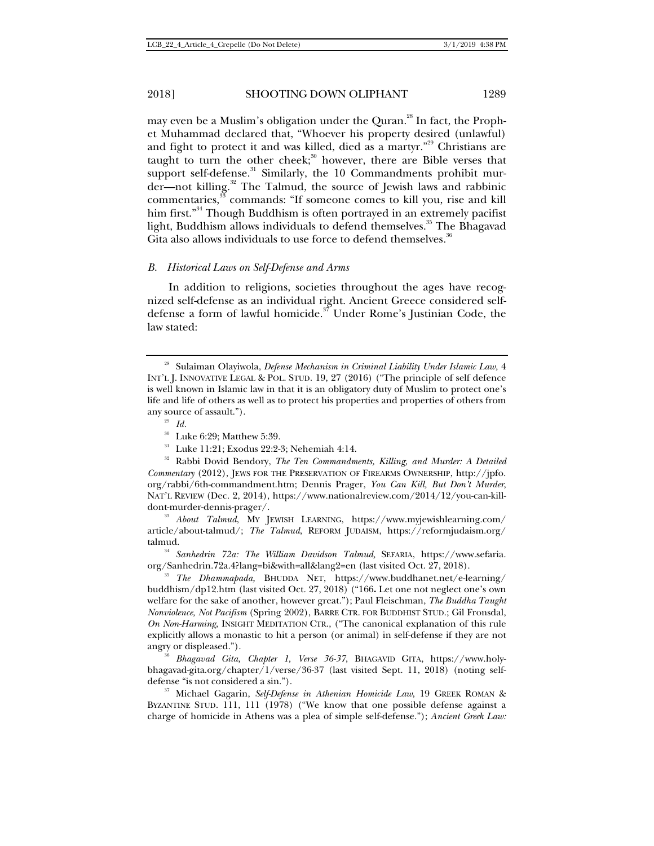may even be a Muslim's obligation under the Quran.<sup>28</sup> In fact, the Prophet Muhammad declared that, "Whoever his property desired (unlawful) and fight to protect it and was killed, died as a martyr."<sup>29</sup> Christians are taught to turn the other cheek; $30$  however, there are Bible verses that support self-defense.<sup>31</sup> Similarly, the 10 Commandments prohibit murder—not killing.<sup>32</sup> The Talmud, the source of Jewish laws and rabbinic commentaries,<sup>33</sup> commands: "If someone comes to kill you, rise and kill him first."<sup>34</sup> Though Buddhism is often portrayed in an extremely pacifist light, Buddhism allows individuals to defend themselves.<sup>35</sup> The Bhagavad Gita also allows individuals to use force to defend themselves*.* 36

#### *B. Historical Laws on Self-Defense and Arms*

In addition to religions, societies throughout the ages have recognized self-defense as an individual right. Ancient Greece considered selfdefense a form of lawful homicide.<sup>37</sup> Under Rome's Justinian Code, the law stated:

talmud.<br><sup>34</sup> *Sanhedrin 72a: The William Davidson Talmud*, SEFARIA, https://www.sefaria.<br>org/Sanhedrin.72a.4?lang=bi&with=all&lang2=en (last visited Oct. 27, 2018).

<sup>35</sup> The Dhammapada, BHUDDA NET, https://www.buddhanet.net/e-learning/ buddhism/dp12.htm (last visited Oct. 27, 2018) ("166**.** Let one not neglect one's own welfare for the sake of another, however great."); Paul Fleischman, *The Buddha Taught Nonviolence, Not Pacifism* (Spring 2002), BARRE CTR. FOR BUDDHIST STUD.; Gil Fronsdal, *On Non-Harming*, INSIGHT MEDITATION CTR., ("The canonical explanation of this rule explicitly allows a monastic to hit a person (or animal) in self-defense if they are not angry or displeased."). 36 *Bhagavad Gita, Chapter 1, Verse 36-37*, BHAGAVID GITA, https://www.holy-

bhagavad-gita.org/chapter/1/verse/36-37 (last visited Sept. 11, 2018) (noting self-<br>defense "is not considered a sin.").

<sup>37</sup> Michael Gagarin, Self-Defense in Athenian Homicide Law, 19 GREEK ROMAN & BYZANTINE STUD. 111, 111 (1978) ("We know that one possible defense against a charge of homicide in Athens was a plea of simple self-defense."); *Ancient Greek Law:* 

<sup>&</sup>lt;sup>28</sup> Sulaiman Olayiwola, *Defense Mechanism in Criminal Liability Under Islamic Law*, 4 INT'L J. INNOVATIVE LEGAL & POL. STUD. 19, 27 (2016) ("The principle of self defence is well known in Islamic law in that it is an obligatory duty of Muslim to protect one's life and life of others as well as to protect his properties and properties of others from % any source of assault.").  $\frac{^{29}}{^{30}}$  *Id.*  $\frac{^{30}}{^{30}}$  Luke 6:29; Matthew 5:39.

<sup>&</sup>lt;sup>31</sup> Luke 11:21; Exodus 22:2-3; Nehemiah 4:14.<br><sup>32</sup> Rabbi Dovid Bendory, *The Ten Commandments, Killing, and Murder: A Detailed Commentary* (2012), JEWS FOR THE PRESERVATION OF FIREARMS OWNERSHIP, http://jpfo. org/rabbi/6th-commandment.htm; Dennis Prager, *You Can Kill, But Don't Murder*, NAT'L REVIEW (Dec. 2, 2014), https://www.nationalreview.com/2014/12/you-can-killdont-murder-dennis-prager/. 33 *About Talmud*, MY JEWISH LEARNING, https://www.myjewishlearning.com/

article/about-talmud/; *The Talmud*, REFORM JUDAISM, https://reformjudaism.org/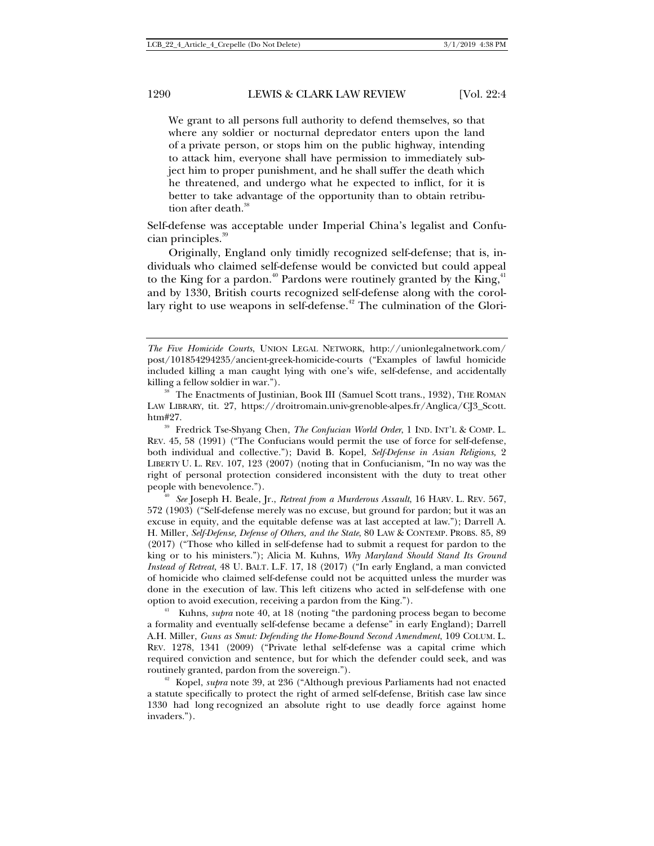We grant to all persons full authority to defend themselves, so that where any soldier or nocturnal depredator enters upon the land of a private person, or stops him on the public highway, intending to attack him, everyone shall have permission to immediately subject him to proper punishment, and he shall suffer the death which he threatened, and undergo what he expected to inflict, for it is better to take advantage of the opportunity than to obtain retribution after death.<sup>38</sup>

Self-defense was acceptable under Imperial China's legalist and Confucian principles.<sup>39</sup>

Originally, England only timidly recognized self-defense; that is, individuals who claimed self-defense would be convicted but could appeal to the King for a pardon.<sup>40</sup> Pardons were routinely granted by the King,<sup>41</sup> and by 1330, British courts recognized self-defense along with the corollary right to use weapons in self-defense.<sup>42</sup> The culmination of the Glori-

<sup>39</sup> Fredrick Tse-Shyang Chen, *The Confucian World Order*, 1 IND. INT'L & COMP. L. REV. 45, 58 (1991) ("The Confucians would permit the use of force for self-defense, both individual and collective."); David B. Kopel, *Self-Defense in Asian Religions,* 2 LIBERTY U. L. REV. 107, 123 (2007) (noting that in Confucianism, "In no way was the right of personal protection considered inconsistent with the duty to treat other people with benevolence."). 40 *See* Joseph H. Beale, Jr., *Retreat from a Murderous Assault*, 16 HARV. <sup>L</sup>. REV. 567,

572 (1903) ("Self-defense merely was no excuse, but ground for pardon; but it was an excuse in equity, and the equitable defense was at last accepted at law."); Darrell A. H. Miller, *Self-Defense, Defense of Others, and the State*, 80 LAW & CONTEMP. PROBS. 85, 89 (2017) ("Those who killed in self-defense had to submit a request for pardon to the king or to his ministers."); Alicia M. Kuhns, *Why Maryland Should Stand Its Ground Instead of Retreat*, 48 U. BALT. L.F. 17, 18 (2017) ("In early England, a man convicted of homicide who claimed self-defense could not be acquitted unless the murder was done in the execution of law. This left citizens who acted in self-defense with one % option to avoid execution, receiving a pardon from the King.").<br><sup>41</sup> Kuhns, *supra* note 40, at 18 (noting "the pardoning process began to become

a formality and eventually self-defense became a defense" in early England); Darrell A.H. Miller, *Guns as Smut: Defending the Home-Bound Second Amendment*, 109 COLUM. L. REV. 1278, 1341 (2009) ("Private lethal self-defense was a capital crime which required conviction and sentence, but for which the defender could seek, and was routinely granted, pardon from the sovereign."). 42 Kopel, *supra* note 39, at 236 ("Although previous Parliaments had not enacted

a statute specifically to protect the right of armed self-defense, British case law since 1330 had long recognized an absolute right to use deadly force against home invaders.").

*The Five Homicide Courts*, UNION LEGAL NETWORK, http://unionlegalnetwork.com/ post/101854294235/ancient-greek-homicide-courts ("Examples of lawful homicide included killing a man caught lying with one's wife, self-defense, and accidentally

killing a fellow soldier in war."). 38 Interests of Justinian, Book III (Samuel Scott trans., 1932), THE ROMAN LAW LIBRARY, tit. 27, https://droitromain.univ-grenoble-alpes.fr/Anglica/CJ3\_Scott.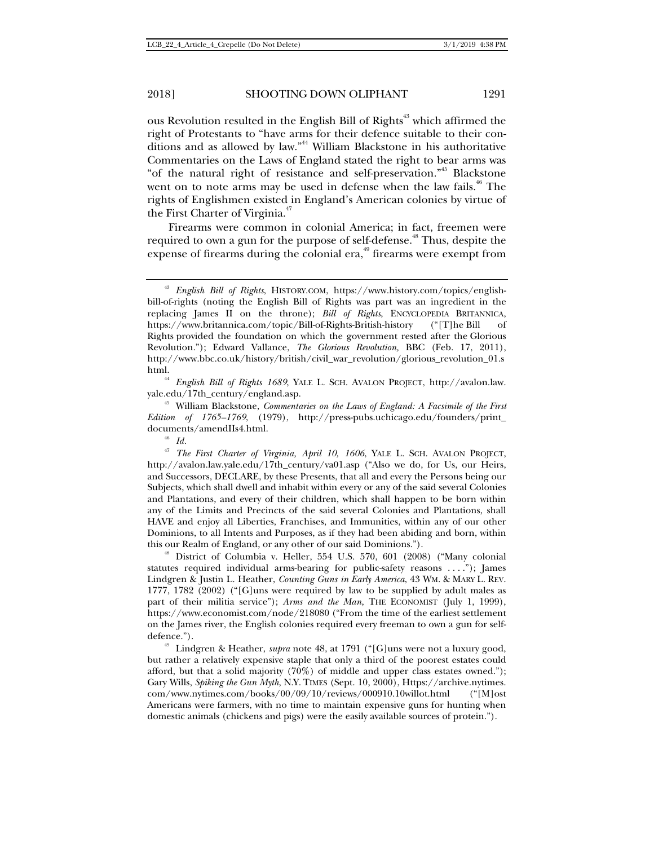ous Revolution resulted in the English Bill of Rights<sup>43</sup> which affirmed the right of Protestants to "have arms for their defence suitable to their conditions and as allowed by law."44 William Blackstone in his authoritative Commentaries on the Laws of England stated the right to bear arms was "of the natural right of resistance and self-preservation."45 Blackstone went on to note arms may be used in defense when the law fails.<sup>46</sup> The rights of Englishmen existed in England's American colonies by virtue of the First Charter of Virginia.<sup>47</sup>

Firearms were common in colonial America; in fact, freemen were required to own a gun for the purpose of self-defense.<sup>48</sup> Thus, despite the expense of firearms during the colonial era, $49$  firearms were exempt from

<sup>44</sup> *English Bill of Rights 1689*, YALE L. SCH. AVALON PROJECT, http://avalon.law. yale.edu/17th\_century/england.asp. 45 William Blackstone, *Commentaries on the Laws of England: A Facsimile of the First* 

*Edition of 1765–1769*, (1979), http://press-pubs.uchicago.edu/founders/print\_ documents/amendIIs4.html. 46 *Id.*

<sup>47</sup> *The First Charter of Virginia, April 10, 1606*, YALE L. SCH. AVALON PROJECT, http://avalon.law.yale.edu/17th\_century/va01.asp ("Also we do, for Us, our Heirs, and Successors, DECLARE, by these Presents, that all and every the Persons being our Subjects, which shall dwell and inhabit within every or any of the said several Colonies and Plantations, and every of their children, which shall happen to be born within any of the Limits and Precincts of the said several Colonies and Plantations, shall HAVE and enjoy all Liberties, Franchises, and Immunities, within any of our other Dominions, to all Intents and Purposes, as if they had been abiding and born, within

this our Realm of England, or any other of our said Dominions."). 48 District of Columbia v. Heller, 554 U.S. 570, 601 (2008) ("Many colonial statutes required individual arms-bearing for public-safety reasons . . . ."); James Lindgren & Justin L. Heather, *Counting Guns in Early America*, 43 WM. & MARY L. REV. 1777, 1782 (2002) ("[G]uns were required by law to be supplied by adult males as part of their militia service"); *Arms and the Man*, THE ECONOMIST (July 1, 1999), https://www.economist.com/node/218080 ("From the time of the earliest settlement on the James river, the English colonies required every freeman to own a gun for selfdefence."). 49 Lindgren & Heather, *supra* note 48, at 1791 ("[G]uns were not a luxury good,

but rather a relatively expensive staple that only a third of the poorest estates could afford, but that a solid majority (70%) of middle and upper class estates owned."); Gary Wills, *Spiking the Gun Myth*, N.Y. TIMES (Sept. 10, 2000), Https://archive.nytimes. com/www.nytimes.com/books/00/09/10/reviews/000910.10willot.html ("[M]ost Americans were farmers, with no time to maintain expensive guns for hunting when domestic animals (chickens and pigs) were the easily available sources of protein.").

<sup>43</sup> *English Bill of Rights*, HISTORY.COM, https://www.history.com/topics/englishbill-of-rights (noting the English Bill of Rights was part was an ingredient in the replacing James II on the throne); *Bill of Rights*, ENCYCLOPEDIA BRITANNICA, https://www.britannica.com/topic/Bill-of-Rights-British-history ("[T]he Bill of Rights provided the foundation on which the government rested after the Glorious Revolution."); Edward Vallance, *The Glorious Revolution,* BBC (Feb. 17, 2011), http://www.bbc.co.uk/history/british/civil\_war\_revolution/glorious\_revolution\_01.s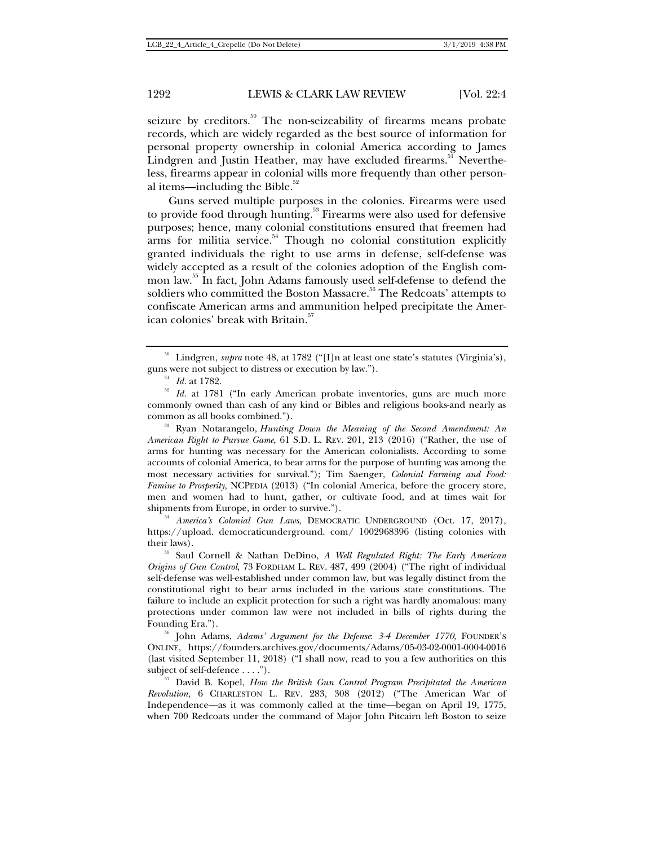seizure by creditors.<sup>50</sup> The non-seizeability of firearms means probate records, which are widely regarded as the best source of information for personal property ownership in colonial America according to James Lindgren and Justin Heather, may have excluded firearms.<sup>31</sup> Nevertheless, firearms appear in colonial wills more frequently than other personal items—including the Bible. $52$ 

Guns served multiple purposes in the colonies. Firearms were used to provide food through hunting.<sup>53</sup> Firearms were also used for defensive purposes; hence, many colonial constitutions ensured that freemen had arms for militia service. $54$  Though no colonial constitution explicitly granted individuals the right to use arms in defense, self-defense was widely accepted as a result of the colonies adoption of the English common law.55 In fact, John Adams famously used self-defense to defend the soldiers who committed the Boston Massacre.<sup>56</sup> The Redcoats' attempts to confiscate American arms and ammunition helped precipitate the American colonies' break with Britain.<sup>57</sup>

common as all books combined.").<br><sup>53</sup> Ryan Notarangelo, *Hunting Down the Meaning of the Second Amendment: An American Right to Pursue Game*, 61 S.D. L. REV. 201, 213 (2016) ("Rather, the use of arms for hunting was necessary for the American colonialists. According to some accounts of colonial America, to bear arms for the purpose of hunting was among the most necessary activities for survival."); Tim Saenger, *Colonial Farming and Food: Famine to Prosperity*, NCPEDIA (2013) ("In colonial America, before the grocery store, men and women had to hunt, gather, or cultivate food, and at times wait for shipments from Europe, in order to survive.").<br><sup>54</sup> *America's Colonial Gun Laws*, DEMOCRATIC UNDERGROUND (Oct. 17, 2017),

https://upload. democraticunderground. com/ 1002968396 (listing colonies with their laws). 55 Saul Cornell & Nathan DeDino, *A Well Regulated Right: The Early American* 

*Origins of Gun Control*, 73 FORDHAM L. REV. 487, 499 (2004) ("The right of individual self-defense was well-established under common law, but was legally distinct from the constitutional right to bear arms included in the various state constitutions. The failure to include an explicit protection for such a right was hardly anomalous: many protections under common law were not included in bills of rights during the Founding Era."). 56 John Adams, *Adams' Argument for the Defense*: *3-4 December 1770*, FOUNDER'<sup>S</sup>

ONLINE, https://founders.archives.gov/documents/Adams/05-03-02-0001-0004-0016 (last visited September 11, 2018) ("I shall now, read to you a few authorities on this subject of self-defence . . . .").<br><sup>57</sup> David B. Kopel, *How the British Gun Control Program Precipitated the American* 

*Revolution*, 6 CHARLESTON L. REV. 283, 308 (2012) ("The American War of Independence—as it was commonly called at the time—began on April 19, 1775, when 700 Redcoats under the command of Major John Pitcairn left Boston to seize

<sup>&</sup>lt;sup>50</sup> Lindgren, *supra* note 48, at 1782 ("[I]n at least one state's statutes (Virginia's), guns were not subject to distress or execution by law.").<br><sup>51</sup> *Id.* at 1782.<br><sup>52</sup> *Id.* at 1781 ("In early American probate inventories, guns are much more

commonly owned than cash of any kind or Bibles and religious books-and nearly as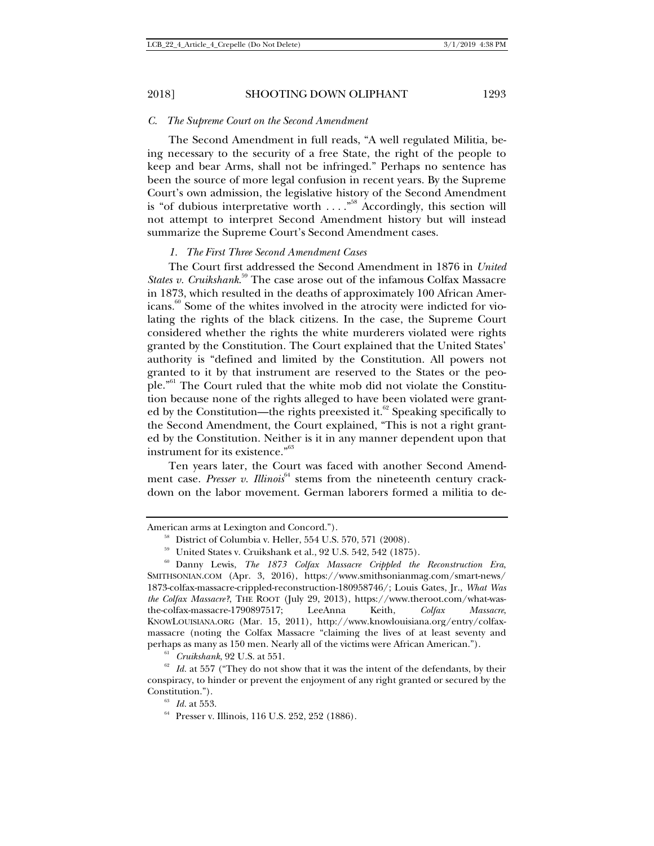#### *C. The Supreme Court on the Second Amendment*

The Second Amendment in full reads, "A well regulated Militia, being necessary to the security of a free State, the right of the people to keep and bear Arms, shall not be infringed." Perhaps no sentence has been the source of more legal confusion in recent years. By the Supreme Court's own admission, the legislative history of the Second Amendment is "of dubious interpretative worth  $\ldots$ ."<sup>58</sup> Accordingly, this section will not attempt to interpret Second Amendment history but will instead summarize the Supreme Court's Second Amendment cases.

#### *1. The First Three Second Amendment Cases*

The Court first addressed the Second Amendment in 1876 in *United States v. Cruikshank*<sup>59</sup> The case arose out of the infamous Colfax Massacre in 1873, which resulted in the deaths of approximately 100 African Americans.<sup>60</sup> Some of the whites involved in the atrocity were indicted for violating the rights of the black citizens. In the case, the Supreme Court considered whether the rights the white murderers violated were rights granted by the Constitution. The Court explained that the United States' authority is "defined and limited by the Constitution. All powers not granted to it by that instrument are reserved to the States or the people."61 The Court ruled that the white mob did not violate the Constitution because none of the rights alleged to have been violated were granted by the Constitution—the rights preexisted it. $62$  Speaking specifically to the Second Amendment, the Court explained, "This is not a right granted by the Constitution. Neither is it in any manner dependent upon that instrument for its existence."63

Ten years later, the Court was faced with another Second Amendment case. *Presser v. Illinois*<sup>64</sup> stems from the nineteenth century crackdown on the labor movement. German laborers formed a militia to de-

American arms at Lexington and Concord.").<br>  $^{58}$  District of Columbia v. Heller, 554 U.S. 570, 571 (2008).<br>  $^{59}$  United States v. Cruikshank et al., 92 U.S. 542, 542 (1875).<br>  $^{69}$  Danny Lewis, *The 1873 Colfax Massa* SMITHSONIAN.COM (Apr. 3, 2016), https://www.smithsonianmag.com/smart-news/ 1873-colfax-massacre-crippled-reconstruction-180958746/; Louis Gates, Jr., *What Was the Colfax Massacre?*, THE ROOT (July 29, 2013), https://www.theroot.com/what-wasthe-colfax-massacre-1790897517; LeeAnna Keith, *Colfax Massacre*, KNOWLOUISIANA.ORG (Mar. 15, 2011), http://www.knowlouisiana.org/entry/colfaxmassacre (noting the Colfax Massacre "claiming the lives of at least seventy and perhaps as many as 150 men. Nearly all of the victims were African American.").<br><sup>61</sup> *Cruikshank*, 92 U.S. at 551. <sup>62</sup> *Id.* at 557 ("They do not show that it was the intent of the defendants, by their

conspiracy, to hinder or prevent the enjoyment of any right granted or secured by the Constitution."). 63 *Id.* at 553. 64 Presser v. Illinois, 116 U.S. 252, 252 (1886).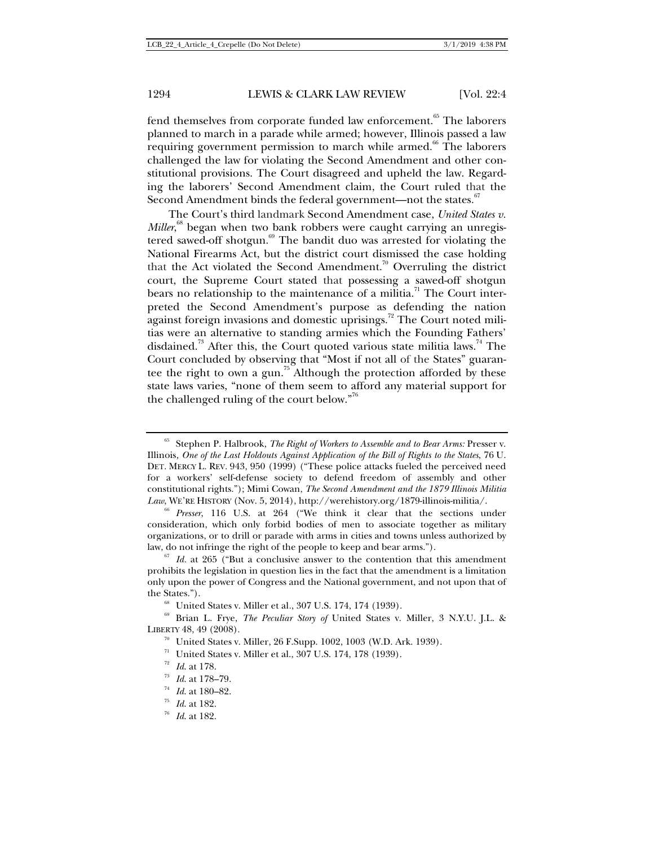fend themselves from corporate funded law enforcement.<sup>65</sup> The laborers planned to march in a parade while armed; however, Illinois passed a law requiring government permission to march while armed.<sup>66</sup> The laborers challenged the law for violating the Second Amendment and other constitutional provisions. The Court disagreed and upheld the law. Regarding the laborers' Second Amendment claim, the Court ruled that the Second Amendment binds the federal government—not the states.<sup>67</sup>

The Court's third landmark Second Amendment case, *United States v. Miller*, 68 began when two bank robbers were caught carrying an unregistered sawed-off shotgun.<sup>69</sup> The bandit duo was arrested for violating the National Firearms Act, but the district court dismissed the case holding that the Act violated the Second Amendment.<sup>70</sup> Overruling the district court, the Supreme Court stated that possessing a sawed-off shotgun bears no relationship to the maintenance of a militia.<sup>71</sup> The Court interpreted the Second Amendment's purpose as defending the nation against foreign invasions and domestic uprisings.<sup>72</sup> The Court noted militias were an alternative to standing armies which the Founding Fathers' disdained.<sup>73</sup> After this, the Court quoted various state militia laws.<sup>74</sup> The Court concluded by observing that "Most if not all of the States" guarantee the right to own a gun.<sup>75</sup> Although the protection afforded by these state laws varies, "none of them seem to afford any material support for the challenged ruling of the court below."76

<sup>65</sup> Stephen P. Halbrook, *The Right of Workers to Assemble and to Bear Arms:* Presser v. Illinois*, One of the Last Holdouts Against Application of the Bill of Rights to the States*, 76 U. DET. MERCY L. REV. 943, 950 (1999) ("These police attacks fueled the perceived need for a workers' self-defense society to defend freedom of assembly and other constitutional rights."); Mimi Cowan, *The Second Amendment and the 1879 Illinois Militia Law*, WE'RE HISTORY (Nov. 5, 2014), http://werehistory.org/1879-illinois-militia/. 66 *Presser*, 116 U.S. at 264 ("We think it clear that the sections under

consideration, which only forbid bodies of men to associate together as military organizations, or to drill or parade with arms in cities and towns unless authorized by law, do not infringe the right of the people to keep and bear arms."). 67 *Id.* at 265 ("But a conclusive answer to the contention that this amendment

prohibits the legislation in question lies in the fact that the amendment is a limitation only upon the power of Congress and the National government, and not upon that of the States.").<br><sup>68</sup> United States v. Miller et al., 307 U.S. 174, 174 (1939).<br><sup>69</sup> Brian L. Frye, *The Peculiar Story of* United States v. Miller, 3 N.Y.U. J.L. &

LIBERTY 48, 49 (2008).<br>
<sup>70</sup> United States v. Miller, 26 F.Supp. 1002, 1003 (W.D. Ark. 1939).<br>
<sup>71</sup> United States v. Miller et al., 307 U.S. 174, 178 (1939).<br>
<sup>72</sup> Id. at 178.<br>
<sup>73</sup> Id. at 178–79.<br>
<sup>74</sup> Id. at 180–82.<br>
<sup>7</sup>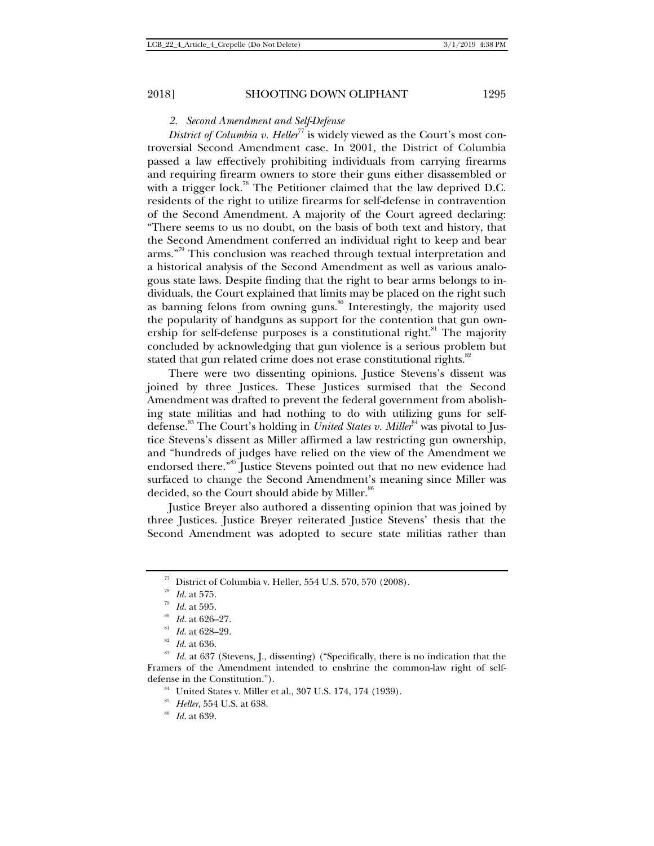### *2. Second Amendment and Self-Defense*

*District of Columbia v. Heller*<sup>77</sup> is widely viewed as the Court's most controversial Second Amendment case. In 2001, the District of Columbia passed a law effectively prohibiting individuals from carrying firearms and requiring firearm owners to store their guns either disassembled or with a trigger lock.<sup>78</sup> The Petitioner claimed that the law deprived D.C. residents of the right to utilize firearms for self-defense in contravention of the Second Amendment. A majority of the Court agreed declaring: "There seems to us no doubt, on the basis of both text and history, that the Second Amendment conferred an individual right to keep and bear arms."<sup>79</sup> This conclusion was reached through textual interpretation and a historical analysis of the Second Amendment as well as various analogous state laws. Despite finding that the right to bear arms belongs to individuals, the Court explained that limits may be placed on the right such as banning felons from owning guns.<sup>80</sup> Interestingly, the majority used the popularity of handguns as support for the contention that gun ownership for self-defense purposes is a constitutional right.<sup>81</sup> The majority concluded by acknowledging that gun violence is a serious problem but stated that gun related crime does not erase constitutional rights.<sup>82</sup>

There were two dissenting opinions. Justice Stevens's dissent was joined by three Justices. These Justices surmised that the Second Amendment was drafted to prevent the federal government from abolishing state militias and had nothing to do with utilizing guns for selfdefense.<sup>83</sup> The Court's holding in *United States v. Miller*<sup>84</sup> was pivotal to Justice Stevens's dissent as Miller affirmed a law restricting gun ownership, and "hundreds of judges have relied on the view of the Amendment we endorsed there."<sup>85</sup> Justice Stevens pointed out that no new evidence had surfaced to change the Second Amendment's meaning since Miller was decided, so the Court should abide by Miller.<sup>86</sup>

Justice Breyer also authored a dissenting opinion that was joined by three Justices. Justice Breyer reiterated Justice Stevens' thesis that the Second Amendment was adopted to secure state militias rather than

<sup>&</sup>lt;sup>77</sup> District of Columbia v. Heller, 554 U.S. 570, 570 (2008).<br><sup>78</sup> Id. at 575.<br><sup>79</sup> Id. at 595.<br><sup>89</sup> Id. at 626–27.<br><sup>81</sup> Id. at 628–29.<br><sup>82</sup> Id. at 636.<br><sup>82</sup> Id. at 637 (Stevens, J., dissenting) ("Specifically, there is Framers of the Amendment intended to enshrine the common-law right of selfdefense in the Constitution.").<br><sup>84</sup> United States v. Miller et al., 307 U.S. 174, 174 (1939).<br><sup>85</sup> *Heller*, 554 U.S. at 638.<br><sup>86</sup> *Id.* at 639.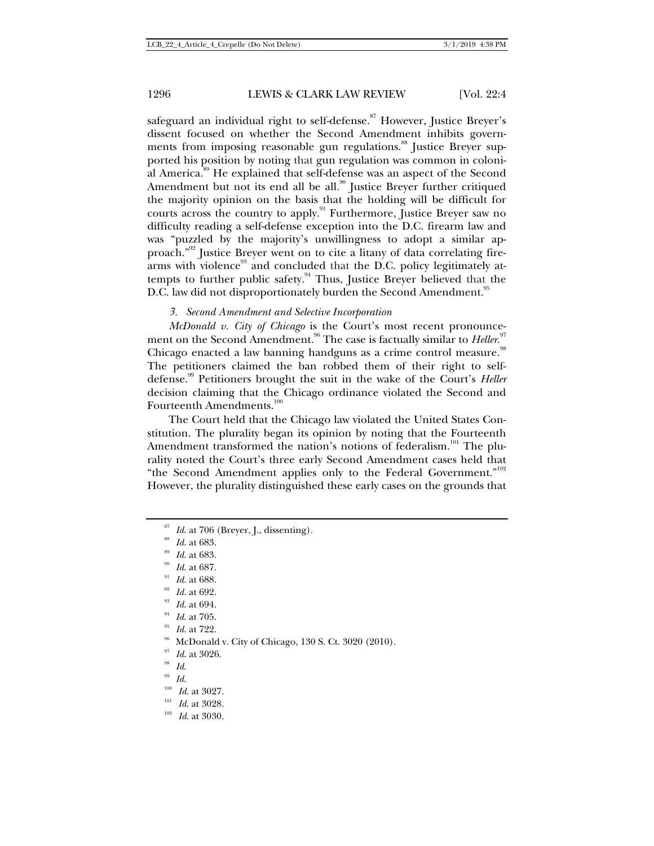safeguard an individual right to self-defense.<sup>87</sup> However, Justice Breyer's dissent focused on whether the Second Amendment inhibits governments from imposing reasonable gun regulations.<sup>88</sup> Justice Breyer supported his position by noting that gun regulation was common in colonial America.89 He explained that self-defense was an aspect of the Second Amendment but not its end all be all.<sup>90</sup> Justice Breyer further critiqued the majority opinion on the basis that the holding will be difficult for courts across the country to apply.<sup>91</sup> Furthermore, Justice Breyer saw no difficulty reading a self-defense exception into the D.C. firearm law and was "puzzled by the majority's unwillingness to adopt a similar approach."92 Justice Breyer went on to cite a litany of data correlating firearms with violence<sup>93</sup> and concluded that the D.C. policy legitimately attempts to further public safety.<sup>94</sup> Thus, Justice Breyer believed that the D.C. law did not disproportionately burden the Second Amendment.<sup>95</sup>

#### *3. Second Amendment and Selective Incorporation*

*McDonald v. City of Chicago* is the Court's most recent pronouncement on the Second Amendment.<sup>96</sup> The case is factually similar to *Heller.*<sup>97</sup> Chicago enacted a law banning handguns as a crime control measure.<sup>98</sup> The petitioners claimed the ban robbed them of their right to selfdefense.99 Petitioners brought the suit in the wake of the Court's *Heller* decision claiming that the Chicago ordinance violated the Second and Fourteenth Amendments.<sup>100</sup>

The Court held that the Chicago law violated the United States Constitution. The plurality began its opinion by noting that the Fourteenth Amendment transformed the nation's notions of federalism.<sup>101</sup> The plurality noted the Court's three early Second Amendment cases held that "the Second Amendment applies only to the Federal Government."<sup>102</sup> However, the plurality distinguished these early cases on the grounds that

- 
- 
- 
- 
- 
- <sup>87</sup> Id. at 706 (Breyer, J., dissenting).<br>
<sup>88</sup> Id. at 683.<br>
<sup>99</sup> Id. at 683.<br>
<sup>99</sup> Id. at 687.<br>
<sup>91</sup> Id. at 688.<br>
<sup>92</sup> Id. at 692.<br>
<sup>93</sup> Id. at 705.<br>
<sup>95</sup> Id. at 722.<br>
<sup>96</sup> Id. at 722.<br>
<sup>96</sup> Id. at 3026.<br>
<sup>97</sup> Id. at 3027
- 
- 
- 
- 
- 
-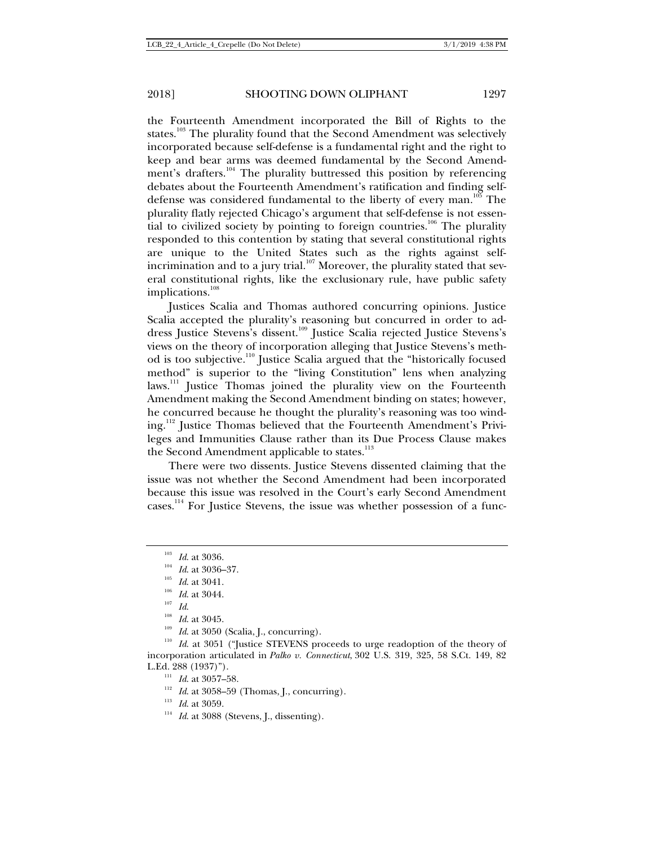the Fourteenth Amendment incorporated the Bill of Rights to the states.<sup>103</sup> The plurality found that the Second Amendment was selectively incorporated because self-defense is a fundamental right and the right to keep and bear arms was deemed fundamental by the Second Amendment's drafters.<sup>104</sup> The plurality buttressed this position by referencing debates about the Fourteenth Amendment's ratification and finding selfdefense was considered fundamental to the liberty of every man.<sup>105</sup> The plurality flatly rejected Chicago's argument that self-defense is not essential to civilized society by pointing to foreign countries.<sup>106</sup> The plurality responded to this contention by stating that several constitutional rights are unique to the United States such as the rights against selfincrimination and to a jury trial.<sup>107</sup> Moreover, the plurality stated that several constitutional rights, like the exclusionary rule, have public safety implications.<sup>108</sup>

Justices Scalia and Thomas authored concurring opinions. Justice Scalia accepted the plurality's reasoning but concurred in order to address Justice Stevens's dissent.109 Justice Scalia rejected Justice Stevens's views on the theory of incorporation alleging that Justice Stevens's method is too subjective.110 Justice Scalia argued that the "historically focused method" is superior to the "living Constitution" lens when analyzing laws.<sup>111</sup> Justice Thomas joined the plurality view on the Fourteenth Amendment making the Second Amendment binding on states; however, he concurred because he thought the plurality's reasoning was too winding.<sup>112</sup> Justice Thomas believed that the Fourteenth Amendment's Privileges and Immunities Clause rather than its Due Process Clause makes the Second Amendment applicable to states.<sup>113</sup>

There were two dissents. Justice Stevens dissented claiming that the issue was not whether the Second Amendment had been incorporated because this issue was resolved in the Court's early Second Amendment cases.<sup>114</sup> For Justice Stevens, the issue was whether possession of a func-

<sup>&</sup>lt;sup>103</sup> *Id.* at 3036.<br>
<sup>104</sup> *Id.* at 3036–37.<br>
<sup>105</sup> *Id.* at 3041.<br>
<sup>106</sup> *Id.* at 3044.<br>
<sup>107</sup> *Id.*<br> *Id.* at 3045.<br>
<sup>109</sup> *Id.* at 3050 (Scalia, J., concurring).<br>
<sup>109</sup> *Id.* at 3051 ("Justice STEVENS proceeds to urge incorporation articulated in *Palko v. Connecticut*, 302 U.S. 319, 325, 58 S.Ct. 149, 82 L.Ed. 288 (1937)").<br><sup>111</sup> *Id.* at 3057–58.<br><sup>112</sup> *Id.* at 3058–59 (Thomas, J., concurring).<br><sup>113</sup> *Id.* at 3059.<br><sup>114</sup> *Id.* at 3088 (Stevens, J., dissenting).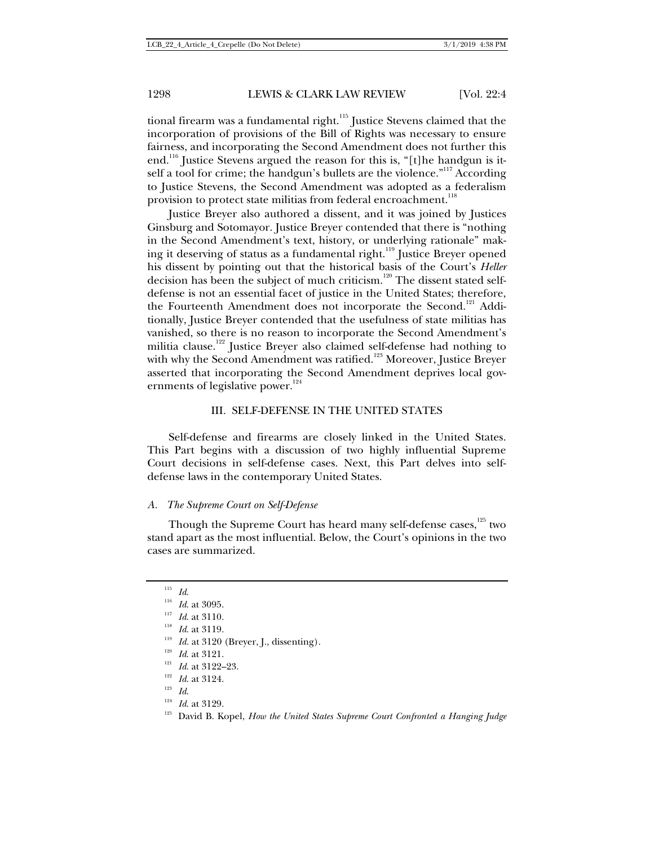tional firearm was a fundamental right.<sup>115</sup> Justice Stevens claimed that the incorporation of provisions of the Bill of Rights was necessary to ensure fairness, and incorporating the Second Amendment does not further this end.<sup>116</sup> Justice Stevens argued the reason for this is, "[t]he handgun is itself a tool for crime; the handgun's bullets are the violence."<sup>117</sup> According to Justice Stevens, the Second Amendment was adopted as a federalism provision to protect state militias from federal encroachment.<sup>118</sup>

Justice Breyer also authored a dissent, and it was joined by Justices Ginsburg and Sotomayor. Justice Breyer contended that there is "nothing in the Second Amendment's text, history, or underlying rationale" making it deserving of status as a fundamental right.<sup>119</sup> Justice Breyer opened his dissent by pointing out that the historical basis of the Court's *Heller* decision has been the subject of much criticism.<sup>120</sup> The dissent stated selfdefense is not an essential facet of justice in the United States; therefore, the Fourteenth Amendment does not incorporate the Second.<sup>121</sup> Additionally, Justice Breyer contended that the usefulness of state militias has vanished, so there is no reason to incorporate the Second Amendment's militia clause.<sup>122</sup> Justice Breyer also claimed self-defense had nothing to with why the Second Amendment was ratified.<sup>123</sup> Moreover, Justice Breyer asserted that incorporating the Second Amendment deprives local governments of legislative power.<sup>124</sup>

### III. SELF-DEFENSE IN THE UNITED STATES

Self-defense and firearms are closely linked in the United States. This Part begins with a discussion of two highly influential Supreme Court decisions in self-defense cases. Next, this Part delves into selfdefense laws in the contemporary United States.

#### *A. The Supreme Court on Self-Defense*

Though the Supreme Court has heard many self-defense cases,<sup>125</sup> two stand apart as the most influential. Below, the Court's opinions in the two cases are summarized.

<sup>&</sup>lt;sup>115</sup> *Id.*<br><sup>116</sup> *Id.* at 3095.<br><sup>117</sup> *Id.* at 3110.<br><sup>118</sup> *Id.* at 3119.<br><sup>119</sup> *Id.* at 3121.<br><sup>120</sup> *Id.* at 3121.<br><sup>121</sup> *Id.* at 3124.<br><sup>121</sup> *Id.* at 3124.<br><sup>123</sup> *Id.* at 3129.<br><sup>124</sup> *Id.* at 3129.<br><sup>124</sup> *Id.* at 3129.<br>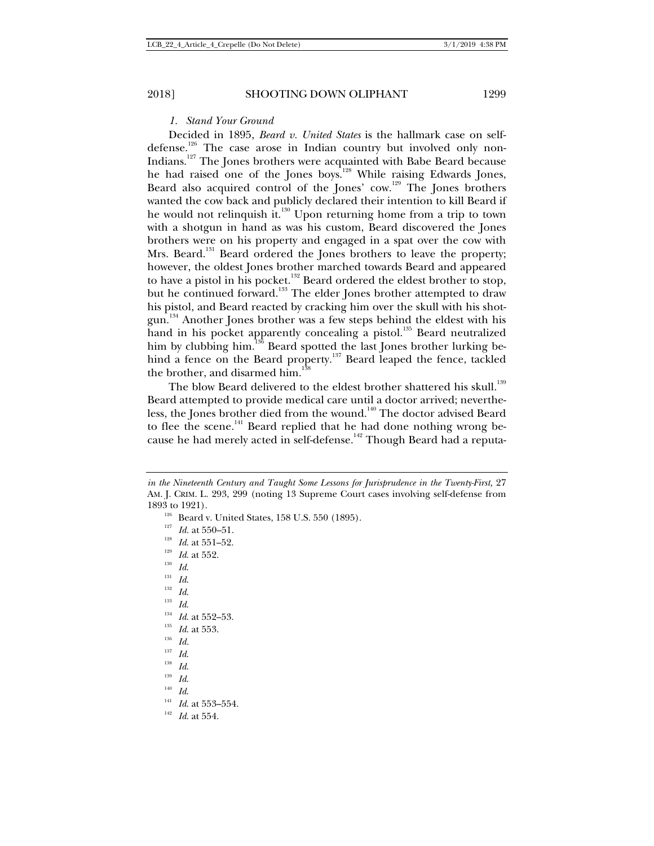*1. Stand Your Ground* 

Decided in 1895, *Beard v. United States* is the hallmark case on selfdefense.<sup>126</sup> The case arose in Indian country but involved only non-Indians.127 The Jones brothers were acquainted with Babe Beard because he had raised one of the Jones boys.<sup>128</sup> While raising Edwards Jones, Beard also acquired control of the Jones' cow.<sup>129</sup> The Jones brothers wanted the cow back and publicly declared their intention to kill Beard if he would not relinquish it.<sup>130</sup> Upon returning home from a trip to town with a shotgun in hand as was his custom, Beard discovered the Jones brothers were on his property and engaged in a spat over the cow with Mrs. Beard.<sup>131</sup> Beard ordered the Jones brothers to leave the property; however, the oldest Jones brother marched towards Beard and appeared to have a pistol in his pocket.<sup>132</sup> Beard ordered the eldest brother to stop, but he continued forward.<sup>133</sup> The elder Jones brother attempted to draw his pistol, and Beard reacted by cracking him over the skull with his shotgun.<sup>134</sup> Another Jones brother was a few steps behind the eldest with his hand in his pocket apparently concealing a pistol.<sup>135</sup> Beard neutralized him by clubbing him.<sup>136</sup> Beard spotted the last Jones brother lurking behind a fence on the Beard property.<sup>137</sup> Beard leaped the fence, tackled the brother, and disarmed him.<sup>1</sup>

The blow Beard delivered to the eldest brother shattered his skull.<sup>139</sup> Beard attempted to provide medical care until a doctor arrived; nevertheless, the Jones brother died from the wound.<sup>140</sup> The doctor advised Beard to flee the scene.<sup>141</sup> Beard replied that he had done nothing wrong because he had merely acted in self-defense.<sup>142</sup> Though Beard had a reputa-

1893 to 1921).<br>
<sup>126</sup> Beard v. United States, 158 U.S. 550 (1895).<br>
<sup>127</sup> *Id.* at 550–51.<br>
<sup>128</sup> *Id.* at 551–52.<br>
<sup>139</sup> *Id.*<br>
<sup>131</sup> *Id.*<br>
<sup>131</sup> *Id.*<br>
<sup>131</sup> *Id.*<br>
<sup>134</sup> *Id.* at 552–53.<br>
<sup>135</sup> *Id.* at 553.<br>
<sup>135</sup> *I* 

- 
- 
- 
- 
- 
- 
- 
- 
- 
- 
- 
- 

*in the Nineteenth Century and Taught Some Lessons for Jurisprudence in the Twenty-First, 27* AM. J. CRIM. L. 293, 299 (noting 13 Supreme Court cases involving self-defense from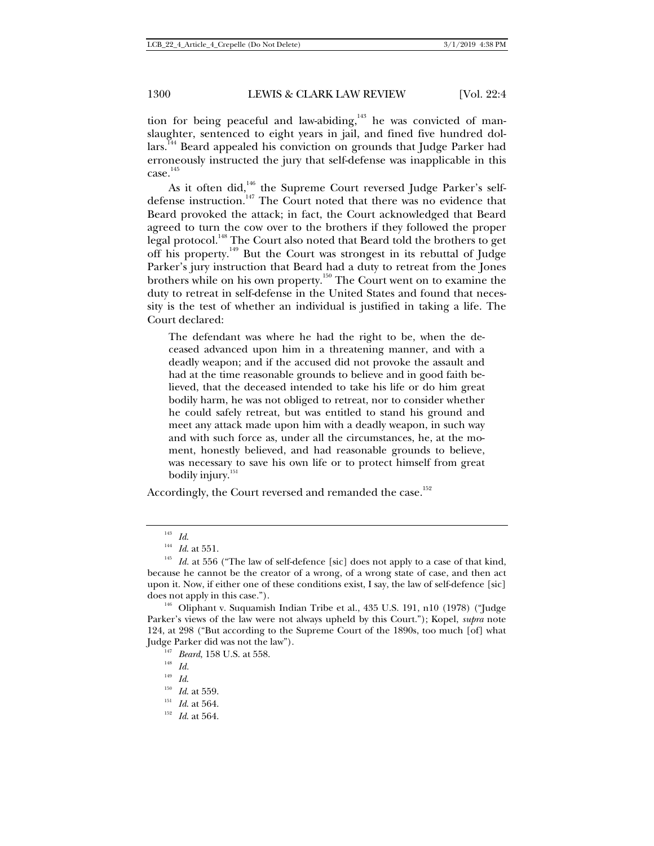tion for being peaceful and law-abiding,<sup>143</sup> he was convicted of manslaughter, sentenced to eight years in jail, and fined five hundred dollars.<sup>144</sup> Beard appealed his conviction on grounds that Judge Parker had erroneously instructed the jury that self-defense was inapplicable in this  $case.<sup>145</sup>$ 

As it often did,<sup>146</sup> the Supreme Court reversed Judge Parker's selfdefense instruction.<sup>147</sup> The Court noted that there was no evidence that Beard provoked the attack; in fact, the Court acknowledged that Beard agreed to turn the cow over to the brothers if they followed the proper legal protocol.<sup>148</sup> The Court also noted that Beard told the brothers to get off his property.<sup>149</sup> But the Court was strongest in its rebuttal of Judge Parker's jury instruction that Beard had a duty to retreat from the Jones brothers while on his own property.150 The Court went on to examine the duty to retreat in self-defense in the United States and found that necessity is the test of whether an individual is justified in taking a life. The Court declared:

The defendant was where he had the right to be, when the deceased advanced upon him in a threatening manner, and with a deadly weapon; and if the accused did not provoke the assault and had at the time reasonable grounds to believe and in good faith believed, that the deceased intended to take his life or do him great bodily harm, he was not obliged to retreat, nor to consider whether he could safely retreat, but was entitled to stand his ground and meet any attack made upon him with a deadly weapon, in such way and with such force as, under all the circumstances, he, at the moment, honestly believed, and had reasonable grounds to believe, was necessary to save his own life or to protect himself from great bodily injury.<sup>151</sup>

Accordingly, the Court reversed and remanded the case.<sup>152</sup>

<sup>&</sup>lt;sup>143</sup> *Id.* 145 *Id.* 145 *Id.* at 551. 145 *Id.* at 556 ("The law of self-defence [sic] does not apply to a case of that kind, because he cannot be the creator of a wrong, of a wrong state of case, and then act upon it. Now, if either one of these conditions exist, I say, the law of self-defence [sic] does not apply in this case."). 146 Oliphant v. Suquamish Indian Tribe et al., 435 U.S. 191, n10 (1978) ("Judge

Parker's views of the law were not always upheld by this Court."); Kopel, *supra* note 124, at 298 ("But according to the Supreme Court of the 1890s, too much [of] what Judge Parker did was not the law"). 147 *Beard*, 158 U.S. at 558. 148 *Id.*<sup>149</sup> *Id*. 150 *Id*. at 559. 151 *Id*. at 564. 152 *Id*. at 564.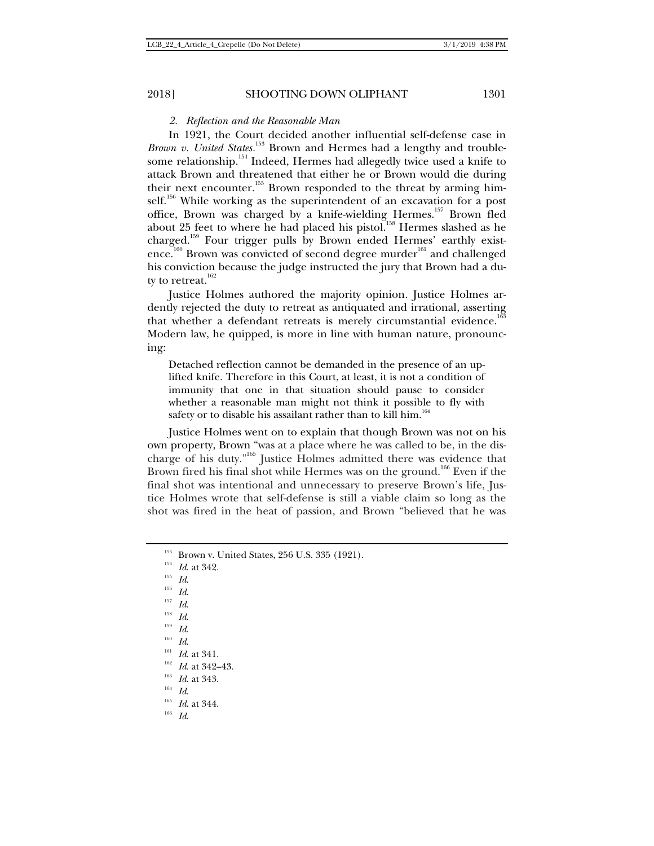#### *2. Reflection and the Reasonable Man*

In 1921, the Court decided another influential self-defense case in *Brown v. United States.*<sup>153</sup> Brown and Hermes had a lengthy and troublesome relationship.<sup>154</sup> Indeed, Hermes had allegedly twice used a knife to attack Brown and threatened that either he or Brown would die during their next encounter.<sup>155</sup> Brown responded to the threat by arming himself.<sup>156</sup> While working as the superintendent of an excavation for a post office, Brown was charged by a knife-wielding Hermes.<sup>157</sup> Brown fled about 25 feet to where he had placed his pistol.<sup>158</sup> Hermes slashed as he charged.159 Four trigger pulls by Brown ended Hermes' earthly existence.<sup>160</sup> Brown was convicted of second degree murder<sup>161</sup> and challenged his conviction because the judge instructed the jury that Brown had a duty to retreat. $162$ 

Justice Holmes authored the majority opinion. Justice Holmes ardently rejected the duty to retreat as antiquated and irrational, asserting that whether a defendant retreats is merely circumstantial evidence.<sup>16</sup> Modern law, he quipped, is more in line with human nature, pronouncing:

Detached reflection cannot be demanded in the presence of an uplifted knife. Therefore in this Court, at least, it is not a condition of immunity that one in that situation should pause to consider whether a reasonable man might not think it possible to fly with safety or to disable his assailant rather than to kill him.<sup>164</sup>

Justice Holmes went on to explain that though Brown was not on his own property, Brown "was at a place where he was called to be, in the discharge of his duty."165 Justice Holmes admitted there was evidence that Brown fired his final shot while Hermes was on the ground.<sup>166</sup> Even if the final shot was intentional and unnecessary to preserve Brown's life, Justice Holmes wrote that self-defense is still a viable claim so long as the shot was fired in the heat of passion, and Brown "believed that he was

- 
- 

- 
- 

- 
- 

<sup>&</sup>lt;sup>153</sup> Brown v. United States, 256 U.S. 335 (1921).<br><sup>154</sup> *Id.* at 342.<br><sup>155</sup> *Id.*<br><sup>155</sup> *Id.*<br><sup>158</sup> *Id.*<br><sup>158</sup> *Id.*<br><sup>158</sup> *Id.*<br><sup>158</sup> *Id.*<br><sup>158</sup> *Id.*<br>*Id.*<br>*Id.*<br>*Id. Id.* at 341.<br><sup>162</sup> *Id.* at 342–43.<br><sup>164</sup> *Id.*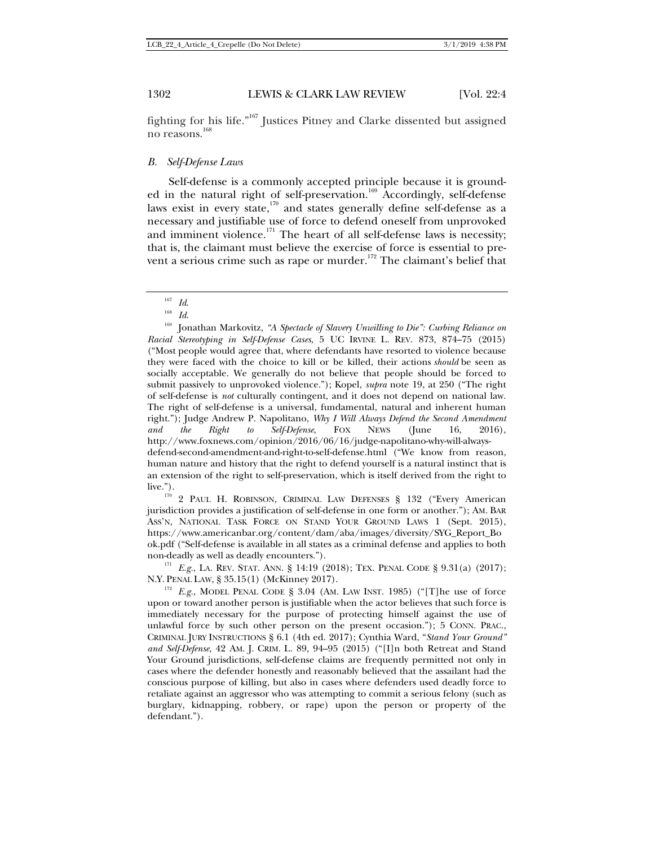fighting for his life."167 Justices Pitney and Clarke dissented but assigned no reasons.<sup>168</sup>

#### *B. Self-Defense Laws*

Self-defense is a commonly accepted principle because it is grounded in the natural right of self-preservation.<sup>169</sup> Accordingly, self-defense laws exist in every state, $170$  and states generally define self-defense as a necessary and justifiable use of force to defend oneself from unprovoked and imminent violence.<sup>171</sup> The heart of all self-defense laws is necessity; that is, the claimant must believe the exercise of force is essential to prevent a serious crime such as rape or murder.<sup>172</sup> The claimant's belief that

live.").<br><sup>170</sup> 2 PAUL H. ROBINSON, CRIMINAL LAW DEFENSES § 132 ("Every American jurisdiction provides a justification of self-defense in one form or another."); AM. BAR ASS'N, NATIONAL TASK FORCE ON STAND YOUR GROUND LAWS 1 (Sept. 2015), https://www.americanbar.org/content/dam/aba/images/diversity/SYG\_Report\_Bo ok.pdf ("Self-defense is available in all states as a criminal defense and applies to both

non-deadly as well as deadly encounters.").<br><sup>171</sup> *E.g.*, LA. REV. STAT. ANN. § 14:19 (2018); TEX. PENAL CODE § 9.31(a) (2017); N.Y. PENAL LAW, § 35.15(1) (McKinney 2017).

 $E.g.,$  MODEL PENAL CODE § 3.04 (AM. LAW INST. 1985) ("[T]he use of force upon or toward another person is justifiable when the actor believes that such force is immediately necessary for the purpose of protecting himself against the use of unlawful force by such other person on the present occasion."); 5 CONN. PRAC., CRIMINAL JURY INSTRUCTIONS § 6.1 (4th ed. 2017); Cynthia Ward, "*Stand Your Ground" and Self-Defense*, 42 AM. J. CRIM. L. 89, 94–95 (2015) ("[I]n both Retreat and Stand Your Ground jurisdictions, self-defense claims are frequently permitted not only in cases where the defender honestly and reasonably believed that the assailant had the conscious purpose of killing, but also in cases where defenders used deadly force to retaliate against an aggressor who was attempting to commit a serious felony (such as burglary, kidnapping, robbery, or rape) upon the person or property of the defendant.").

<sup>&</sup>lt;sup>167</sup> *Id.*<br><sup>168</sup> *Id.* 109 Jonathan Markovitz, "A Spectacle of Slavery Unwilling to Die": Curbing Reliance on *Racial Stereotyping in Self-Defense Cases*, 5 UC IRVINE L. REV. 873, 874–75 (2015) ("Most people would agree that, where defendants have resorted to violence because they were faced with the choice to kill or be killed, their actions *should* be seen as socially acceptable. We generally do not believe that people should be forced to submit passively to unprovoked violence."); Kopel, *supra* note 19, at 250 ("The right of self-defense is *not* culturally contingent, and it does not depend on national law. The right of self-defense is a universal, fundamental, natural and inherent human right."); Judge Andrew P. Napolitano, *Why I Will Always Defend the Second Amendment and the Right to Self-Defense*, FOX NEWS (June 16, 2016), http://www.foxnews.com/opinion/2016/06/16/judge-napolitano-why-will-alwaysdefend-second-amendment-and-right-to-self-defense.html ("We know from reason, human nature and history that the right to defend yourself is a natural instinct that is an extension of the right to self-preservation, which is itself derived from the right to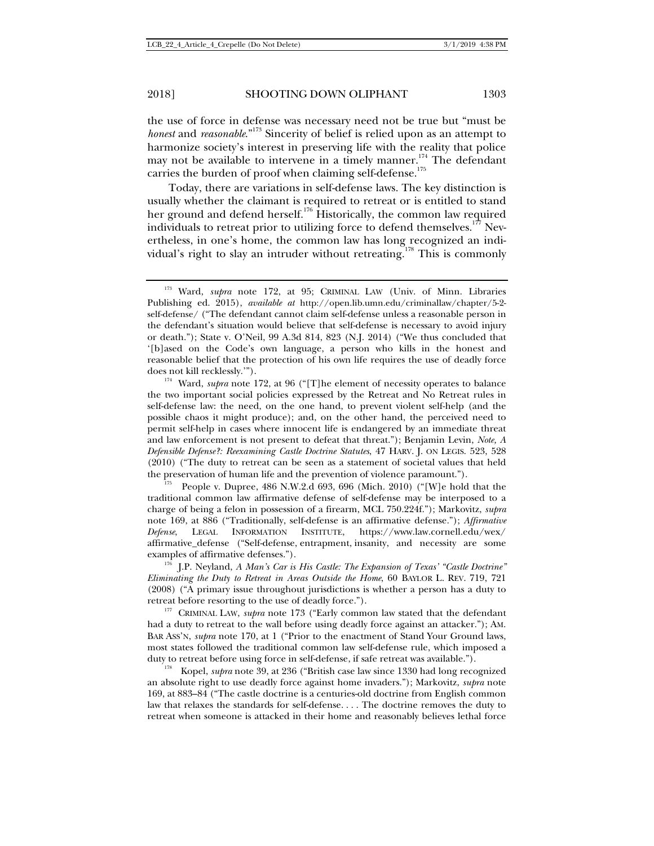the use of force in defense was necessary need not be true but "must be *honest* and *reasonable*."173 Sincerity of belief is relied upon as an attempt to harmonize society's interest in preserving life with the reality that police may not be available to intervene in a timely manner.<sup>174</sup> The defendant carries the burden of proof when claiming self-defense.<sup>175</sup>

Today, there are variations in self-defense laws. The key distinction is usually whether the claimant is required to retreat or is entitled to stand her ground and defend herself.<sup>176</sup> Historically, the common law required individuals to retreat prior to utilizing force to defend themselves.<sup>177</sup> Nevertheless, in one's home, the common law has long recognized an individual's right to slay an intruder without retreating.<sup>178</sup> This is commonly

traditional common law affirmative defense of self-defense may be interposed to a charge of being a felon in possession of a firearm, MCL 750.224f."); Markovitz, *supra*  note 169, at 886 ("Traditionally, self-defense is an affirmative defense."); *Affirmative Defense*, LEGAL INFORMATION INSTITUTE, https://www.law.cornell.edu/wex/ affirmative\_defense ("Self-defense, entrapment, insanity, and necessity are some examples of affirmative defenses.").<br><sup>176</sup> J.P. Neyland, *A Man's Car is His Castle: The Expansion of Texas' "Castle Doctrine"* 

*Eliminating the Duty to Retreat in Areas Outside the Home*, 60 BAYLOR L. REV. 719, 721 (2008) ("A primary issue throughout jurisdictions is whether a person has a duty to

retreat before resorting to the use of deadly force."). 177 CRIMINAL LAW, *supra* note 173 ("Early common law stated that the defendant had a duty to retreat to the wall before using deadly force against an attacker."); AM. BAR ASS'N, *supra* note 170, at 1 ("Prior to the enactment of Stand Your Ground laws, most states followed the traditional common law self-defense rule, which imposed a

duty to retreat before using force in self-defense, if safe retreat was available."). 178 Kopel, *supra* note 39, at 236 ("British case law since 1330 had long recognized an absolute right to use deadly force against home invaders."); Markovitz, *supra* note 169, at 883–84 ("The castle doctrine is a centuries-old doctrine from English common law that relaxes the standards for self-defense. . . . The doctrine removes the duty to retreat when someone is attacked in their home and reasonably believes lethal force

<sup>173</sup> Ward, *supra* note 172, at 95; CRIMINAL LAW (Univ. of Minn. Libraries Publishing ed. 2015), *available at* http://open.lib.umn.edu/criminallaw/chapter/5-2 self-defense/ ("The defendant cannot claim self-defense unless a reasonable person in the defendant's situation would believe that self-defense is necessary to avoid injury or death."); State v. O'Neil, 99 A.3d 814, 823 (N.J. 2014) ("We thus concluded that '[b]ased on the Code's own language, a person who kills in the honest and reasonable belief that the protection of his own life requires the use of deadly force

does not kill recklessly."').<br><sup>174</sup> Ward, *supra* note 172, at 96 ("[T]he element of necessity operates to balance the two important social policies expressed by the Retreat and No Retreat rules in self-defense law: the need, on the one hand, to prevent violent self-help (and the possible chaos it might produce); and, on the other hand, the perceived need to permit self-help in cases where innocent life is endangered by an immediate threat and law enforcement is not present to defeat that threat."); Benjamin Levin, *Note, A Defensible Defense?: Reexamining Castle Doctrine Statutes*, 47 HARV. J. ON LEGIS. 523, 528 (2010) ("The duty to retreat can be seen as a statement of societal values that held the preservation of human life and the prevention of violence paramount.").<br><sup>175</sup> People v. Dupree, 486 N.W.2.d 693, 696 (Mich. 2010) ("[W]e hold that the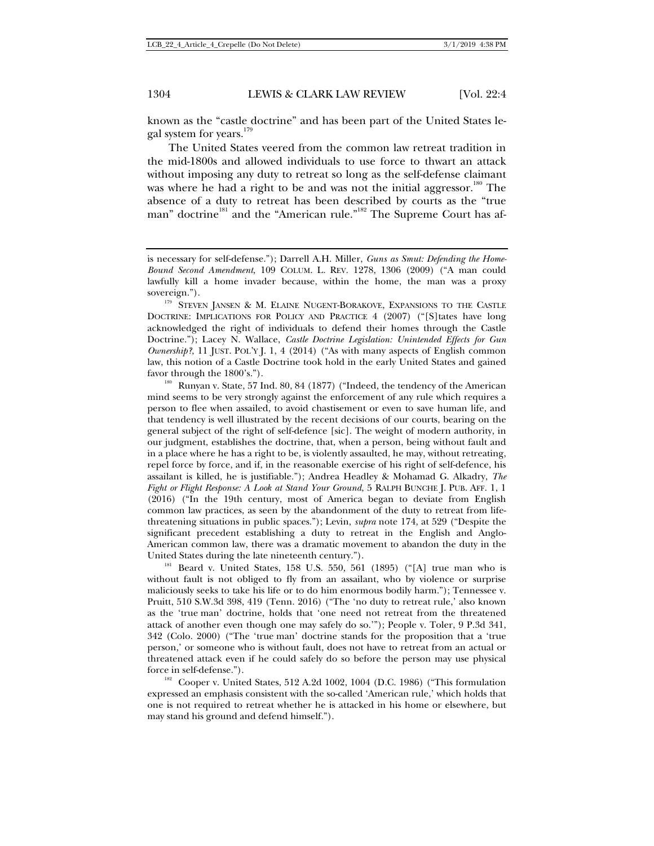known as the "castle doctrine" and has been part of the United States legal system for years.<sup>179</sup>

The United States veered from the common law retreat tradition in the mid-1800s and allowed individuals to use force to thwart an attack without imposing any duty to retreat so long as the self-defense claimant was where he had a right to be and was not the initial aggressor.<sup>180</sup> The absence of a duty to retreat has been described by courts as the "true man" doctrine<sup>181</sup> and the "American rule."<sup>182</sup> The Supreme Court has af-

favor through the 1800's.").<br><sup>180</sup> Runyan v. State, 57 Ind. 80, 84 (1877) ("Indeed, the tendency of the American mind seems to be very strongly against the enforcement of any rule which requires a person to flee when assailed, to avoid chastisement or even to save human life, and that tendency is well illustrated by the recent decisions of our courts, bearing on the general subject of the right of self-defence [sic]. The weight of modern authority, in our judgment, establishes the doctrine, that, when a person, being without fault and in a place where he has a right to be, is violently assaulted, he may, without retreating, repel force by force, and if, in the reasonable exercise of his right of self-defence, his assailant is killed, he is justifiable."); Andrea Headley & Mohamad G. Alkadry, *The Fight or Flight Response: A Look at Stand Your Ground*, 5 RALPH BUNCHE J. PUB. AFF. 1, 1 (2016) ("In the 19th century, most of America began to deviate from English common law practices, as seen by the abandonment of the duty to retreat from lifethreatening situations in public spaces."); Levin, *supra* note 174, at 529 ("Despite the significant precedent establishing a duty to retreat in the English and Anglo-American common law, there was a dramatic movement to abandon the duty in the United States during the late nineteenth century.").<br><sup>181</sup> Beard v. United States, 158 U.S. 550, 561 (1895) ("[A] true man who is

without fault is not obliged to fly from an assailant, who by violence or surprise maliciously seeks to take his life or to do him enormous bodily harm."); Tennessee v. Pruitt, 510 S.W.3d 398, 419 (Tenn. 2016) ("The 'no duty to retreat rule,' also known as the 'true man' doctrine, holds that 'one need not retreat from the threatened attack of another even though one may safely do so.'"); People v. Toler, 9 P.3d 341, 342 (Colo. 2000) ("The 'true man' doctrine stands for the proposition that a 'true person,' or someone who is without fault, does not have to retreat from an actual or threatened attack even if he could safely do so before the person may use physical force in self-defense.").<br><sup>182</sup> Cooper v. United States, 512 A.2d 1002, 1004 (D.C. 1986) ("This formulation

expressed an emphasis consistent with the so-called 'American rule,' which holds that one is not required to retreat whether he is attacked in his home or elsewhere, but may stand his ground and defend himself.").

is necessary for self-defense."); Darrell A.H. Miller, *Guns as Smut: Defending the Home-Bound Second Amendment*, 109 COLUM. L. REV. 1278, 1306 (2009) ("A man could lawfully kill a home invader because, within the home, the man was a proxy sovereign.").

<sup>&</sup>lt;sup>179</sup> STEVEN JANSEN & M. ELAINE NUGENT-BORAKOVE, EXPANSIONS TO THE CASTLE DOCTRINE: IMPLICATIONS FOR POLICY AND PRACTICE 4 (2007) ("[S]tates have long acknowledged the right of individuals to defend their homes through the Castle Doctrine."); Lacey N. Wallace, *Castle Doctrine Legislation: Unintended Effects for Gun Ownership?*, 11 JUST. POL'Y J. 1, 4 (2014) ("As with many aspects of English common law, this notion of a Castle Doctrine took hold in the early United States and gained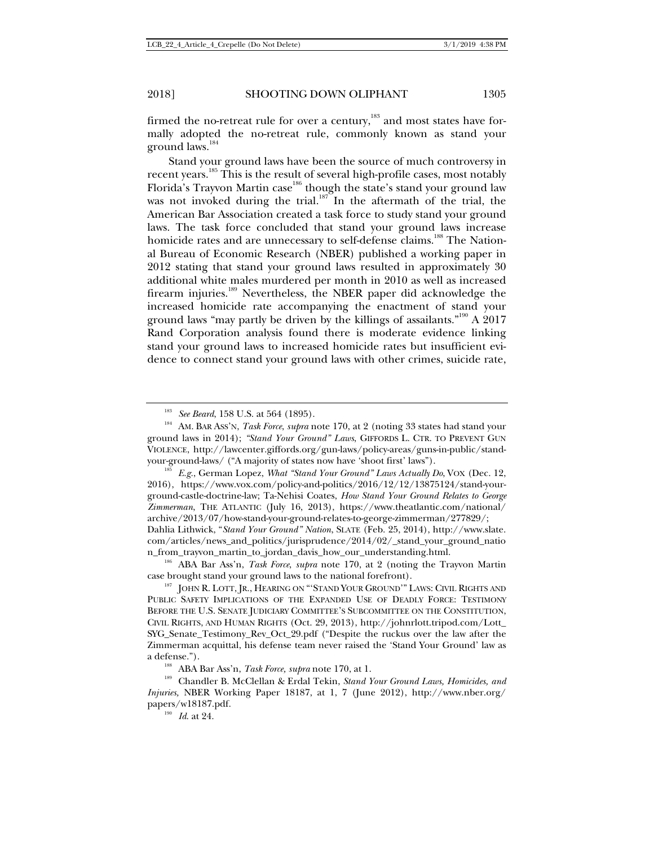firmed the no-retreat rule for over a century, $183$  and most states have formally adopted the no-retreat rule, commonly known as stand your ground laws.<sup>184</sup>

Stand your ground laws have been the source of much controversy in recent years.185 This is the result of several high-profile cases, most notably Florida's Trayvon Martin case<sup>186</sup> though the state's stand your ground law was not invoked during the trial.<sup>187</sup> In the aftermath of the trial, the American Bar Association created a task force to study stand your ground laws. The task force concluded that stand your ground laws increase homicide rates and are unnecessary to self-defense claims.<sup>188</sup> The National Bureau of Economic Research (NBER) published a working paper in 2012 stating that stand your ground laws resulted in approximately 30 additional white males murdered per month in 2010 as well as increased firearm injuries.<sup>189</sup> Nevertheless, the NBER paper did acknowledge the increased homicide rate accompanying the enactment of stand your ground laws "may partly be driven by the killings of assailants."<sup>190</sup> A 2017 Rand Corporation analysis found there is moderate evidence linking stand your ground laws to increased homicide rates but insufficient evidence to connect stand your ground laws with other crimes, suicide rate,

your-ground-laws/ ("A majority of states now have 'shoot first' laws"). 185 *E.g.*, German Lopez, *What "Stand Your Ground" Laws Actually Do*, VOX (Dec. 12, 2016), https://www.vox.com/policy-and-politics/2016/12/12/13875124/stand-yourground-castle-doctrine-law; Ta-Nehisi Coates, *How Stand Your Ground Relates to George Zimmerman*, THE ATLANTIC (July 16, 2013), https://www.theatlantic.com/national/ archive/2013/07/how-stand-your-ground-relates-to-george-zimmerman/277829/; Dahlia Lithwick, "*Stand Your Ground" Nation*, SLATE (Feb. 25, 2014), http://www.slate. com/articles/news\_and\_politics/jurisprudence/2014/02/\_stand\_your\_ground\_natio

n\_from\_trayvon\_martin\_to\_jordan\_davis\_how\_our\_understanding.html.

<sup>186</sup> ABA Bar Ass'n, *Task Force*, *supra* note 170, at 2 (noting the Trayvon Martin case brought stand your ground laws to the national forefront).

<sup>187</sup> JOHN R. LOTT, JR., HEARING ON "'STAND YOUR GROUND'" LAWS: CIVIL RIGHTS AND PUBLIC SAFETY IMPLICATIONS OF THE EXPANDED USE OF DEADLY FORCE: TESTIMONY BEFORE THE U.S. SENATE JUDICIARY COMMITTEE'S SUBCOMMITTEE ON THE CONSTITUTION, CIVIL RIGHTS, AND HUMAN RIGHTS (Oct. 29, 2013), http://johnrlott.tripod.com/Lott\_ SYG\_Senate\_Testimony\_Rev\_Oct\_29.pdf ("Despite the ruckus over the law after the Zimmerman acquittal, his defense team never raised the 'Stand Your Ground' law as

a defense.").<br><sup>188</sup> ABA Bar Ass'n, *Task Force, supra* note 170, at 1.<br><sup>189</sup> Chandler B. McClellan & Erdal Tekin, *Stand Your Ground Laws, Homicides, and Injuries,* NBER Working Paper 18187, at 1, 7 (June 2012), http://www.nber.org/ papers/w18187.pdf. 190 *Id*. at 24.

<sup>&</sup>lt;sup>183</sup> *See Beard*, 158 U.S. at 564 (1895).<br><sup>184</sup> AM. BAR Ass'N, *Task Force, supra* note 170, at 2 (noting 33 states had stand your ground laws in 2014); *"Stand Your Ground" Laws*, GIFFORDS L. CTR. TO PREVENT GUN VIOLENCE, http://lawcenter.giffords.org/gun-laws/policy-areas/guns-in-public/stand-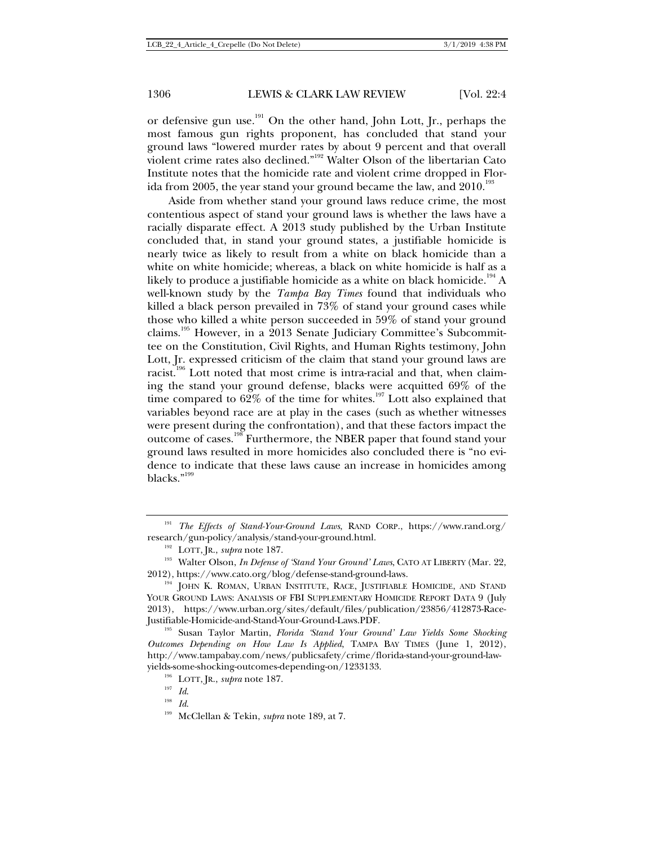or defensive gun use.<sup>191</sup> On the other hand, John Lott, Jr., perhaps the most famous gun rights proponent, has concluded that stand your ground laws "lowered murder rates by about 9 percent and that overall violent crime rates also declined."192 Walter Olson of the libertarian Cato Institute notes that the homicide rate and violent crime dropped in Florida from 2005, the year stand your ground became the law, and  $2010^{193}$ 

Aside from whether stand your ground laws reduce crime, the most contentious aspect of stand your ground laws is whether the laws have a racially disparate effect. A 2013 study published by the Urban Institute concluded that, in stand your ground states, a justifiable homicide is nearly twice as likely to result from a white on black homicide than a white on white homicide; whereas, a black on white homicide is half as a likely to produce a justifiable homicide as a white on black homicide.<sup>194</sup> A well-known study by the *Tampa Bay Times* found that individuals who killed a black person prevailed in 73% of stand your ground cases while those who killed a white person succeeded in 59% of stand your ground claims.195 However, in a 2013 Senate Judiciary Committee's Subcommittee on the Constitution, Civil Rights, and Human Rights testimony, John Lott, Jr. expressed criticism of the claim that stand your ground laws are racist.<sup>196</sup> Lott noted that most crime is intra-racial and that, when claiming the stand your ground defense, blacks were acquitted 69% of the time compared to  $62\%$  of the time for whites.<sup>197</sup> Lott also explained that variables beyond race are at play in the cases (such as whether witnesses were present during the confrontation), and that these factors impact the outcome of cases.198 Furthermore, the NBER paper that found stand your ground laws resulted in more homicides also concluded there is "no evidence to indicate that these laws cause an increase in homicides among blacks."<sup>199</sup>

<sup>191</sup> *The Effects of Stand-Your-Ground Laws*, RAND CORP., https://www.rand.org/

research/gun-policy/analysis/stand-your-ground.html.<br><sup>192</sup> LOTT, JR., *supra* note 187.<br><sup>193</sup> Walter Olson, *In Defense of 'Stand Your Ground' Laws*, CATO AT LIBERTY (Mar. 22, 2012), https://www.cato.org/blog/defense-stand-ground-laws. 194 JOHN K. ROMAN, URBAN INSTITUTE, RACE, JUSTIFIABLE HOMICIDE, AND STAND

YOUR GROUND LAWS: ANALYSIS OF FBI SUPPLEMENTARY HOMICIDE REPORT DATA 9 (July 2013), https://www.urban.org/sites/default/files/publication/23856/412873-Race-Justifiable-Homicide-and-Stand-Your-Ground-Laws.PDF. 195 Susan Taylor Martin, *Florida 'Stand Your Ground' Law Yields Some Shocking* 

*Outcomes Depending on How Law Is Applied*, TAMPA BAY TIMES (June 1, 2012), http://www.tampabay.com/news/publicsafety/crime/florida-stand-your-ground-lawyields-some-shocking-outcomes-depending-on/1233133.

<sup>196</sup> LOTT, JR., *supra* note 187. 197 *Id*. 198 *Id*. 199 McClellan & Tekin, *supra* note 189, at 7.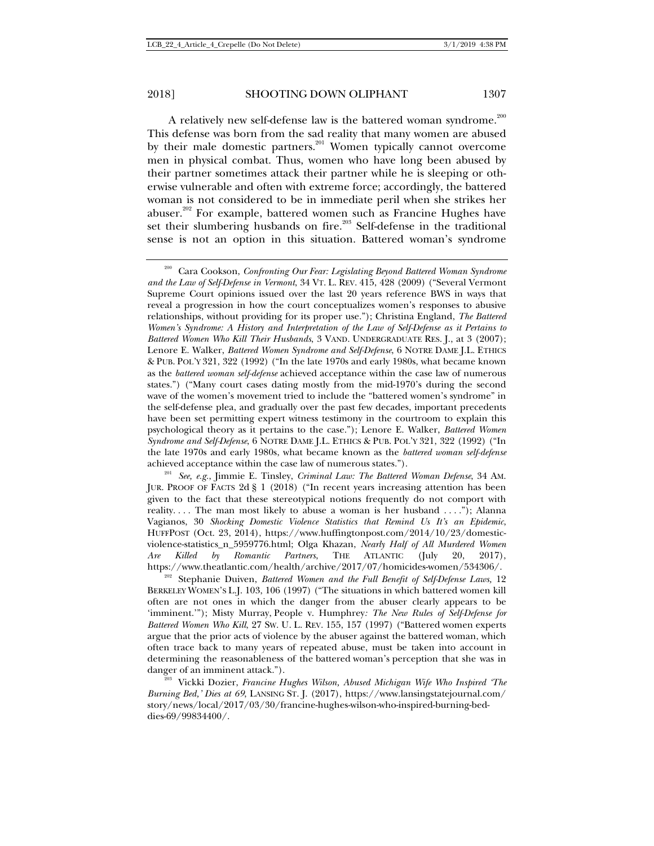A relatively new self-defense law is the battered woman syndrome.<sup>200</sup> This defense was born from the sad reality that many women are abused by their male domestic partners.<sup>201</sup> Women typically cannot overcome men in physical combat. Thus, women who have long been abused by their partner sometimes attack their partner while he is sleeping or otherwise vulnerable and often with extreme force; accordingly, the battered woman is not considered to be in immediate peril when she strikes her abuser.<sup>202</sup> For example, battered women such as Francine Hughes have set their slumbering husbands on fire.<sup>203</sup> Self-defense in the traditional sense is not an option in this situation. Battered woman's syndrome

<sup>200</sup> Cara Cookson, *Confronting Our Fear: Legislating Beyond Battered Woman Syndrome and the Law of Self-Defense in Vermont*, 34 VT. L. REV. 415, 428 (2009) ("Several Vermont Supreme Court opinions issued over the last 20 years reference BWS in ways that reveal a progression in how the court conceptualizes women's responses to abusive relationships, without providing for its proper use."); Christina England, *The Battered Women's Syndrome: A History and Interpretation of the Law of Self-Defense as it Pertains to Battered Women Who Kill Their Husbands*, 3 VAND. UNDERGRADUATE RES. J., at 3 (2007); Lenore E. Walker, *Battered Women Syndrome and Self-Defense*, 6 NOTRE DAME J.L. ETHICS & PUB. POL'Y 321, 322 (1992) ("In the late 1970s and early 1980s, what became known as the *battered woman self-defense* achieved acceptance within the case law of numerous states.") ("Many court cases dating mostly from the mid-1970's during the second wave of the women's movement tried to include the "battered women's syndrome" in the self-defense plea, and gradually over the past few decades, important precedents have been set permitting expert witness testimony in the courtroom to explain this psychological theory as it pertains to the case."); Lenore E. Walker, *Battered Women Syndrome and Self-Defense*, 6 NOTRE DAME J.L. ETHICS & PUB. POL'Y 321, 322 (1992) ("In the late 1970s and early 1980s, what became known as the *battered woman self-defense* achieved acceptance within the case law of numerous states.").

<sup>201</sup> *See, e.g.*, Jimmie E. Tinsley, *Criminal Law: The Battered Woman Defense*, 34 AM. JUR. PROOF OF FACTS 2d § 1 (2018) ("In recent years increasing attention has been given to the fact that these stereotypical notions frequently do not comport with reality. . . . The man most likely to abuse a woman is her husband . . . ."); Alanna Vagianos, 30 *Shocking Domestic Violence Statistics that Remind Us It's an Epidemic*, HUFFPOST (Oct. 23, 2014), https://www.huffingtonpost.com/2014/10/23/domesticviolence-statistics\_n\_5959776.html; Olga Khazan, *Nearly Half of All Murdered Women Are Killed by Romantic Partners*, THE ATLANTIC (July 20, 2017),

<sup>&</sup>lt;sup>202</sup> Stephanie Duiven, *Battered Women and the Full Benefit of Self-Defense Laws*, 12 BERKELEY WOMEN'S L.J. 103, 106 (1997) ("The situations in which battered women kill often are not ones in which the danger from the abuser clearly appears to be 'imminent.'"); Misty Murray, People v. Humphrey*: The New Rules of Self-Defense for Battered Women Who Kill*, 27 SW. U. L. REV. 155, 157 (1997) ("Battered women experts argue that the prior acts of violence by the abuser against the battered woman, which often trace back to many years of repeated abuse, must be taken into account in determining the reasonableness of the battered woman's perception that she was in danger of an imminent attack.").<br><sup>203</sup> Vickki Dozier, *Francine Hughes Wilson, Abused Michigan Wife Who Inspired 'The* 

*Burning Bed,' Dies at 69*, LANSING ST. J. (2017), https://www.lansingstatejournal.com/ story/news/local/2017/03/30/francine-hughes-wilson-who-inspired-burning-beddies-69/99834400/.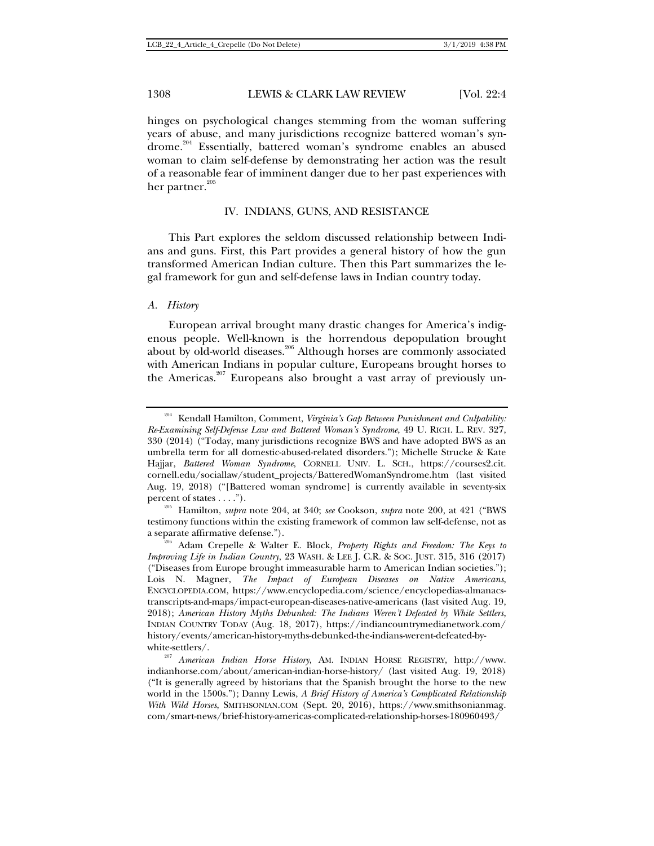hinges on psychological changes stemming from the woman suffering years of abuse, and many jurisdictions recognize battered woman's syndrome.<sup>204</sup> Essentially, battered woman's syndrome enables an abused woman to claim self-defense by demonstrating her action was the result of a reasonable fear of imminent danger due to her past experiences with her partner.<sup>205</sup>

### IV. INDIANS, GUNS, AND RESISTANCE

This Part explores the seldom discussed relationship between Indians and guns. First, this Part provides a general history of how the gun transformed American Indian culture. Then this Part summarizes the legal framework for gun and self-defense laws in Indian country today.

#### *A. History*

European arrival brought many drastic changes for America's indigenous people. Well-known is the horrendous depopulation brought about by old-world diseases.<sup>206</sup> Although horses are commonly associated with American Indians in popular culture, Europeans brought horses to the Americas.<sup>207</sup> Europeans also brought a vast array of previously un-

<sup>204</sup> Kendall Hamilton, Comment, *Virginia's Gap Between Punishment and Culpability: Re-Examining Self-Defense Law and Battered Woman's Syndrome*, 49 U. RICH. L. REV. 327, 330 (2014) ("Today, many jurisdictions recognize BWS and have adopted BWS as an umbrella term for all domestic-abused-related disorders."); Michelle Strucke & Kate Hajjar, *Battered Woman Syndrome*, CORNELL UNIV. L. SCH., https://courses2.cit. cornell.edu/sociallaw/student\_projects/BatteredWomanSyndrome.htm (last visited Aug. 19, 2018) ("[Battered woman syndrome] is currently available in seventy-six

percent of states . . . ."). 205 Hamilton, *supra* note 204, at 340; *see* Cookson, *supra* note 200, at 421 ("BWS testimony functions within the existing framework of common law self-defense, not as

a separate affirmative defense."). 206 Adam Crepelle & Walter E. Block, *Property Rights and Freedom: The Keys to Improving Life in Indian Country*, 23 WASH. & LEE J. C.R. & SOC. JUST. 315, 316 (2017) ("Diseases from Europe brought immeasurable harm to American Indian societies."); Lois N. Magner, *The Impact of European Diseases on Native Americans*, ENCYCLOPEDIA.COM, https://www.encyclopedia.com/science/encyclopedias-almanacstranscripts-and-maps/impact-european-diseases-native-americans (last visited Aug. 19, 2018); *American History Myths Debunked: The Indians Weren't Defeated by White Settlers*, INDIAN COUNTRY TODAY (Aug. 18, 2017), https://indiancountrymedianetwork.com/ history/events/american-history-myths-debunked-the-indians-werent-defeated-by-

white-settlers/. 207 *American Indian Horse History*, AM. INDIAN HORSE REGISTRY, http://www. indianhorse.com/about/american-indian-horse-history/ (last visited Aug. 19, 2018) ("It is generally agreed by historians that the Spanish brought the horse to the new world in the 1500s."); Danny Lewis, *A Brief History of America's Complicated Relationship With Wild Horses*, SMITHSONIAN.COM (Sept. 20, 2016), https://www.smithsonianmag. com/smart-news/brief-history-americas-complicated-relationship-horses-180960493/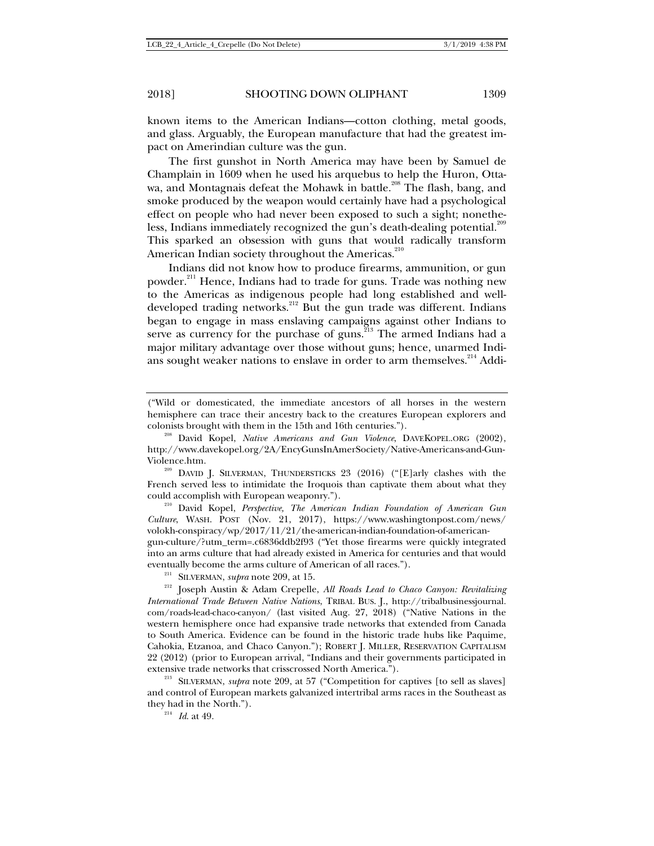known items to the American Indians—cotton clothing, metal goods, and glass. Arguably, the European manufacture that had the greatest impact on Amerindian culture was the gun.

The first gunshot in North America may have been by Samuel de Champlain in 1609 when he used his arquebus to help the Huron, Ottawa, and Montagnais defeat the Mohawk in battle.<sup>208</sup> The flash, bang, and smoke produced by the weapon would certainly have had a psychological effect on people who had never been exposed to such a sight; nonetheless, Indians immediately recognized the gun's death-dealing potential.<sup>209</sup> This sparked an obsession with guns that would radically transform American Indian society throughout the Americas.<sup>210</sup>

Indians did not know how to produce firearms, ammunition, or gun powder.<sup>211</sup> Hence, Indians had to trade for guns. Trade was nothing new to the Americas as indigenous people had long established and welldeveloped trading networks.<sup>212</sup> But the gun trade was different. Indians began to engage in mass enslaving campaigns against other Indians to segan to engage in mass ensuring emipling against strict matallities major military advantage over those without guns; hence, unarmed Indians sought weaker nations to enslave in order to arm themselves.<sup>214</sup> Addi-

*Culture*, WASH. POST (Nov. 21, 2017), https://www.washingtonpost.com/news/ volokh-conspiracy/wp/2017/11/21/the-american-indian-foundation-of-americangun-culture/?utm\_term=.c6836ddb2f93 ("Yet those firearms were quickly integrated into an arms culture that had already existed in America for centuries and that would eventually become the arms culture of American of all races.").<br><sup>211</sup> SILVERMAN, *supra* note 209, at 15.<br><sup>212</sup> Joseph Austin & Adam Crepelle, *All Roads Lead to Chaco Canyon: Revitalizing* 

<sup>(&</sup>quot;Wild or domesticated, the immediate ancestors of all horses in the western hemisphere can trace their ancestry back to the creatures European explorers and

colonists brought with them in the 15th and 16th centuries."). 208 David Kopel, *Native Americans and Gun Violence*, DAVEKOPEL.ORG (2002), http://www.davekopel.org/2A/EncyGunsInAmerSociety/Native-Americans-and-Gun-

Violence.htm.<br><sup>209</sup> DAVID J. SILVERMAN, THUNDERSTICKS 23 (2016) ("[E]arly clashes with the French served less to intimidate the Iroquois than captivate them about what they could accomplish with European weaponry."). 210 David Kopel, *Perspective, The American Indian Foundation of American Gun* 

*International Trade Between Native Nations*, TRIBAL BUS. J., http://tribalbusinessjournal. com/roads-lead-chaco-canyon/ (last visited Aug. 27, 2018) ("Native Nations in the western hemisphere once had expansive trade networks that extended from Canada to South America. Evidence can be found in the historic trade hubs like Paquime, Cahokia, Etzanoa, and Chaco Canyon."); ROBERT J. MILLER, RESERVATION CAPITALISM 22 (2012) (prior to European arrival, "Indians and their governments participated in extensive trade networks that crisscrossed North America."). 213 SILVERMAN, *supra* note 209, at 57 ("Competition for captives [to sell as slaves]

and control of European markets galvanized intertribal arms races in the Southeast as they had in the North.").<br> $\frac{214}{Id}$  *Id.* at 49.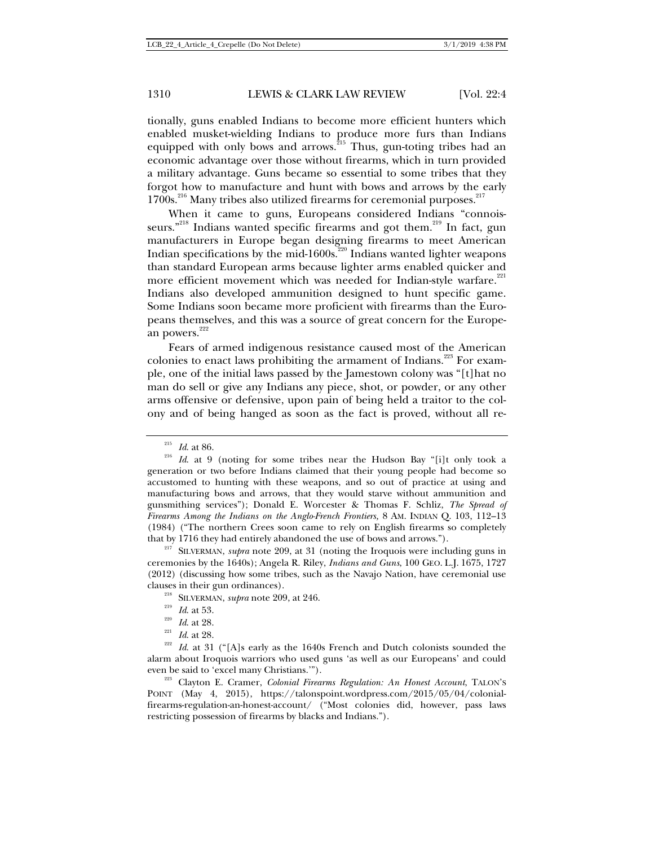tionally, guns enabled Indians to become more efficient hunters which enabled musket-wielding Indians to produce more furs than Indians equipped with only bows and arrows.<sup>215</sup> Thus, gun-toting tribes had an economic advantage over those without firearms, which in turn provided a military advantage. Guns became so essential to some tribes that they forgot how to manufacture and hunt with bows and arrows by the early  $1700s$ <sup>216</sup> Many tribes also utilized firearms for ceremonial purposes.<sup>217</sup>

When it came to guns, Europeans considered Indians "connoisseurs."<sup>218</sup> Indians wanted specific firearms and got them.<sup>219</sup> In fact, gun manufacturers in Europe began designing firearms to meet American Indian specifications by the mid-1600s.<sup>220</sup> Indians wanted lighter weapons than standard European arms because lighter arms enabled quicker and more efficient movement which was needed for Indian-style warfare.<sup>221</sup> Indians also developed ammunition designed to hunt specific game. Some Indians soon became more proficient with firearms than the Europeans themselves, and this was a source of great concern for the European powers. $^{222}$ 

Fears of armed indigenous resistance caused most of the American colonies to enact laws prohibiting the armament of Indians.<sup>223</sup> For example, one of the initial laws passed by the Jamestown colony was "[t]hat no man do sell or give any Indians any piece, shot, or powder, or any other arms offensive or defensive, upon pain of being held a traitor to the colony and of being hanged as soon as the fact is proved, without all re-

ceremonies by the 1640s); Angela R. Riley, *Indians and Guns*, 100 GEO. L.J. 1675, 1727 (2012) (discussing how some tribes, such as the Navajo Nation, have ceremonial use

POINT (May 4, 2015), https://talonspoint.wordpress.com/2015/05/04/colonialfirearms-regulation-an-honest-account/ ("Most colonies did, however, pass laws restricting possession of firearms by blacks and Indians.").

<sup>215</sup> *Id*. at 86. 216 *Id*. at 9 (noting for some tribes near the Hudson Bay "[i]t only took a generation or two before Indians claimed that their young people had become so accustomed to hunting with these weapons, and so out of practice at using and manufacturing bows and arrows, that they would starve without ammunition and gunsmithing services"); Donald E. Worcester & Thomas F. Schliz, *The Spread of Firearms Among the Indians on the Anglo-French Frontiers,* 8 AM. INDIAN Q. 103, 112–13 (1984) ("The northern Crees soon came to rely on English firearms so completely that by 1716 they had entirely abandoned the use of bows and arrows."). 217 SILVERMAN, *supra* note 209, at 31 (noting the Iroquois were including guns in

clauses in their gun ordinances).<br>
<sup>218</sup> SILVERMAN, *supra* note 209, at 246.<br>
<sup>219</sup> *Id.* at 53.<br>
<sup>220</sup> *Id.* at 28.<br>
<sup>221</sup> *Id.* at 28.<br>
<sup>221</sup> *Id.* at 28.<br>
<sup>222</sup> *Id.* at 31 ("[A]s early as the 1640s French and Dutch c alarm about Iroquois warriors who used guns 'as well as our Europeans' and could even be said to 'excel many Christians.'"). 223 Clayton E. Cramer, *Colonial Firearms Regulation: An Honest Account*, TALON'<sup>S</sup>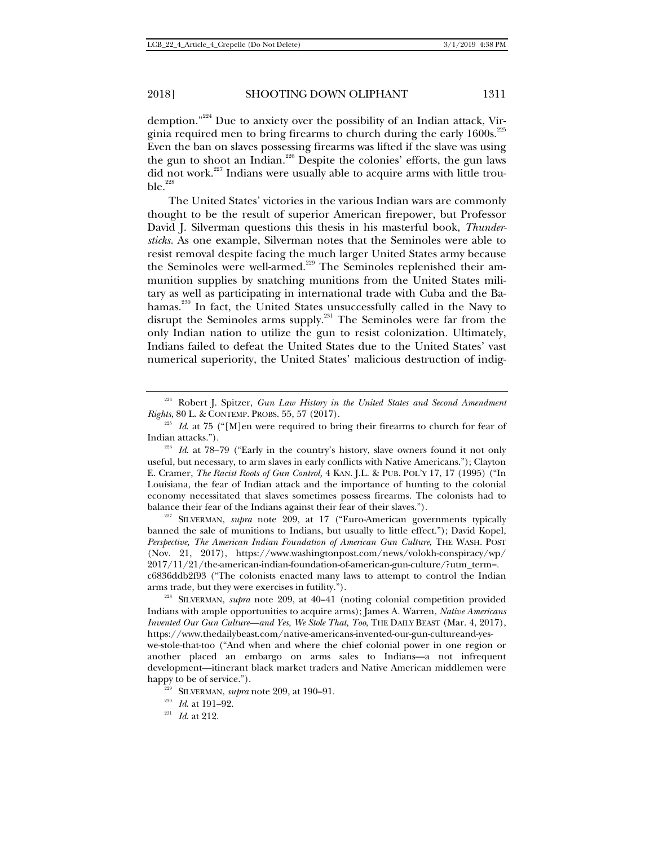demption."224 Due to anxiety over the possibility of an Indian attack, Virginia required men to bring firearms to church during the early  $1600s$ .<sup>225</sup> Even the ban on slaves possessing firearms was lifted if the slave was using the gun to shoot an Indian.<sup>226</sup> Despite the colonies' efforts, the gun laws did not work.<sup>227</sup> Indians were usually able to acquire arms with little trou $ble.$ <sup>228</sup>

The United States' victories in the various Indian wars are commonly thought to be the result of superior American firepower, but Professor David J. Silverman questions this thesis in his masterful book, *Thundersticks.* As one example, Silverman notes that the Seminoles were able to resist removal despite facing the much larger United States army because the Seminoles were well-armed.<sup>229</sup> The Seminoles replenished their ammunition supplies by snatching munitions from the United States military as well as participating in international trade with Cuba and the Bahamas.<sup>230</sup> In fact, the United States unsuccessfully called in the Navy to disrupt the Seminoles arms supply.<sup>231</sup> The Seminoles were far from the only Indian nation to utilize the gun to resist colonization. Ultimately, Indians failed to defeat the United States due to the United States' vast numerical superiority, the United States' malicious destruction of indig-

banned the sale of munitions to Indians, but usually to little effect."); David Kopel, *Perspective, The American Indian Foundation of American Gun Culture*, THE WASH. POST (Nov. 21, 2017), https://www.washingtonpost.com/news/volokh-conspiracy/wp/ 2017/11/21/the-american-indian-foundation-of-american-gun-culture/?utm\_term=. c6836ddb2f93 ("The colonists enacted many laws to attempt to control the Indian

arms trade, but they were exercises in futility."). 228 SILVERMAN, *supra* note 209, at 40–41 (noting colonial competition provided Indians with ample opportunities to acquire arms); James A. Warren, *Native Americans Invented Our Gun Culture—and Yes, We Stole That, Too*, THE DAILY BEAST (Mar. 4, 2017), https://www.thedailybeast.com/native-americans-invented-our-gun-cultureand-yeswe-stole-that-too ("And when and where the chief colonial power in one region or another placed an embargo on arms sales to Indians—a not infrequent development—itinerant black market traders and Native American middlemen were happy to be of service.").<br><sup>229</sup> SILVERMAN, *supra* note 209, at 190–91.<br><sup>230</sup> *Id*. at 191–92.<br>*Id.* at 212.

<sup>&</sup>lt;sup>224</sup> Robert J. Spitzer, *Gun Law History in the United States and Second Amendment Rights*, 80 L. & CONTEMP. PROBS. 55, 57 (2017).

<sup>&</sup>lt;sup>225</sup> *Id.* at 75 ("[M]en were required to bring their firearms to church for fear of Indian attacks.").

<sup>&</sup>lt;sup>226</sup> *Id.* at 78–79 ("Early in the country's history, slave owners found it not only useful, but necessary, to arm slaves in early conflicts with Native Americans."); Clayton E. Cramer, *The Racist Roots of Gun Control,* 4 KAN. J.L. & PUB. POL'Y 17, 17 (1995) ("In Louisiana, the fear of Indian attack and the importance of hunting to the colonial economy necessitated that slaves sometimes possess firearms. The colonists had to balance their fear of the Indians against their fear of their slaves."). 227 SILVERMAN, *supra* note 209, at 17 ("Euro-American governments typically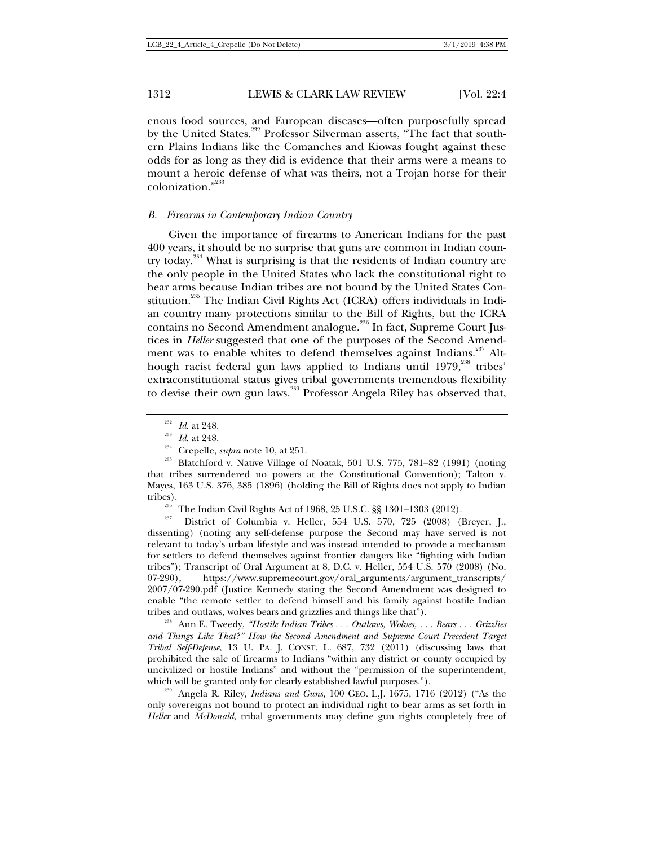enous food sources, and European diseases—often purposefully spread by the United States.<sup>232</sup> Professor Silverman asserts, "The fact that southern Plains Indians like the Comanches and Kiowas fought against these odds for as long as they did is evidence that their arms were a means to mount a heroic defense of what was theirs, not a Trojan horse for their colonization."233

#### *B. Firearms in Contemporary Indian Country*

Given the importance of firearms to American Indians for the past 400 years, it should be no surprise that guns are common in Indian country today.<sup>234</sup> What is surprising is that the residents of Indian country are the only people in the United States who lack the constitutional right to bear arms because Indian tribes are not bound by the United States Constitution.<sup>235</sup> The Indian Civil Rights Act (ICRA) offers individuals in Indian country many protections similar to the Bill of Rights, but the ICRA contains no Second Amendment analogue.<sup>236</sup> In fact, Supreme Court Justices in *Heller* suggested that one of the purposes of the Second Amendment was to enable whites to defend themselves against Indians.<sup>237</sup> Although racist federal gun laws applied to Indians until 1979,<sup>238</sup> tribes' extraconstitutional status gives tribal governments tremendous flexibility to devise their own gun laws.<sup>239</sup> Professor Angela Riley has observed that,

dissenting) (noting any self-defense purpose the Second may have served is not relevant to today's urban lifestyle and was instead intended to provide a mechanism for settlers to defend themselves against frontier dangers like "fighting with Indian tribes"); Transcript of Oral Argument at 8, D.C. v. Heller, 554 U.S. 570 (2008) (No. 07-290), https://www.supremecourt.gov/oral\_arguments/argument\_transcripts/ 2007/07-290.pdf (Justice Kennedy stating the Second Amendment was designed to enable "the remote settler to defend himself and his family against hostile Indian tribes and outlaws, wolves bears and grizzlies and things like that"). 238 Ann E. Tweedy, *"Hostile Indian Tribes . . . Outlaws, Wolves, . . . Bears . . . Grizzlies* 

*and Things Like That?" How the Second Amendment and Supreme Court Precedent Target Tribal Self-Defense*, 13 U. PA. J. CONST. L. 687, 732 (2011) (discussing laws that prohibited the sale of firearms to Indians "within any district or county occupied by uncivilized or hostile Indians" and without the "permission of the superintendent, which will be granted only for clearly established lawful purposes.").<br><sup>239</sup> Angela R. Riley, *Indians and Guns*, 100 GEO. L.J. 1675, 1716 (2012) ("As the

only sovereigns not bound to protect an individual right to bear arms as set forth in *Heller* and *McDonald*, tribal governments may define gun rights completely free of

<sup>&</sup>lt;sup>232</sup> *Id.* at 248.<br><sup>233</sup> *Id.* at 248.<br><sup>234</sup> Crepelle, *supra* note 10, at 251.<br><sup>235</sup> Blatchford v. Native Village of Noatak, 501 U.S. 775, 781–82 (1991) (noting that tribes surrendered no powers at the Constitutional Convention); Talton v. Mayes, 163 U.S. 376, 385 (1896) (holding the Bill of Rights does not apply to Indian tribes).<br><sup>236</sup> The Indian Civil Rights Act of 1968, 25 U.S.C. §§ 1301–1303 (2012).<br><sup>237</sup> District of Columbia v. Heller, 554 U.S. 570, 725 (2008) (Breyer, J.,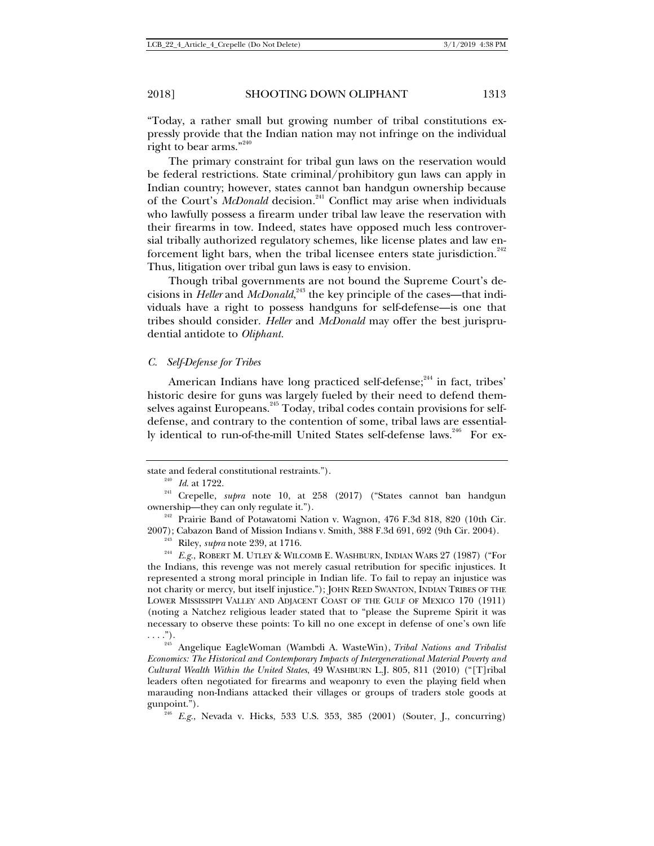"Today, a rather small but growing number of tribal constitutions expressly provide that the Indian nation may not infringe on the individual right to bear arms." $240$ 

The primary constraint for tribal gun laws on the reservation would be federal restrictions. State criminal/prohibitory gun laws can apply in Indian country; however, states cannot ban handgun ownership because of the Court's *McDonald* decision.<sup>241</sup> Conflict may arise when individuals who lawfully possess a firearm under tribal law leave the reservation with their firearms in tow. Indeed, states have opposed much less controversial tribally authorized regulatory schemes, like license plates and law enforcement light bars, when the tribal licensee enters state jurisdiction. $242$ Thus, litigation over tribal gun laws is easy to envision.

Though tribal governments are not bound the Supreme Court's decisions in *Heller* and *McDonald*, 243 the key principle of the cases—that individuals have a right to possess handguns for self-defense—is one that tribes should consider. *Heller* and *McDonald* may offer the best jurisprudential antidote to *Oliphant.* 

#### *C. Self-Defense for Tribes*

American Indians have long practiced self-defense; $244$  in fact, tribes' historic desire for guns was largely fueled by their need to defend themselves against Europeans.<sup>245</sup> Today, tribal codes contain provisions for selfdefense, and contrary to the contention of some, tribal laws are essentially identical to run-of-the-mill United States self-defense laws.<sup>246</sup> For ex-

2007); Cabazon Band of Mission Indians v. Smith, 388 F.3d 691, 692 (9th Cir. 2004).<br><sup>243</sup> Riley, *supra* note 239, at 1716.<br><sup>244</sup> *E.g.*, ROBERT M. UTLEY & WILCOMB E. WASHBURN, INDIAN WARS 27 (1987) ("For the Indians, this revenge was not merely casual retribution for specific injustices. It represented a strong moral principle in Indian life. To fail to repay an injustice was not charity or mercy, but itself injustice."); JOHN REED SWANTON, INDIAN TRIBES OF THE LOWER MISSISSIPPI VALLEY AND ADJACENT COAST OF THE GULF OF MEXICO 170 (1911) (noting a Natchez religious leader stated that to "please the Supreme Spirit it was necessary to observe these points: To kill no one except in defense of one's own life

. . . ."). 245 Angelique EagleWoman (Wambdi A. WasteWin), *Tribal Nations and Tribalist Economics: The Historical and Contemporary Impacts of Intergenerational Material Poverty and Cultural Wealth Within the United States*, 49 WASHBURN L.J. 805, 811 (2010) ("[T]ribal leaders often negotiated for firearms and weaponry to even the playing field when marauding non-Indians attacked their villages or groups of traders stole goods at gunpoint."). 246 *E.g.*, Nevada v. Hicks, 533 U.S. 353, 385 (2001) (Souter, J., concurring)

state and federal constitutional restraints."). 240 *Id*. at 1722. 241 Crepelle, *supra* note 10, at 258 (2017) ("States cannot ban handgun ownership—they can only regulate it."). 242 Prairie Band of Potawatomi Nation v. Wagnon, 476 F.3d 818, 820 (10th Cir.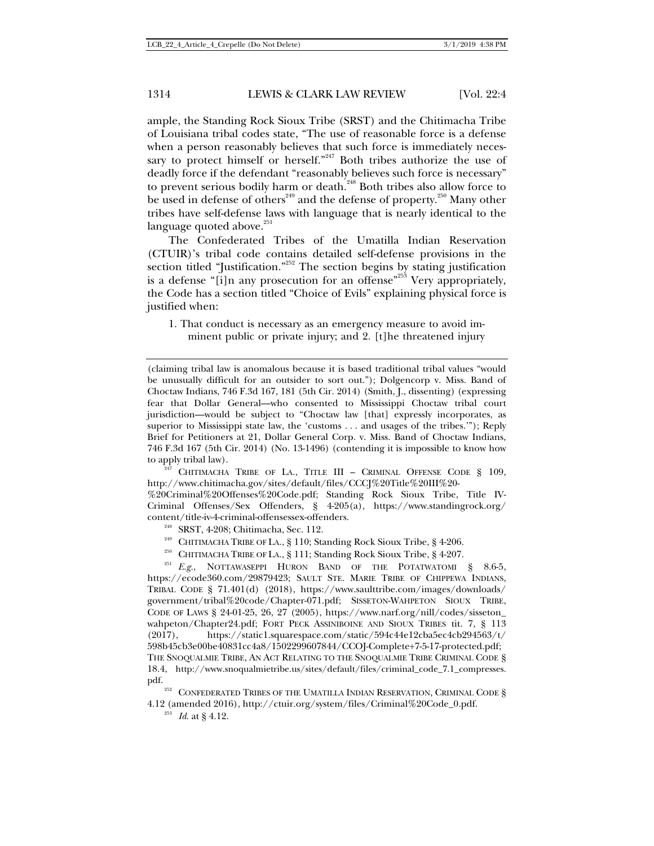ample, the Standing Rock Sioux Tribe (SRST) and the Chitimacha Tribe of Louisiana tribal codes state, "The use of reasonable force is a defense when a person reasonably believes that such force is immediately necessary to protect himself or herself."<sup>247</sup> Both tribes authorize the use of deadly force if the defendant "reasonably believes such force is necessary" to prevent serious bodily harm or death.<sup>248</sup> Both tribes also allow force to be used in defense of others<sup>249</sup> and the defense of property.<sup>250</sup> Many other tribes have self-defense laws with language that is nearly identical to the language quoted above. $^{\rm 251}$ 

The Confederated Tribes of the Umatilla Indian Reservation (CTUIR)'s tribal code contains detailed self-defense provisions in the section titled "Justification."<sup>252</sup> The section begins by stating justification is a defense "[i]n any prosecution for an offense"<sup>253</sup> Very appropriately, the Code has a section titled "Choice of Evils" explaining physical force is justified when:

1. That conduct is necessary as an emergency measure to avoid imminent public or private injury; and 2. [t]he threatened injury

http://www.chitimacha.gov/sites/default/files/CCCJ%20Title%20III%20-

%20Criminal%20Offenses%20Code.pdf; Standing Rock Sioux Tribe, Title IV-Criminal Offenses/Sex Offenders, § 4-205(a), https://www.standingrock.org/ content/title-iv-4-criminal-offensessex-offenders.<br><sup>248</sup> SRST, 4-208; Chitimacha, Sec. 112.<br><sup>249</sup> CHITIMACHA TRIBE OF LA., § 110; Standing Rock Sioux Tribe, § 4-206.<br><sup>250</sup> CHITIMACHA TRIBE OF LA., § 111; Standing Rock Sio

https://ecode360.com/29879423; SAULT STE. MARIE TRIBE OF CHIPPEWA INDIANS, TRIBAL CODE § 71.401(d) (2018), https://www.saulttribe.com/images/downloads/ government/tribal%20code/Chapter-071.pdf; SISSETON-WAHPETON SIOUX TRIBE, CODE OF LAWS § 24-01-25, 26, 27 (2005), https://www.narf.org/nill/codes/sisseton\_ wahpeton/Chapter24.pdf; FORT PECK ASSINIBOINE AND SIOUX TRIBES tit. 7, § 113 (2017), https://static1.squarespace.com/static/594c44e12cba5ec4cb294563/t/ 598b45cb3e00be40831cc4a8/1502299607844/CCOJ-Complete+7-5-17-protected.pdf; THE SNOQUALMIE TRIBE, AN ACT RELATING TO THE SNOQUALMIE TRIBE CRIMINAL CODE § 18.4, http://www.snoqualmietribe.us/sites/default/files/criminal\_code\_7.1\_compresses. pdf.

 $^{252}$  CONFEDERATED TRIBES OF THE UMATILLA INDIAN RESERVATION, CRIMINAL CODE § 4.12 (amended 2016), http://ctuir.org/system/files/Criminal%20Code\_0.pdf. 253 *Id*. at § 4.12.

<sup>(</sup>claiming tribal law is anomalous because it is based traditional tribal values "would be unusually difficult for an outsider to sort out."); Dolgencorp v. Miss. Band of Choctaw Indians, 746 F.3d 167, 181 (5th Cir. 2014) (Smith, J., dissenting) (expressing fear that Dollar General—who consented to Mississippi Choctaw tribal court jurisdiction—would be subject to "Choctaw law [that] expressly incorporates, as superior to Mississippi state law, the 'customs . . . and usages of the tribes.'"); Reply Brief for Petitioners at 21, Dollar General Corp. v. Miss. Band of Choctaw Indians, 746 F.3d 167 (5th Cir. 2014) (No. 13-1496) (contending it is impossible to know how to apply tribal law).<br><sup>247</sup> CHITIMACHA TRIBE OF LA., TITLE III – CRIMINAL OFFENSE CODE § 109,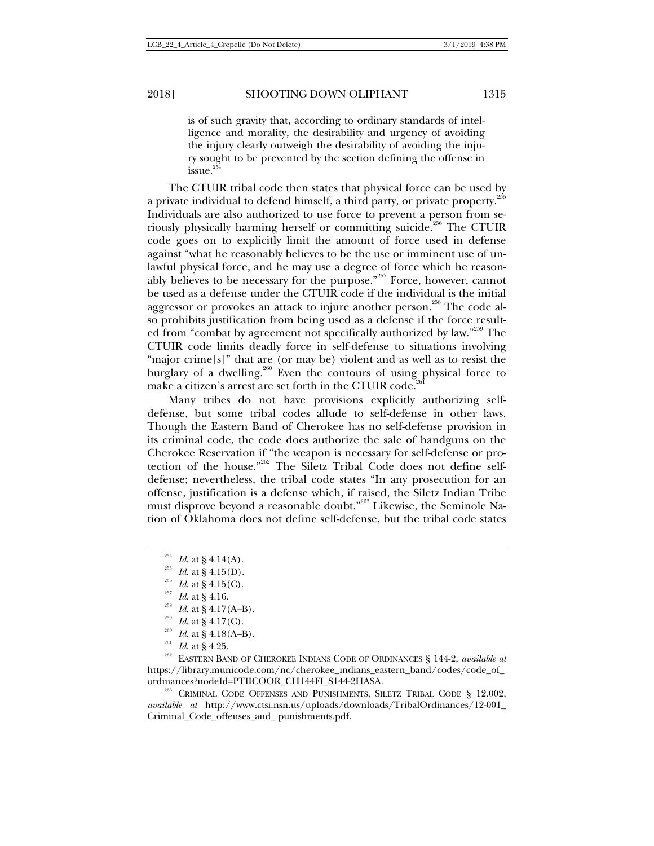is of such gravity that, according to ordinary standards of intelligence and morality, the desirability and urgency of avoiding the injury clearly outweigh the desirability of avoiding the injury sought to be prevented by the section defining the offense in issue.<sup>3</sup>

The CTUIR tribal code then states that physical force can be used by a private individual to defend himself, a third party, or private property.<sup>255</sup> Individuals are also authorized to use force to prevent a person from seriously physically harming herself or committing suicide.<sup>256</sup> The CTUIR code goes on to explicitly limit the amount of force used in defense against "what he reasonably believes to be the use or imminent use of unlawful physical force, and he may use a degree of force which he reasonably believes to be necessary for the purpose."<sup>257</sup> Force, however, cannot be used as a defense under the CTUIR code if the individual is the initial aggressor or provokes an attack to injure another person.<sup>258</sup> The code also prohibits justification from being used as a defense if the force resulted from "combat by agreement not specifically authorized by law."259 The CTUIR code limits deadly force in self-defense to situations involving "major crime[s]" that are (or may be) violent and as well as to resist the burglary of a dwelling.<sup>260</sup> Even the contours of using physical force to make a citizen's arrest are set forth in the CTUIR code.<sup>2</sup>

Many tribes do not have provisions explicitly authorizing selfdefense, but some tribal codes allude to self-defense in other laws. Though the Eastern Band of Cherokee has no self-defense provision in its criminal code, the code does authorize the sale of handguns on the Cherokee Reservation if "the weapon is necessary for self-defense or protection of the house."262 The Siletz Tribal Code does not define selfdefense; nevertheless, the tribal code states "In any prosecution for an offense, justification is a defense which, if raised, the Siletz Indian Tribe must disprove beyond a reasonable doubt."<sup>263</sup> Likewise, the Seminole Nation of Oklahoma does not define self-defense, but the tribal code states

- 
- 

<sup>254</sup> *Id.* at § 4.14(A).<br><sup>255</sup> *Id.* at § 4.15(D).<br><sup>256</sup> *Id.* at § 4.15(C).<br><sup>256</sup> *Id.* at § 4.16.<br><sup>256</sup> *Id.* at § 4.17(A–B).<br><sup>259</sup> *Id.* at § 4.17(C).<br><sup>259</sup> *Id.* at § 4.18(A–B).<br><sup>260</sup> *Id.* at § 4.25.<br>*Id.* at § 4.25 https://library.municode.com/nc/cherokee\_indians\_eastern\_band/codes/code\_of\_ ordinances?nodeId=PTIICOOR\_CH144FI\_S144-2HASA. <sup>263</sup> CRIMINAL CODE OFFENSES AND PUNISHMENTS, SILETZ TRIBAL CODE § 12.002,

*available at* http://www.ctsi.nsn.us/uploads/downloads/TribalOrdinances/12-001\_ Criminal\_Code\_offenses\_and\_ punishments.pdf.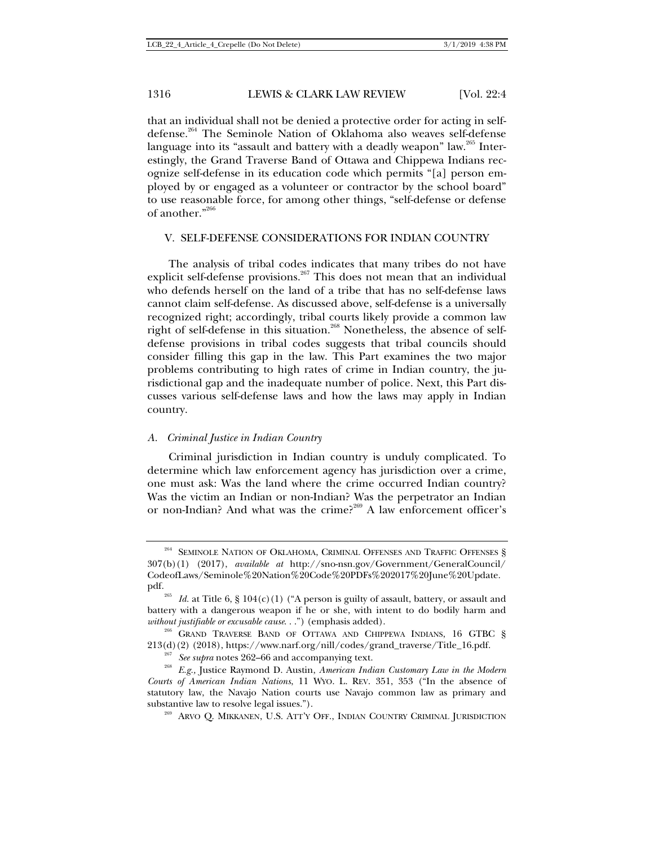that an individual shall not be denied a protective order for acting in selfdefense.<sup>264</sup> The Seminole Nation of Oklahoma also weaves self-defense language into its "assault and battery with a deadly weapon" law.<sup>265</sup> Interestingly, the Grand Traverse Band of Ottawa and Chippewa Indians recognize self-defense in its education code which permits "[a] person employed by or engaged as a volunteer or contractor by the school board" to use reasonable force, for among other things, "self-defense or defense of another. $"^{266}$ 

#### V. SELF-DEFENSE CONSIDERATIONS FOR INDIAN COUNTRY

The analysis of tribal codes indicates that many tribes do not have explicit self-defense provisions.<sup>267</sup> This does not mean that an individual who defends herself on the land of a tribe that has no self-defense laws cannot claim self-defense. As discussed above, self-defense is a universally recognized right; accordingly, tribal courts likely provide a common law right of self-defense in this situation.<sup>268</sup> Nonetheless, the absence of selfdefense provisions in tribal codes suggests that tribal councils should consider filling this gap in the law. This Part examines the two major problems contributing to high rates of crime in Indian country, the jurisdictional gap and the inadequate number of police. Next, this Part discusses various self-defense laws and how the laws may apply in Indian country.

#### *A. Criminal Justice in Indian Country*

Criminal jurisdiction in Indian country is unduly complicated. To determine which law enforcement agency has jurisdiction over a crime, one must ask: Was the land where the crime occurred Indian country? Was the victim an Indian or non-Indian? Was the perpetrator an Indian or non-Indian? And what was the crime?<sup>269</sup> A law enforcement officer's

 $^{264}$  SEMINOLE NATION OF OKLAHOMA, CRIMINAL OFFENSES AND TRAFFIC OFFENSES  $\S$ 307(b)(1) (2017), *available at* http://sno-nsn.gov/Government/GeneralCouncil/ CodeofLaws/Seminole%20Nation%20Code%20PDFs%202017%20June%20Update.

pdf.<br><sup>265</sup> *Id.* at Title 6, § 104(c)(1) ("A person is guilty of assault, battery, or assault and battery with a dangerous weapon if he or she, with intent to do bodily harm and *without justifiable or excusable cause...*") (emphasis added).<br><sup>266</sup> GRAND TRAVERSE BAND OF OTTAWA AND CHIPPEWA INDIANS, 16 GTBC §

<sup>213(</sup>d)(2) (2018), https://www.narf.org/nill/codes/grand\_traverse/Title\_16.pdf.<br><sup>267</sup> See supra notes 262–66 and accompanying text.<br><sup>268</sup> E.g., Justice Raymond D. Austin, *American Indian Customary Law in the Modern Courts of American Indian Nations*, 11 WYO. L. REV. 351, 353 ("In the absence of statutory law, the Navajo Nation courts use Navajo common law as primary and substantive law to resolve legal issues.").<br><sup>269</sup> ARVO Q. MIKKANEN, U.S. ATT'Y OFF., INDIAN COUNTRY CRIMINAL JURISDICTION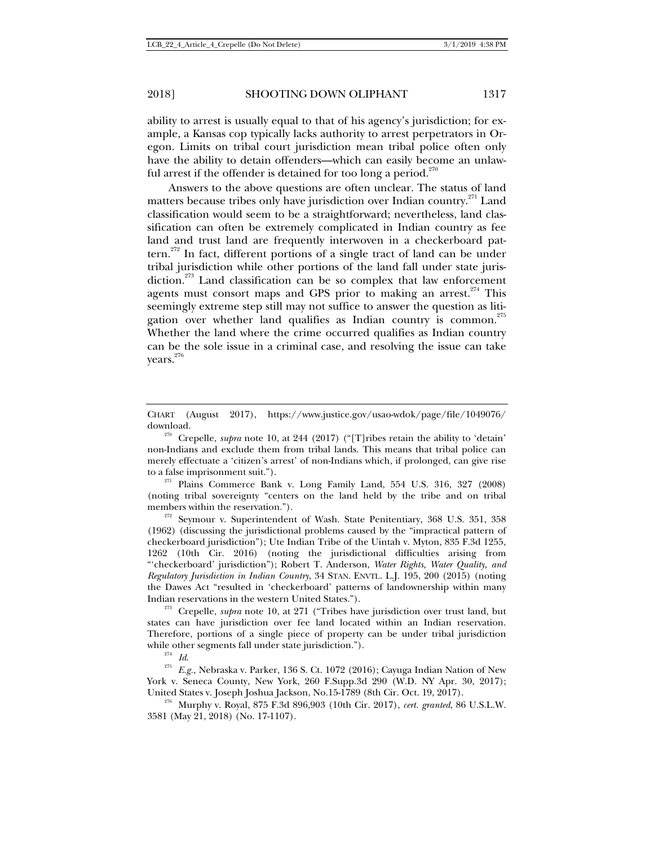ability to arrest is usually equal to that of his agency's jurisdiction; for example, a Kansas cop typically lacks authority to arrest perpetrators in Oregon. Limits on tribal court jurisdiction mean tribal police often only have the ability to detain offenders—which can easily become an unlawful arrest if the offender is detained for too long a period.<sup>270</sup>

Answers to the above questions are often unclear. The status of land matters because tribes only have jurisdiction over Indian country. $271$  Land classification would seem to be a straightforward; nevertheless, land classification can often be extremely complicated in Indian country as fee land and trust land are frequently interwoven in a checkerboard pattern.<sup>272</sup> In fact, different portions of a single tract of land can be under tribal jurisdiction while other portions of the land fall under state jurisdiction. $273$  Land classification can be so complex that law enforcement agents must consort maps and GPS prior to making an arrest.<sup>274</sup> This seemingly extreme step still may not suffice to answer the question as litigation over whether land qualifies as Indian country is common.<sup>275</sup> Whether the land where the crime occurred qualifies as Indian country can be the sole issue in a criminal case, and resolving the issue can take years.<sup>276</sup>

to a false imprisonment suit.").<br><sup>271</sup> Plains Commerce Bank v. Long Family Land, 554 U.S. 316, 327 (2008) (noting tribal sovereignty "centers on the land held by the tribe and on tribal members within the reservation.").<br><sup>272</sup> Seymour v. Superintendent of Wash. State Penitentiary, 368 U.S. 351, 358

(1962) (discussing the jurisdictional problems caused by the "impractical pattern of checkerboard jurisdiction"); Ute Indian Tribe of the Uintah v. Myton, 835 F.3d 1255, 1262 (10th Cir. 2016) (noting the jurisdictional difficulties arising from "'checkerboard' jurisdiction"); Robert T. Anderson, *Water Rights, Water Quality, and Regulatory Jurisdiction in Indian Country*, 34 STAN. ENVTL. L.J. 195, 200 (2015) (noting the Dawes Act "resulted in 'checkerboard' patterns of landownership within many Indian reservations in the western United States."). 273 Crepelle, *supra* note 10, at 271 ("Tribes have jurisdiction over trust land, but

states can have jurisdiction over fee land located within an Indian reservation. Therefore, portions of a single piece of property can be under tribal jurisdiction while other segments fall under state jurisdiction.").<br><sup>274</sup> *Id.* 275 *E.g.*, Nebraska v. Parker, 136 S. Ct. 1072 (2016); Cayuga Indian Nation of New

York v. Seneca County, New York, 260 F.Supp.3d 290 (W.D. NY Apr. 30, 2017);

United States v. Joseph Joshua Jackson, No.15-1789 (8th Cir. Oct. 19, 2017). 276 Murphy v. Royal, 875 F.3d 896,903 (10th Cir. 2017), *cert. granted*, 86 U.S.L.W. 3581 (May 21, 2018) (No. 17-1107).

CHART (August 2017), https://www.justice.gov/usao-wdok/page/file/1049076/

download. 270 Crepelle, *supra* note 10, at 244 (2017) ("[T]ribes retain the ability to 'detain' non-Indians and exclude them from tribal lands. This means that tribal police can merely effectuate a 'citizen's arrest' of non-Indians which, if prolonged, can give rise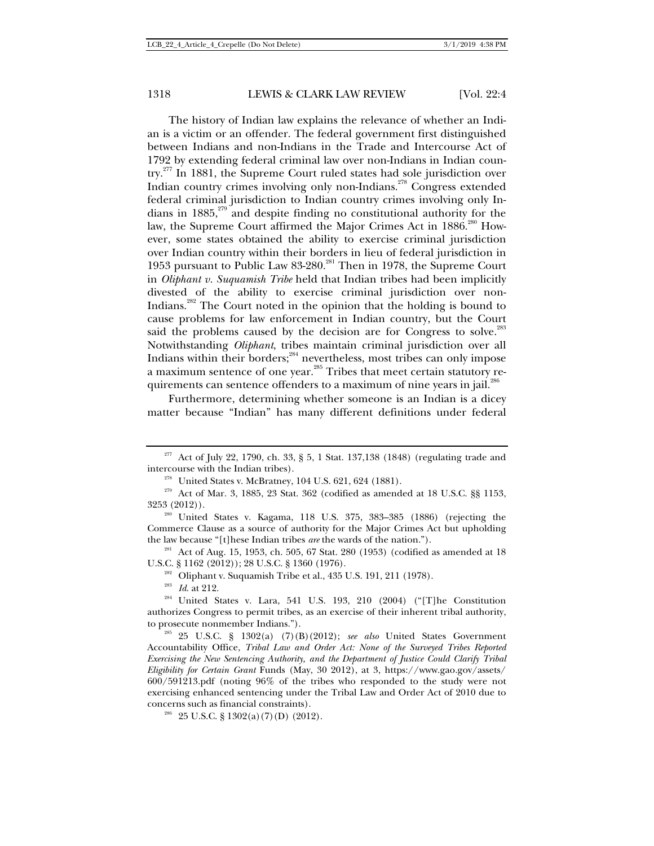The history of Indian law explains the relevance of whether an Indian is a victim or an offender. The federal government first distinguished between Indians and non-Indians in the Trade and Intercourse Act of 1792 by extending federal criminal law over non-Indians in Indian country.<sup>277</sup> In 1881, the Supreme Court ruled states had sole jurisdiction over Indian country crimes involving only non-Indians.<sup>278</sup> Congress extended federal criminal jurisdiction to Indian country crimes involving only Indians in  $1885$ ,<sup>279</sup> and despite finding no constitutional authority for the law, the Supreme Court affirmed the Major Crimes Act in 1886.<sup>280</sup> However, some states obtained the ability to exercise criminal jurisdiction over Indian country within their borders in lieu of federal jurisdiction in 1953 pursuant to Public Law 83-280.<sup>281</sup> Then in 1978, the Supreme Court in *Oliphant v. Suquamish Tribe* held that Indian tribes had been implicitly divested of the ability to exercise criminal jurisdiction over non-Indians.282 The Court noted in the opinion that the holding is bound to cause problems for law enforcement in Indian country, but the Court said the problems caused by the decision are for Congress to solve.<sup>283</sup> Notwithstanding *Oliphant*, tribes maintain criminal jurisdiction over all Indians within their borders; $^{284}$  nevertheless, most tribes can only impose a maximum sentence of one year.<sup>285</sup> Tribes that meet certain statutory requirements can sentence offenders to a maximum of nine years in jail. $^{286}$ 

Furthermore, determining whether someone is an Indian is a dicey matter because "Indian" has many different definitions under federal

U.S.C. § 1162 (2012)); 28 U.S.C. § 1360 (1976).<br><sup>282</sup> Oliphant v. Suquamish Tribe et al., 435 U.S. 191, 211 (1978).<br><sup>283</sup> *Id.* at 212.<br><sup>284</sup> United States v. Lara, 541 U.S. 193, 210 (2004) ("[T]he Constitution

authorizes Congress to permit tribes, as an exercise of their inherent tribal authority, to prosecute nonmember Indians."). 285 25 U.S.C. § 1302(a) (7)(B)(2012); *see also* United States Government

<sup>&</sup>lt;sup>277</sup> Act of July 22, 1790, ch. 33, § 5, 1 Stat. 137,138 (1848) (regulating trade and intercourse with the Indian tribes).

<sup>&</sup>lt;sup>278</sup> United States v. McBratney, 104 U.S. 621, 624 (1881).  $\frac{279}{279}$  Act of Mar. 3, 1885, 23 Stat. 362 (codified as amended at 18 U.S.C. §§ 1153,

<sup>3253 (2012)).</sup>  $^{280}$  United States v. Kagama, 118 U.S. 375, 383–385 (1886) (rejecting the Commerce Clause as a source of authority for the Major Crimes Act but upholding the law because "[t]hese Indian tribes *are* the wards of the nation.").<br><sup>281</sup> Act of Aug. 15, 1953, ch. 505, 67 Stat. 280 (1953) (codified as amended at 18

Accountability Office, *Tribal Law and Order Act: None of the Surveyed Tribes Reported Exercising the New Sentencing Authority, and the Department of Justice Could Clarify Tribal Eligibility for Certain Grant* Funds (May, 30 2012), at 3, https://www.gao.gov/assets/ 600/591213.pdf (noting 96% of the tribes who responded to the study were not exercising enhanced sentencing under the Tribal Law and Order Act of 2010 due to concerns such as financial constraints).<br><sup>286</sup> 25 U.S.C. § 1302(a)(7)(D) (2012).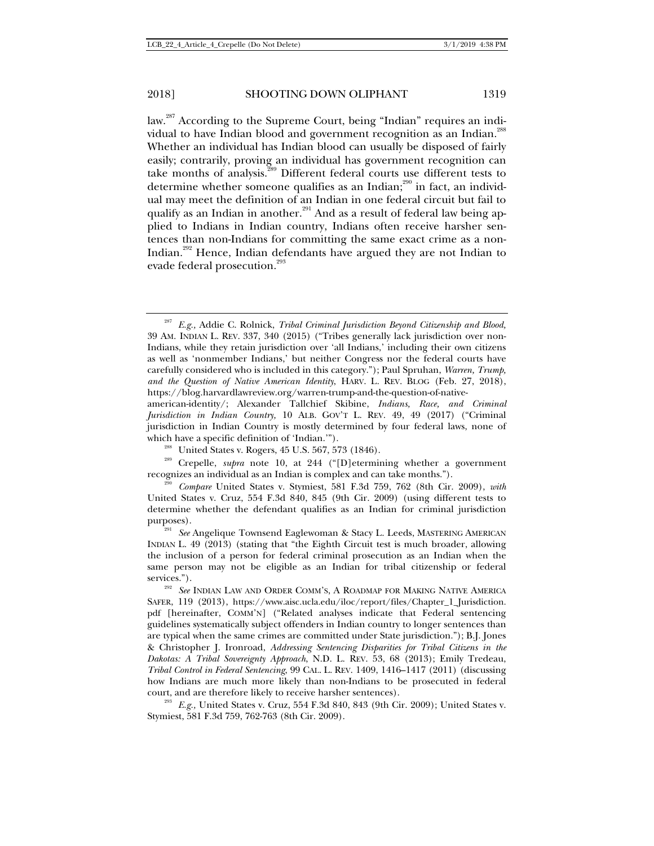law.287 According to the Supreme Court, being "Indian" requires an individual to have Indian blood and government recognition as an Indian.<sup>288</sup> Whether an individual has Indian blood can usually be disposed of fairly easily; contrarily, proving an individual has government recognition can take months of analysis.289 Different federal courts use different tests to determine whether someone qualifies as an Indian;<sup>290</sup> in fact, an individual may meet the definition of an Indian in one federal circuit but fail to qualify as an Indian in another.<sup>291</sup> And as a result of federal law being applied to Indians in Indian country, Indians often receive harsher sentences than non-Indians for committing the same exact crime as a non-Indian.292 Hence, Indian defendants have argued they are not Indian to evade federal prosecution.<sup>293</sup>

<sup>287</sup> *E.g.,* Addie C. Rolnick, *Tribal Criminal Jurisdiction Beyond Citizenship and Blood,*  39 AM. INDIAN L. REV. 337, 340 (2015) ("Tribes generally lack jurisdiction over non-Indians, while they retain jurisdiction over 'all Indians,' including their own citizens as well as 'nonmember Indians,' but neither Congress nor the federal courts have carefully considered who is included in this category."); Paul Spruhan, *Warren, Trump, and the Question of Native American Identity*, HARV. L. REV. BLOG (Feb. 27, 2018), https://blog.harvardlawreview.org/warren-trump-and-the-question-of-native-

american-identity/; Alexander Tallchief Skibine, *Indians, Race, and Criminal Jurisdiction in Indian Country,* 10 ALB. GOV'T L. REV. 49, 49 (2017) ("Criminal jurisdiction in Indian Country is mostly determined by four federal laws, none of

which have a specific definition of 'Indian.'").<br><sup>288</sup> United States v. Rogers, 45 U.S. 567, 573 (1846).<br><sup>289</sup> Crepelle, *supra* note 10, at 244 ("[D]etermining whether a government<br>recognizes an individual as an Indian is

Compare United States v. Stymiest, 581 F.3d 759, 762 (8th Cir. 2009), *with* United States v. Cruz, 554 F.3d 840, 845 (9th Cir. 2009) (using different tests to determine whether the defendant qualifies as an Indian for criminal jurisdiction purposes). 291 *See* Angelique Townsend Eaglewoman & Stacy L. Leeds, MASTERING AMERICAN

INDIAN L. 49 (2013) (stating that "the Eighth Circuit test is much broader, allowing the inclusion of a person for federal criminal prosecution as an Indian when the same person may not be eligible as an Indian for tribal citizenship or federal

services.").<br><sup>292</sup> *See* INDIAN LAW AND ORDER COMM'S, A ROADMAP FOR MAKING NATIVE AMERICA SAFER, 119 (2013), https://www.aisc.ucla.edu/iloc/report/files/Chapter\_1\_Jurisdiction. pdf [hereinafter, COMM'N] ("Related analyses indicate that Federal sentencing guidelines systematically subject offenders in Indian country to longer sentences than are typical when the same crimes are committed under State jurisdiction."); B.J. Jones & Christopher J. Ironroad, *Addressing Sentencing Disparities for Tribal Citizens in the Dakotas: A Tribal Sovereignty Approach*, N.D. L. REV. 53, 68 (2013); Emily Tredeau, *Tribal Control in Federal Sentencing*, 99 CAL. L. REV. 1409, 1416–1417 (2011) (discussing how Indians are much more likely than non-Indians to be prosecuted in federal court, and are therefore likely to receive harsher sentences). 293 *E.g.,* United States v. Cruz, 554 F.3d 840, 843 (9th Cir. 2009); United States v.

Stymiest, 581 F.3d 759, 762-763 (8th Cir. 2009).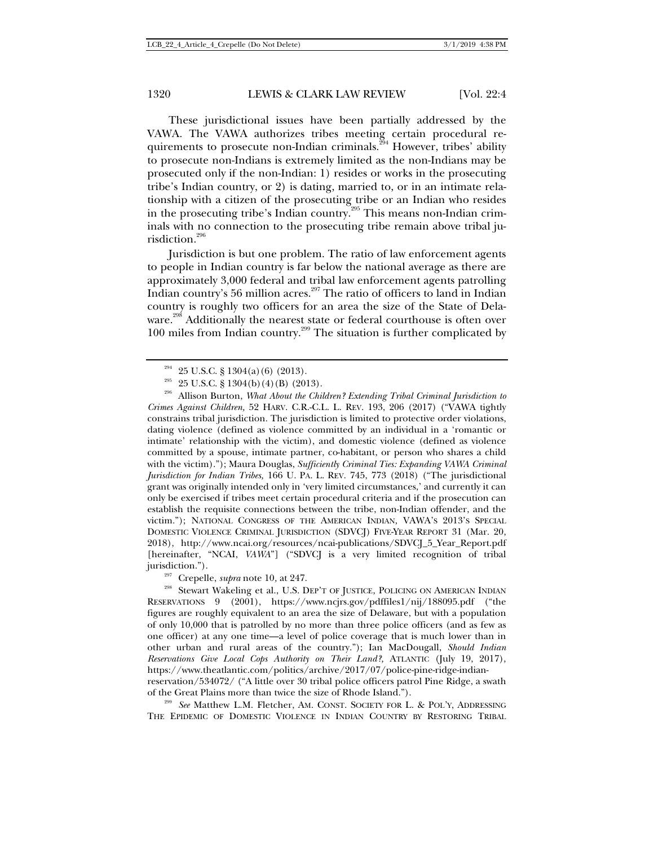These jurisdictional issues have been partially addressed by the VAWA. The VAWA authorizes tribes meeting certain procedural requirements to prosecute non-Indian criminals.<sup>294</sup> However, tribes' ability to prosecute non-Indians is extremely limited as the non-Indians may be prosecuted only if the non-Indian: 1) resides or works in the prosecuting tribe's Indian country, or 2) is dating, married to, or in an intimate relationship with a citizen of the prosecuting tribe or an Indian who resides in the prosecuting tribe's Indian country.<sup>295</sup> This means non-Indian criminals with no connection to the prosecuting tribe remain above tribal jurisdiction.<sup>296</sup>

Jurisdiction is but one problem. The ratio of law enforcement agents to people in Indian country is far below the national average as there are approximately 3,000 federal and tribal law enforcement agents patrolling Indian country's 56 million acres.<sup>297</sup> The ratio of officers to land in Indian country is roughly two officers for an area the size of the State of Delaware.<sup>298</sup> Additionally the nearest state or federal courthouse is often over 100 miles from Indian country.299 The situation is further complicated by

<sup>294</sup> 25 U.S.C. § 1304(a)(6) (2013). 295 25 U.S.C. § 1304(b)(4)(B) (2013). 296 Allison Burton, *What About the Children? Extending Tribal Criminal Jurisdiction to Crimes Against Children,* 52 HARV. C.R.-C.L. L. REV. 193, 206 (2017) ("VAWA tightly constrains tribal jurisdiction. The jurisdiction is limited to protective order violations, dating violence (defined as violence committed by an individual in a 'romantic or intimate' relationship with the victim), and domestic violence (defined as violence committed by a spouse, intimate partner, co-habitant, or person who shares a child with the victim)."); Maura Douglas, *Sufficiently Criminal Ties: Expanding VAWA Criminal Jurisdiction for Indian Tribes,* 166 U. PA. L. REV. 745, 773 (2018) ("The jurisdictional grant was originally intended only in 'very limited circumstances,' and currently it can only be exercised if tribes meet certain procedural criteria and if the prosecution can establish the requisite connections between the tribe, non-Indian offender, and the victim."); NATIONAL CONGRESS OF THE AMERICAN INDIAN, VAWA'S 2013'S SPECIAL DOMESTIC VIOLENCE CRIMINAL JURISDICTION (SDVCJ) FIVE-YEAR REPORT 31 (Mar. 20, 2018), http://www.ncai.org/resources/ncai-publications/SDVCJ\_5\_Year\_Report.pdf [hereinafter, "NCAI, *VAWA*"] ("SDVCJ is a very limited recognition of tribal

jurisdiction."). 297 Crepelle, *supra* note 10*,* at 247. 298 Stewart Wakeling et al., U.S. DEP'<sup>T</sup> OF JUSTICE, POLICING ON AMERICAN INDIAN RESERVATIONS 9 (2001), https://www.ncjrs.gov/pdffiles1/nij/188095.pdf ("the figures are roughly equivalent to an area the size of Delaware, but with a population of only 10,000 that is patrolled by no more than three police officers (and as few as one officer) at any one time—a level of police coverage that is much lower than in other urban and rural areas of the country."); Ian MacDougall, *Should Indian Reservations Give Local Cops Authority on Their Land?,* ATLANTIC (July 19, 2017), https://www.theatlantic.com/politics/archive/2017/07/police-pine-ridge-indian-

reservation/534072/ ("A little over 30 tribal police officers patrol Pine Ridge, a swath of the Great Plains more than twice the size of Rhode Island."). 299 *See* Matthew L.M. Fletcher, AM. CONST. SOCIETY FOR <sup>L</sup>. & POL'Y, ADDRESSING

THE EPIDEMIC OF DOMESTIC VIOLENCE IN INDIAN COUNTRY BY RESTORING TRIBAL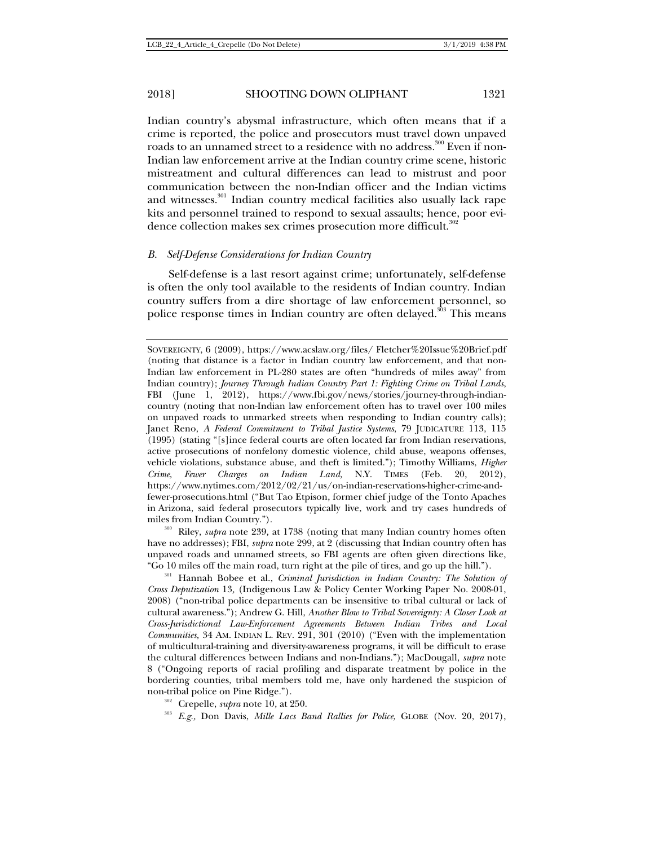Indian country's abysmal infrastructure, which often means that if a crime is reported, the police and prosecutors must travel down unpaved roads to an unnamed street to a residence with no address.<sup>300</sup> Even if non-Indian law enforcement arrive at the Indian country crime scene, historic mistreatment and cultural differences can lead to mistrust and poor communication between the non-Indian officer and the Indian victims and witnesses.<sup>301</sup> Indian country medical facilities also usually lack rape kits and personnel trained to respond to sexual assaults; hence, poor evidence collection makes sex crimes prosecution more difficult.<sup>302</sup>

### *B. Self-Defense Considerations for Indian Country*

Self-defense is a last resort against crime; unfortunately, self-defense is often the only tool available to the residents of Indian country. Indian country suffers from a dire shortage of law enforcement personnel, so police response times in Indian country are often delayed.<sup>303</sup> This means

have no addresses); FBI, *supra* note 299, at 2 (discussing that Indian country often has unpaved roads and unnamed streets, so FBI agents are often given directions like,

"Go 10 miles off the main road, turn right at the pile of tires, and go up the hill."). 301 Hannah Bobee et al., *Criminal Jurisdiction in Indian Country: The Solution of Cross Deputization* 13*,* (Indigenous Law & Policy Center Working Paper No. 2008-01, 2008) ("non-tribal police departments can be insensitive to tribal cultural or lack of cultural awareness."); Andrew G. Hill, *Another Blow to Tribal Sovereignty: A Closer Look at Cross-Jurisdictional Law-Enforcement Agreements Between Indian Tribes and Local Communities,* 34 AM. INDIAN L. REV. 291, 301 (2010) ("Even with the implementation of multicultural-training and diversity-awareness programs, it will be difficult to erase the cultural differences between Indians and non-Indians."); MacDougall, *supra* note 8 ("Ongoing reports of racial profiling and disparate treatment by police in the bordering counties, tribal members told me, have only hardened the suspicion of non-tribal police on Pine Ridge.").<br><sup>302</sup> Crepelle, *supra* note 10, at 250.<br><sup>303</sup> *E.g.*, Don Davis, *Mille Lacs Band Rallies for Police,* GLOBE (Nov. 20, 2017),

- 
- 

SOVEREIGNTY, 6 (2009), https://www.acslaw.org/files/ Fletcher%20Issue%20Brief.pdf (noting that distance is a factor in Indian country law enforcement, and that non-Indian law enforcement in PL-280 states are often "hundreds of miles away" from Indian country); *Journey Through Indian Country Part 1: Fighting Crime on Tribal Lands*, FBI (June 1, 2012), https://www.fbi.gov/news/stories/journey-through-indiancountry (noting that non-Indian law enforcement often has to travel over 100 miles on unpaved roads to unmarked streets when responding to Indian country calls); Janet Reno, *A Federal Commitment to Tribal Justice Systems*, 79 JUDICATURE 113, 115 (1995) (stating "[s]ince federal courts are often located far from Indian reservations, active prosecutions of nonfelony domestic violence, child abuse, weapons offenses, vehicle violations, substance abuse, and theft is limited."); Timothy Williams, *Higher Crime, Fewer Charges on Indian Land,* N.Y. TIMES (Feb. 20, 2012), https://www.nytimes.com/2012/02/21/us/on-indian-reservations-higher-crime-andfewer-prosecutions.html ("But Tao Etpison, former chief judge of the Tonto Apaches in Arizona, said federal prosecutors typically live, work and try cases hundreds of miles from Indian Country.").<br><sup>300</sup> Riley, *supra* note 239, at 1738 (noting that many Indian country homes often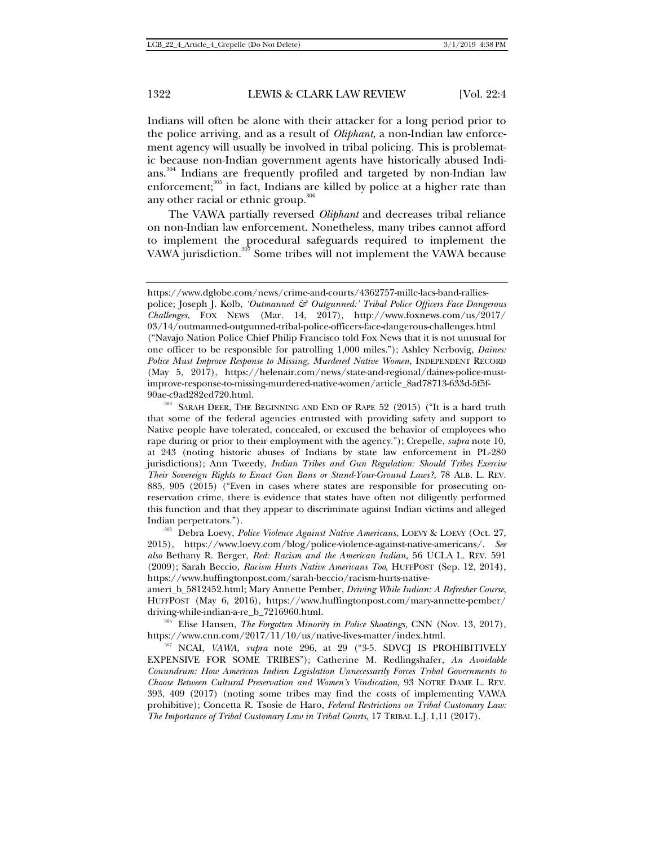Indians will often be alone with their attacker for a long period prior to the police arriving, and as a result of *Oliphant*, a non-Indian law enforcement agency will usually be involved in tribal policing. This is problematic because non-Indian government agents have historically abused Indians.<sup>304</sup> Indians are frequently profiled and targeted by non-Indian law enforcement;<sup>305</sup> in fact, Indians are killed by police at a higher rate than any other racial or ethnic group.<sup>306</sup>

The VAWA partially reversed *Oliphant* and decreases tribal reliance on non-Indian law enforcement. Nonetheless, many tribes cannot afford to implement the procedural safeguards required to implement the VAWA jurisdiction.<sup>307</sup> Some tribes will not implement the VAWA because

ameri\_b\_5812452.html; Mary Annette Pember, *Driving While Indian: A Refresher Course*, HUFFPOST (May 6, 2016), https://www.huffingtonpost.com/mary-annette-pember/

driving-while-indian-a-re\_b\_7216960.html.<br><sup>306</sup> Elise Hansen, *The Forgotten Minority in Police Shootings*, CNN (Nov. 13, 2017),<br>https://www.cnn.com/2017/11/10/us/native-lives-matter/index.html.

<sup>307</sup> NCAI, *VAWA, supra* note 296, at 29 ("3-5. SDVCJ IS PROHIBITIVELY EXPENSIVE FOR SOME TRIBES"); Catherine M. Redlingshafer, *An Avoidable Conundrum: How American Indian Legislation Unnecessarily Forces Tribal Governments to Choose Between Cultural Preservation and Women's Vindication,* 93 NOTRE DAME L. REV. 393, 409 (2017) (noting some tribes may find the costs of implementing VAWA prohibitive); Concetta R. Tsosie de Haro, *Federal Restrictions on Tribal Customary Law: The Importance of Tribal Customary Law in Tribal Courts,* 17 TRIBAL L.J. 1,11 (2017).

https://www.dglobe.com/news/crime-and-courts/4362757-mille-lacs-band-ralliespolice; Joseph J. Kolb, *'Outmanned & Outgunned:' Tribal Police Officers Face Dangerous Challenges*, FOX NEWS (Mar. 14, 2017), http://www.foxnews.com/us/2017/ 03/14/outmanned-outgunned-tribal-police-officers-face-dangerous-challenges.html ("Navajo Nation Police Chief Philip Francisco told Fox News that it is not unusual for one officer to be responsible for patrolling 1,000 miles."); Ashley Nerbovig, *Daines: Police Must Improve Response to Missing, Murdered Native Women, INDEPENDENT RECORD* (May 5, 2017), https://helenair.com/news/state-and-regional/daines-police-mustimprove-response-to-missing-murdered-native-women/article\_8ad78713-633d-5f5f-

 $^{90{\rm{ae-c9ad282ed720.html}}}$  SARAH DEER, THE BEGINNING AND END OF RAPE 52 (2015) ("It is a hard truth that some of the federal agencies entrusted with providing safety and support to Native people have tolerated, concealed, or excused the behavior of employees who rape during or prior to their employment with the agency."); Crepelle, *supra* note 10*,*  at 243 (noting historic abuses of Indians by state law enforcement in PL-280 jurisdictions); Ann Tweedy, *Indian Tribes and Gun Regulation: Should Tribes Exercise Their Sovereign Rights to Enact Gun Bans or Stand-Your-Ground Laws?*, 78 ALB. L. REV. 885, 905 (2015) ("Even in cases where states are responsible for prosecuting onreservation crime, there is evidence that states have often not diligently performed this function and that they appear to discriminate against Indian victims and alleged Indian perpetrators.").<br><sup>305</sup> Debra Loevy, *Police Violence Against Native Americans*, LOEVY & LOEVY (Oct. 27,

<sup>2015),</sup> https://www.loevy.com/blog/police-violence-against-native-americans/. *See also* Bethany R. Berger, *Red: Racism and the American Indian,* 56 UCLA L. REV. 591 (2009); Sarah Beccio, *Racism Hurts Native Americans Too*, HUFFPOST (Sep. 12, 2014), https://www.huffingtonpost.com/sarah-beccio/racism-hurts-native-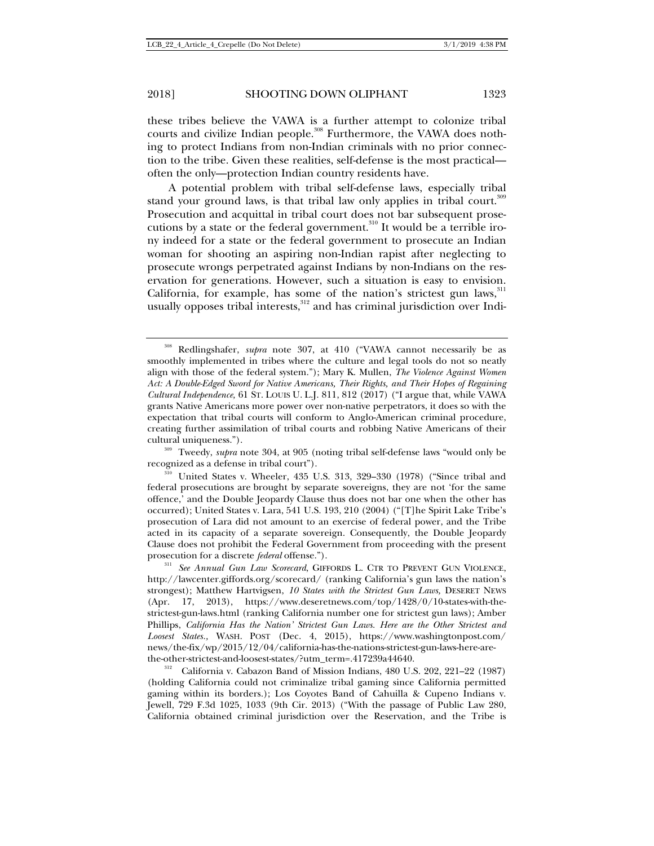these tribes believe the VAWA is a further attempt to colonize tribal courts and civilize Indian people.<sup>308</sup> Furthermore, the VAWA does nothing to protect Indians from non-Indian criminals with no prior connection to the tribe. Given these realities, self-defense is the most practical often the only—protection Indian country residents have.

A potential problem with tribal self-defense laws, especially tribal stand your ground laws, is that tribal law only applies in tribal court.<sup>309</sup> Prosecution and acquittal in tribal court does not bar subsequent prosecutions by a state or the federal government.<sup>310</sup> It would be a terrible irony indeed for a state or the federal government to prosecute an Indian woman for shooting an aspiring non-Indian rapist after neglecting to prosecute wrongs perpetrated against Indians by non-Indians on the reservation for generations. However, such a situation is easy to envision. California, for example, has some of the nation's strictest gun laws, $311$ usually opposes tribal interests, $312$  and has criminal jurisdiction over Indi-

recognized as a defense in tribal court").<br><sup>310</sup> United States v. Wheeler, 435 U.S. 313, 329–330 (1978) ("Since tribal and

<sup>308</sup> Redlingshafer, *supra* note 307, at 410 ("VAWA cannot necessarily be as smoothly implemented in tribes where the culture and legal tools do not so neatly align with those of the federal system."); Mary K. Mullen, *The Violence Against Women Act: A Double-Edged Sword for Native Americans, Their Rights, and Their Hopes of Regaining Cultural Independence,* 61 ST. LOUIS U. L.J. 811, 812 (2017) ("I argue that, while VAWA grants Native Americans more power over non-native perpetrators, it does so with the expectation that tribal courts will conform to Anglo-American criminal procedure, creating further assimilation of tribal courts and robbing Native Americans of their cultural uniqueness."). 309 Tweedy, *supra* note 304, at 905 (noting tribal self-defense laws "would only be

federal prosecutions are brought by separate sovereigns, they are not 'for the same offence,' and the Double Jeopardy Clause thus does not bar one when the other has occurred); United States v. Lara, 541 U.S. 193, 210 (2004) ("[T]he Spirit Lake Tribe's prosecution of Lara did not amount to an exercise of federal power, and the Tribe acted in its capacity of a separate sovereign. Consequently, the Double Jeopardy Clause does not prohibit the Federal Government from proceeding with the present

prosecution for a discrete *federal* offense.").<br><sup>311</sup> *See Annual Gun Law Scorecard*, GIFFORDS L. CTR TO PREVENT GUN VIOLENCE, http://lawcenter.giffords.org/scorecard/ (ranking California's gun laws the nation's strongest); Matthew Hartvigsen, *10 States with the Strictest Gun Laws,* DESERET NEWS (Apr. 17, 2013), https://www.deseretnews.com/top/1428/0/10-states-with-thestrictest-gun-laws.html (ranking California number one for strictest gun laws); Amber Phillips, *California Has the Nation' Strictest Gun Laws. Here are the Other Strictest and Loosest States.,* WASH. POST (Dec. 4, 2015), https://www.washingtonpost.com/ news/the-fix/wp/2015/12/04/california-has-the-nations-strictest-gun-laws-here-are-

the-other-strictest-and-loosest-states/?utm\_term=.417239a44640.<br><sup>312</sup> California v. Cabazon Band of Mission Indians, 480 U.S. 202, 221–22 (1987) (holding California could not criminalize tribal gaming since California permitted gaming within its borders.); Los Coyotes Band of Cahuilla & Cupeno Indians v. Jewell, 729 F.3d 1025, 1033 (9th Cir. 2013) ("With the passage of Public Law 280, California obtained criminal jurisdiction over the Reservation, and the Tribe is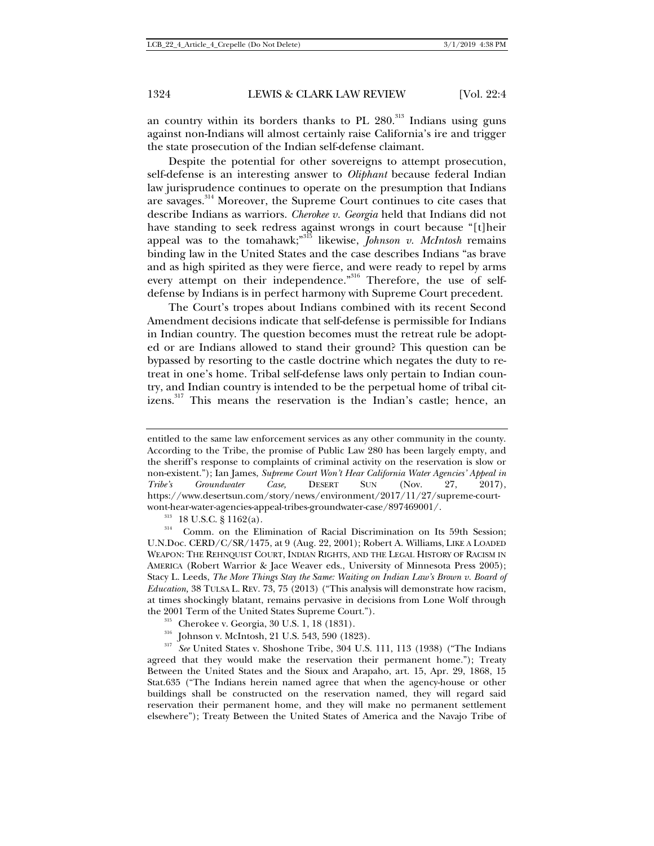an country within its borders thanks to  $PL$  280.<sup>313</sup> Indians using guns against non-Indians will almost certainly raise California's ire and trigger the state prosecution of the Indian self-defense claimant.

Despite the potential for other sovereigns to attempt prosecution, self-defense is an interesting answer to *Oliphant* because federal Indian law jurisprudence continues to operate on the presumption that Indians are savages.<sup>314</sup> Moreover, the Supreme Court continues to cite cases that describe Indians as warriors. *Cherokee v. Georgia* held that Indians did not have standing to seek redress against wrongs in court because "[t]heir appeal was to the tomahawk;"315 likewise, *Johnson v. McIntosh* remains binding law in the United States and the case describes Indians "as brave and as high spirited as they were fierce, and were ready to repel by arms every attempt on their independence."<sup>316</sup> Therefore, the use of selfdefense by Indians is in perfect harmony with Supreme Court precedent.

The Court's tropes about Indians combined with its recent Second Amendment decisions indicate that self-defense is permissible for Indians in Indian country. The question becomes must the retreat rule be adopted or are Indians allowed to stand their ground? This question can be bypassed by resorting to the castle doctrine which negates the duty to retreat in one's home. Tribal self-defense laws only pertain to Indian country, and Indian country is intended to be the perpetual home of tribal citizens.<sup>317</sup> This means the reservation is the Indian's castle; hence, an

entitled to the same law enforcement services as any other community in the county. According to the Tribe, the promise of Public Law 280 has been largely empty, and the sheriff's response to complaints of criminal activity on the reservation is slow or non-existent."); Ian James, *Supreme Court Won't Hear California Water Agencies' Appeal in Tribe's Groundwater Case,* DESERT SUN (Nov. 27, 2017), https://www.desertsun.com/story/news/environment/2017/11/27/supreme-court-

wont-hear-water-agencies-appeal-tribes-groundwater-case/897469001/.<br><sup>313</sup> 18 U.S.C. § 1162(a).<br><sup>314</sup> Comm. on the Elimination of Racial Discrimination on Its 59th Session; U.N.Doc. CERD/C/SR/1475, at 9 (Aug. 22, 2001); Robert A. Williams, LIKE A LOADED WEAPON: THE REHNQUIST COURT, INDIAN RIGHTS, AND THE LEGAL HISTORY OF RACISM IN AMERICA (Robert Warrior & Jace Weaver eds., University of Minnesota Press 2005); Stacy L. Leeds, *The More Things Stay the Same: Waiting on Indian Law's Brown v. Board of Education,* 38 TULSA L. REV. 73, 75 (2013) ("This analysis will demonstrate how racism, at times shockingly blatant, remains pervasive in decisions from Lone Wolf through the 2001 Term of the United States Supreme Court.").<br><sup>315</sup> Cherokee v. Georgia, 30 U.S. 1, 18 (1831).

<sup>&</sup>lt;sup>315</sup> Johnson v. McIntosh, 21 U.S. 543, 590 (1823). <sup>317</sup> *See* United States v. Shoshone Tribe, 304 U.S. 111, 113 (1938) ("The Indians agreed that they would make the reservation their permanent home."); Treaty Between the United States and the Sioux and Arapaho, art. 15, Apr. 29, 1868, 15 Stat.635 ("The Indians herein named agree that when the agency-house or other buildings shall be constructed on the reservation named, they will regard said reservation their permanent home, and they will make no permanent settlement elsewhere"); Treaty Between the United States of America and the Navajo Tribe of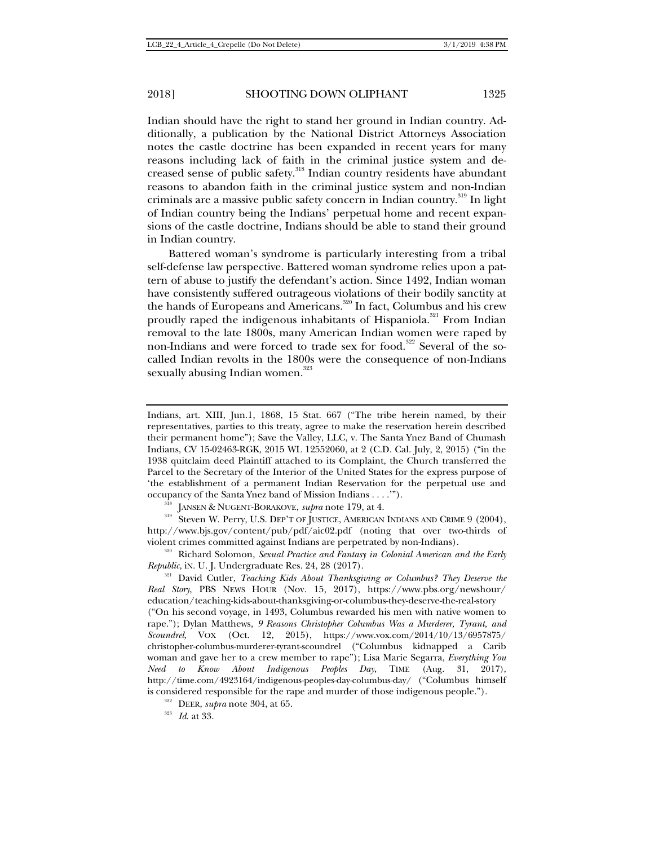Indian should have the right to stand her ground in Indian country. Additionally, a publication by the National District Attorneys Association notes the castle doctrine has been expanded in recent years for many reasons including lack of faith in the criminal justice system and decreased sense of public safety.<sup>318</sup> Indian country residents have abundant reasons to abandon faith in the criminal justice system and non-Indian criminals are a massive public safety concern in Indian country.<sup>319</sup> In light of Indian country being the Indians' perpetual home and recent expansions of the castle doctrine, Indians should be able to stand their ground in Indian country.

Battered woman's syndrome is particularly interesting from a tribal self-defense law perspective. Battered woman syndrome relies upon a pattern of abuse to justify the defendant's action. Since 1492, Indian woman have consistently suffered outrageous violations of their bodily sanctity at the hands of Europeans and Americans.<sup>320</sup> In fact, Columbus and his crew proudly raped the indigenous inhabitants of Hispaniola.<sup>321</sup> From Indian removal to the late 1800s, many American Indian women were raped by non-Indians and were forced to trade sex for food.<sup>322</sup> Several of the socalled Indian revolts in the 1800s were the consequence of non-Indians sexually abusing Indian women.<sup>323</sup>

occupancy of the Santa Ynez band of Mission Indians . . . .'").<br><sup>318</sup> JANSEN & NUGENT-BORAKOVE, *supra* note 179, at 4.<br><sup>319</sup> Steven W. Perry, U.S. DEP'T OF JUSTICE, AMERICAN INDIANS AND CRIME 9 (2004), http://www.bjs.gov/content/pub/pdf/aic02.pdf (noting that over two-thirds of

violent crimes committed against Indians are perpetrated by non-Indians).<br><sup>320</sup> Richard Solomon, *Sexual Practice and Fantasy in Colonial American and the Early Republic*, in. U. J. Undergraduate Res. 24, 28 (2017).

<sup>321</sup> David Cutler, *Teaching Kids About Thanksgiving or Columbus? They Deserve the Real Story*, PBS NEWS HOUR (Nov. 15, 2017), https://www.pbs.org/newshour/ education/teaching-kids-about-thanksgiving-or-columbus-they-deserve-the-real-story ("On his second voyage, in 1493, Columbus rewarded his men with native women to rape."); Dylan Matthews, *9 Reasons Christopher Columbus Was a Murderer, Tyrant, and Scoundrel,* VOX (Oct. 12, 2015), https://www.vox.com/2014/10/13/6957875/ christopher-columbus-murderer-tyrant-scoundrel ("Columbus kidnapped a Carib woman and gave her to a crew member to rape"); Lisa Marie Segarra, *Everything You Need to Know About Indigenous Peoples Day*, TIME (Aug. 31, 2017), http://time.com/4923164/indigenous-peoples-day-columbus-day/ ("Columbus himself is considered responsible for the rape and murder of those indigenous people.").<br><sup>322</sup> DEER, *supra* note 304, at 65. *Id.* at 33.

Indians, art. XIII, Jun.1, 1868, 15 Stat. 667 ("The tribe herein named, by their representatives, parties to this treaty, agree to make the reservation herein described their permanent home"); Save the Valley, LLC, v. The Santa Ynez Band of Chumash Indians, CV 15-02463-RGK, 2015 WL 12552060, at 2 (C.D. Cal. July, 2, 2015) ("in the 1938 quitclaim deed Plaintiff attached to its Complaint, the Church transferred the Parcel to the Secretary of the Interior of the United States for the express purpose of 'the establishment of a permanent Indian Reservation for the perpetual use and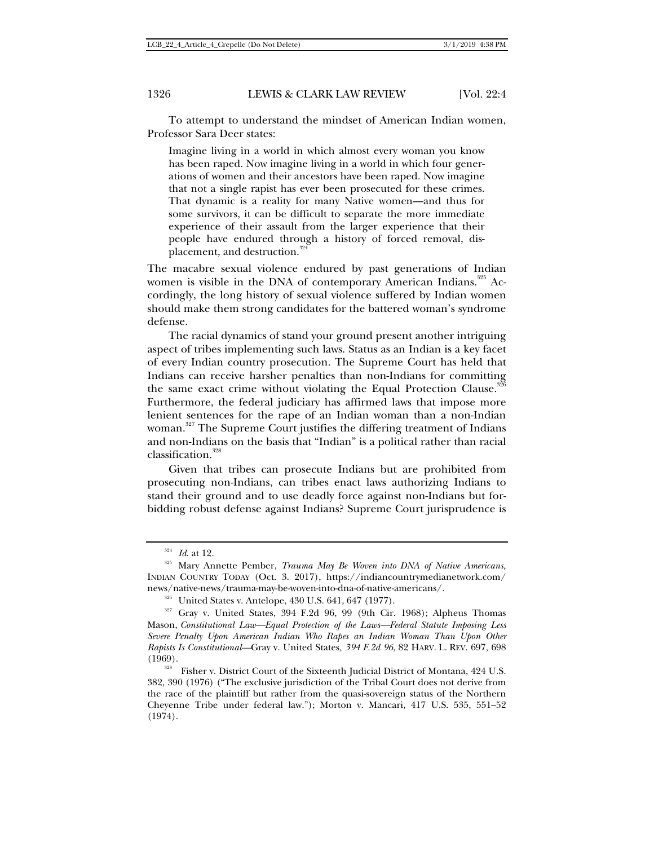To attempt to understand the mindset of American Indian women, Professor Sara Deer states:

Imagine living in a world in which almost every woman you know has been raped. Now imagine living in a world in which four generations of women and their ancestors have been raped. Now imagine that not a single rapist has ever been prosecuted for these crimes. That dynamic is a reality for many Native women—and thus for some survivors, it can be difficult to separate the more immediate experience of their assault from the larger experience that their people have endured through a history of forced removal, displacement, and destruction.<sup>324</sup>

The macabre sexual violence endured by past generations of Indian women is visible in the DNA of contemporary American Indians.<sup>325</sup> Accordingly, the long history of sexual violence suffered by Indian women should make them strong candidates for the battered woman's syndrome defense.

The racial dynamics of stand your ground present another intriguing aspect of tribes implementing such laws. Status as an Indian is a key facet of every Indian country prosecution. The Supreme Court has held that Indians can receive harsher penalties than non-Indians for committing the same exact crime without violating the Equal Protection Clause.<sup>3</sup> Furthermore, the federal judiciary has affirmed laws that impose more lenient sentences for the rape of an Indian woman than a non-Indian woman.<sup>327</sup> The Supreme Court justifies the differing treatment of Indians

and non-Indians on the basis that "Indian" is a political rather than racial classification.<sup>328</sup>

Given that tribes can prosecute Indians but are prohibited from prosecuting non-Indians, can tribes enact laws authorizing Indians to stand their ground and to use deadly force against non-Indians but forbidding robust defense against Indians? Supreme Court jurisprudence is

<sup>&</sup>lt;sup>324</sup> *Id.* at 12.<br><sup>325</sup> Mary Annette Pember, *Trauma May Be Woven into DNA of Native Americans*, INDIAN COUNTRY TODAY (Oct. 3. 2017), https://indiancountrymedianetwork.com/

news/native-news/trauma-may-be-woven-into-dna-of-native-americans/.<br><sup>326</sup> United States v. Antelope, 430 U.S. 641, 647 (1977).<br><sup>327</sup> Gray v. United States, 394 F.2d 96, 99 (9th Cir. 1968); Alpheus Thomas Mason, *Constitutional Law—Equal Protection of the Laws—Federal Statute Imposing Less Severe Penalty Upon American Indian Who Rapes an Indian Woman Than Upon Other Rapists Is Constitutional—*Gray v. United States*, 394 F.2d 96*, 82 HARV. L. REV. 697, 698

<sup>(1969).</sup>  $\frac{328}{328}$  Fisher v. District Court of the Sixteenth Judicial District of Montana, 424 U.S. 382, 390 (1976) ("The exclusive jurisdiction of the Tribal Court does not derive from the race of the plaintiff but rather from the quasi-sovereign status of the Northern Cheyenne Tribe under federal law."); Morton v. Mancari, 417 U.S. 535, 551–52 (1974).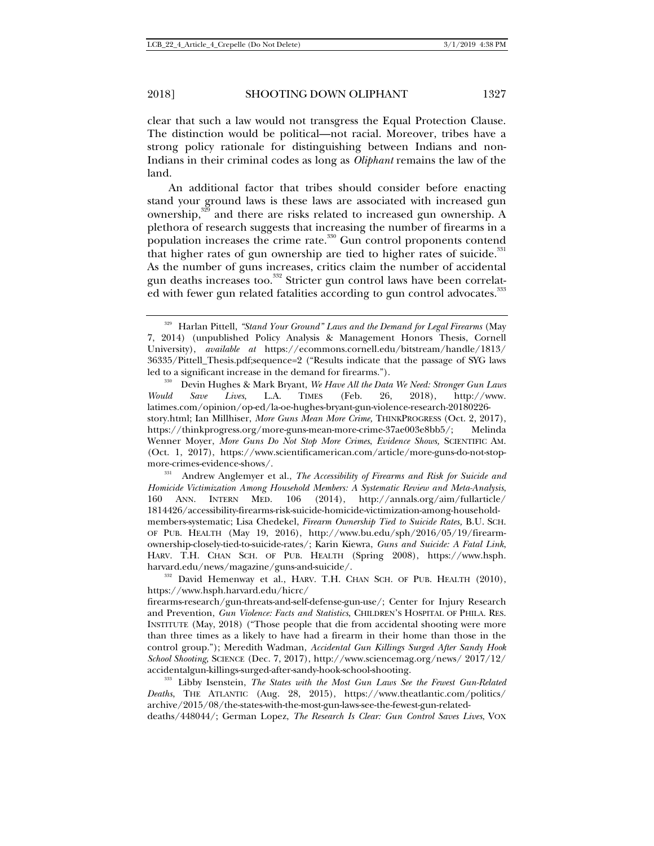clear that such a law would not transgress the Equal Protection Clause. The distinction would be political—not racial. Moreover, tribes have a strong policy rationale for distinguishing between Indians and non-Indians in their criminal codes as long as *Oliphant* remains the law of the land.

An additional factor that tribes should consider before enacting stand your ground laws is these laws are associated with increased gun ownership,329 and there are risks related to increased gun ownership. A plethora of research suggests that increasing the number of firearms in a population increases the crime rate.<sup>330</sup> Gun control proponents contend that higher rates of gun ownership are tied to higher rates of suicide. $331$ As the number of guns increases, critics claim the number of accidental gun deaths increases too.<sup>332</sup> Stricter gun control laws have been correlated with fewer gun related fatalities according to gun control advocates.<sup>333</sup>

<sup>329</sup> Harlan Pittell, *"Stand Your Ground" Laws and the Demand for Legal Firearms* (May 7, 2014) (unpublished Policy Analysis & Management Honors Thesis, Cornell University), *available at* https://ecommons.cornell.edu/bitstream/handle/1813/ 36335/Pittell\_Thesis.pdf;sequence=2 ("Results indicate that the passage of SYG laws led to a significant increase in the demand for firearms.").<br><sup>330</sup> Devin Hughes & Mark Bryant, *We Have All the Data We Need: Stronger Gun Laws* 

*Would Save Lives*, L.A. TIMES (Feb. 26, 2018), http://www. latimes.com/opinion/op-ed/la-oe-hughes-bryant-gun-violence-research-20180226 story.html; Ian Millhiser, *More Guns Mean More Crime,* THINKPROGRESS (Oct. 2, 2017), https://thinkprogress.org/more-guns-mean-more-crime-37ae003e8bb5/; Melinda Wenner Moyer, *More Guns Do Not Stop More Crimes*, *Evidence Shows,* SCIENTIFIC AM. (Oct. 1, 2017), https://www.scientificamerican.com/article/more-guns-do-not-stopmore-crimes-evidence-shows/.<br><sup>331</sup> Andrew Anglemyer et al., *The Accessibility of Firearms and Risk for Suicide and* 

*Homicide Victimization Among Household Members: A Systematic Review and Meta-Analysis*, 160 ANN. INTERN MED. 106 (2014), http://annals.org/aim/fullarticle/ 1814426/accessibility-firearms-risk-suicide-homicide-victimization-among-householdmembers-systematic; Lisa Chedekel, *Firearm Ownership Tied to Suicide Rates,* B.U. SCH. OF PUB. HEALTH (May 19, 2016), http://www.bu.edu/sph/2016/05/19/firearmownership-closely-tied-to-suicide-rates/; Karin Kiewra, *Guns and Suicide: A Fatal Link*, HARV. T.H. CHAN SCH. OF PUB. HEALTH (Spring 2008), https://www.hsph. harvard.edu/news/magazine/guns-and-suicide/.<br><sup>332</sup> David Hemenway et al., HARV. T.H. CHAN SCH. OF PUB. HEALTH (2010),

https://www.hsph.harvard.edu/hicrc/

firearms-research/gun-threats-and-self-defense-gun-use/; Center for Injury Research and Prevention, *Gun Violence: Facts and Statistics*, CHILDREN'S HOSPITAL OF PHILA. RES. INSTITUTE (May, 2018) ("Those people that die from accidental shooting were more than three times as a likely to have had a firearm in their home than those in the control group."); Meredith Wadman, *Accidental Gun Killings Surged After Sandy Hook School Shooting*, SCIENCE (Dec. 7, 2017), http://www.sciencemag.org/news/ 2017/12/ accidentalgun-killings-surged-after-sandy-hook-school-shooting. 333 Libby Isenstein, *The States with the Most Gun Laws See the Fewest Gun-Related* 

*Deaths*, THE ATLANTIC (Aug. 28, 2015), https://www.theatlantic.com/politics/ archive/2015/08/the-states-with-the-most-gun-laws-see-the-fewest-gun-relateddeaths/448044/; German Lopez, *The Research Is Clear: Gun Control Saves Lives*, VOX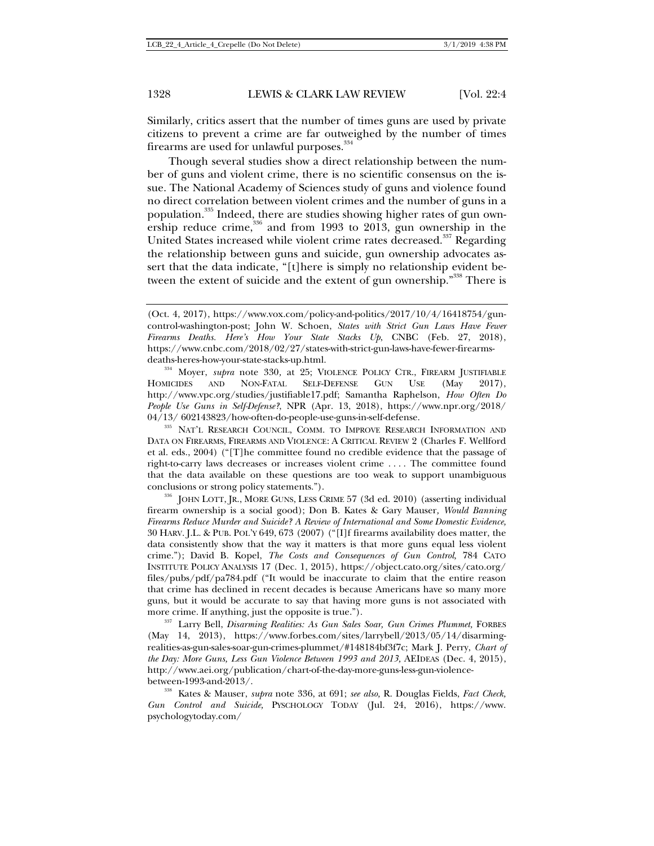Similarly, critics assert that the number of times guns are used by private citizens to prevent a crime are far outweighed by the number of times firearms are used for unlawful purposes.<sup>334</sup>

Though several studies show a direct relationship between the number of guns and violent crime, there is no scientific consensus on the issue. The National Academy of Sciences study of guns and violence found no direct correlation between violent crimes and the number of guns in a population.<sup>335</sup> Indeed, there are studies showing higher rates of gun ownership reduce crime, $336$  and from 1993 to 2013, gun ownership in the United States increased while violent crime rates decreased.<sup>337</sup> Regarding the relationship between guns and suicide, gun ownership advocates assert that the data indicate, "[t]here is simply no relationship evident between the extent of suicide and the extent of gun ownership."<sup>338</sup> There is

deaths-heres-how-your-state-stacks-up.html.<br><sup>334</sup> Moyer, *supra* note 330, at 25; VIOLENCE POLICY CTR., FIREARM JUSTIFIABLE<br>HOMICIDES AND NON-FATAL SELF-DEFENSE GUN USE (May 2017). HOMICIDES AND NON-FATAL SELF-DEFENSE GUN USE (May 2017), http://www.vpc.org/studies/justifiable17.pdf; Samantha Raphelson, *How Often Do People Use Guns in Self-Defense?*, NPR (Apr. 13, 2018), https://www.npr.org/2018/ 04/13/ 602143823/how-often-do-people-use-guns-in-self-defense. 335 NAT'<sup>L</sup> RESEARCH COUNCIL, COMM. TO IMPROVE RESEARCH INFORMATION AND

DATA ON FIREARMS, FIREARMS AND VIOLENCE: A CRITICAL REVIEW 2 (Charles F. Wellford et al. eds., 2004) ("[T]he committee found no credible evidence that the passage of right-to-carry laws decreases or increases violent crime . . . . The committee found that the data available on these questions are too weak to support unambiguous

conclusions or strong policy statements.").<br><sup>336</sup> JOHN LOTT, JR., MORE GUNS, LESS CRIME 57 (3d ed. 2010) (asserting individual firearm ownership is a social good); Don B. Kates & Gary Mauser*, Would Banning Firearms Reduce Murder and Suicide? A Review of International and Some Domestic Evidence,*  30 HARV. J.L. & PUB. POL'Y 649, 673 (2007) ("[I]f firearms availability does matter, the data consistently show that the way it matters is that more guns equal less violent crime."); David B. Kopel, *The Costs and Consequences of Gun Control,* 784 CATO INSTITUTE POLICY ANALYSIS 17 (Dec. 1, 2015), https://object.cato.org/sites/cato.org/ files/pubs/pdf/pa784.pdf ("It would be inaccurate to claim that the entire reason that crime has declined in recent decades is because Americans have so many more guns, but it would be accurate to say that having more guns is not associated with

more crime. If anything, just the opposite is true.").<br><sup>337</sup> Larry Bell, *Disarming Realities: As Gun Sales Soar, Gun Crimes Plummet,* FORBES (May 14, 2013), https://www.forbes.com/sites/larrybell/2013/05/14/disarmingrealities-as-gun-sales-soar-gun-crimes-plummet/#148184bf3f7c; Mark J. Perry, *Chart of the Day: More Guns, Less Gun Violence Between 1993 and 2013,* AEIDEAS (Dec. 4, 2015), http://www.aei.org/publication/chart-of-the-day-more-guns-less-gun-violencebetween-1993-and-2013/. 338 Kates & Mauser, *supra* note 336, at 691; *see also,* R. Douglas Fields, *Fact Check,* 

*Gun Control and Suicide,* PYSCHOLOGY TODAY (Jul. 24, 2016), https://www. psychologytoday.com/

<sup>(</sup>Oct. 4, 2017), https://www.vox.com/policy-and-politics/2017/10/4/16418754/guncontrol-washington-post; John W. Schoen, *States with Strict Gun Laws Have Fewer Firearms Deaths. Here's How Your State Stacks Up*, CNBC (Feb. 27, 2018), https://www.cnbc.com/2018/02/27/states-with-strict-gun-laws-have-fewer-firearms-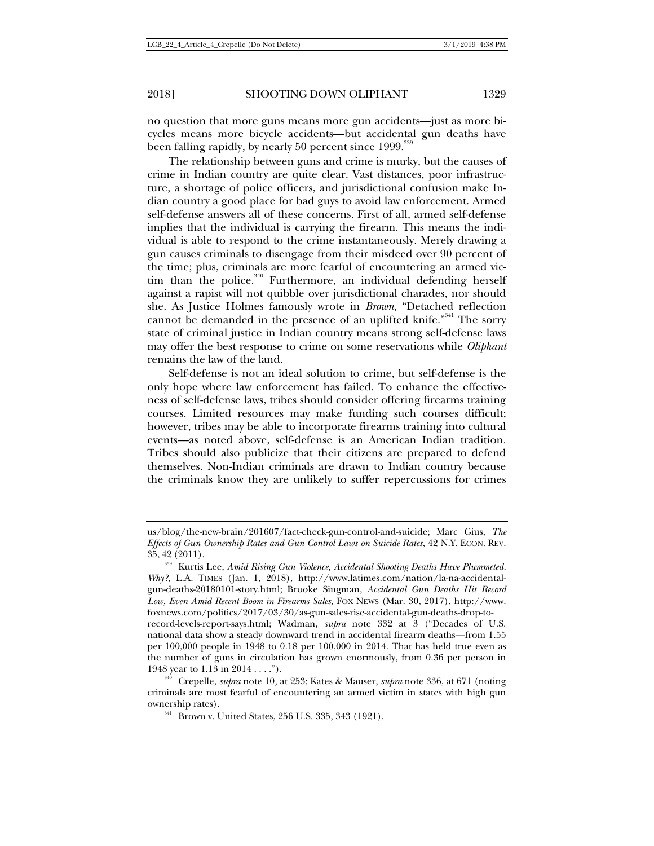no question that more guns means more gun accidents—just as more bicycles means more bicycle accidents—but accidental gun deaths have been falling rapidly, by nearly  $50$  percent since  $1999.^{\scriptscriptstyle 339}$ 

The relationship between guns and crime is murky, but the causes of crime in Indian country are quite clear. Vast distances, poor infrastructure, a shortage of police officers, and jurisdictional confusion make Indian country a good place for bad guys to avoid law enforcement. Armed self-defense answers all of these concerns. First of all, armed self-defense implies that the individual is carrying the firearm. This means the individual is able to respond to the crime instantaneously. Merely drawing a gun causes criminals to disengage from their misdeed over 90 percent of the time; plus, criminals are more fearful of encountering an armed victim than the police. $340$  Furthermore, an individual defending herself against a rapist will not quibble over jurisdictional charades, nor should she. As Justice Holmes famously wrote in *Brown*, "Detached reflection cannot be demanded in the presence of an uplifted knife."<sup>341</sup> The sorry state of criminal justice in Indian country means strong self-defense laws may offer the best response to crime on some reservations while *Oliphant*  remains the law of the land.

Self-defense is not an ideal solution to crime, but self-defense is the only hope where law enforcement has failed. To enhance the effectiveness of self-defense laws, tribes should consider offering firearms training courses. Limited resources may make funding such courses difficult; however, tribes may be able to incorporate firearms training into cultural events—as noted above, self-defense is an American Indian tradition. Tribes should also publicize that their citizens are prepared to defend themselves. Non-Indian criminals are drawn to Indian country because the criminals know they are unlikely to suffer repercussions for crimes

us/blog/the-new-brain/201607/fact-check-gun-control-and-suicide; Marc Gius, *The Effects of Gun Ownership Rates and Gun Control Laws on Suicide Rates*, 42 N.Y. ECON. REV. 35, <sup>42</sup> (2011). 339 Kurtis Lee, *Amid Rising Gun Violence, Accidental Shooting Deaths Have Plummeted.* 

*Why?*, L.A. TIMES (Jan. 1, 2018), http://www.latimes.com/nation/la-na-accidentalgun-deaths-20180101-story.html; Brooke Singman, *Accidental Gun Deaths Hit Record Low, Even Amid Recent Boom in Firearms Sales*, FOX NEWS (Mar. 30, 2017), http://www. foxnews.com/politics/2017/03/30/as-gun-sales-rise-accidental-gun-deaths-drop-torecord-levels-report-says.html; Wadman, *supra* note 332 at 3 ("Decades of U.S. national data show a steady downward trend in accidental firearm deaths—from 1.55 per 100,000 people in 1948 to 0.18 per 100,000 in 2014. That has held true even as the number of guns in circulation has grown enormously, from 0.36 per person in 1948 year to  $1.13$  in  $2014$ ....").

<sup>1948</sup> year to 1.13 in 2014 . . . ."). 340 Crepelle, *supra* note 10*,* at 253; Kates & Mauser, *supra* note 336, at 671 (noting criminals are most fearful of encountering an armed victim in states with high gun ownership rates).<br><sup>341</sup> Brown v. United States, 256 U.S. 335, 343 (1921).